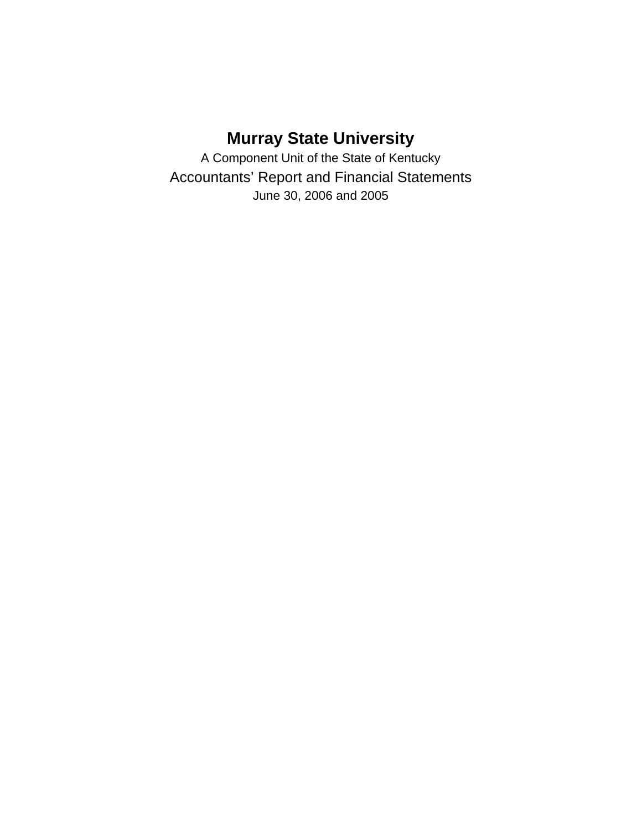# **Murray State University**

A Component Unit of the State of Kentucky Accountants' Report and Financial Statements June 30, 2006 and 2005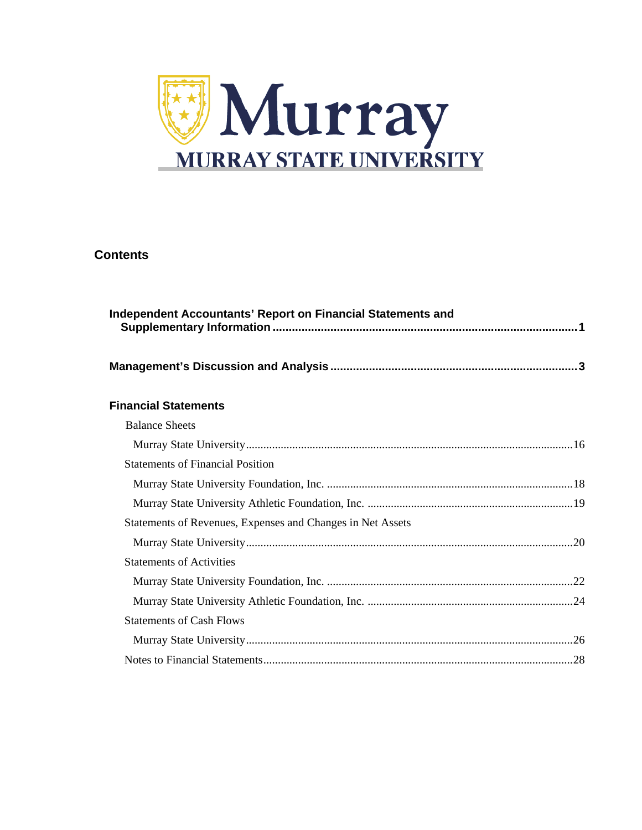

### **Contents**

| Independent Accountants' Report on Financial Statements and |  |
|-------------------------------------------------------------|--|
|                                                             |  |
| <b>Financial Statements</b>                                 |  |
| <b>Balance Sheets</b>                                       |  |
|                                                             |  |
| <b>Statements of Financial Position</b>                     |  |
|                                                             |  |
|                                                             |  |
| Statements of Revenues, Expenses and Changes in Net Assets  |  |
|                                                             |  |
| <b>Statements of Activities</b>                             |  |
|                                                             |  |
|                                                             |  |
| <b>Statements of Cash Flows</b>                             |  |
|                                                             |  |
|                                                             |  |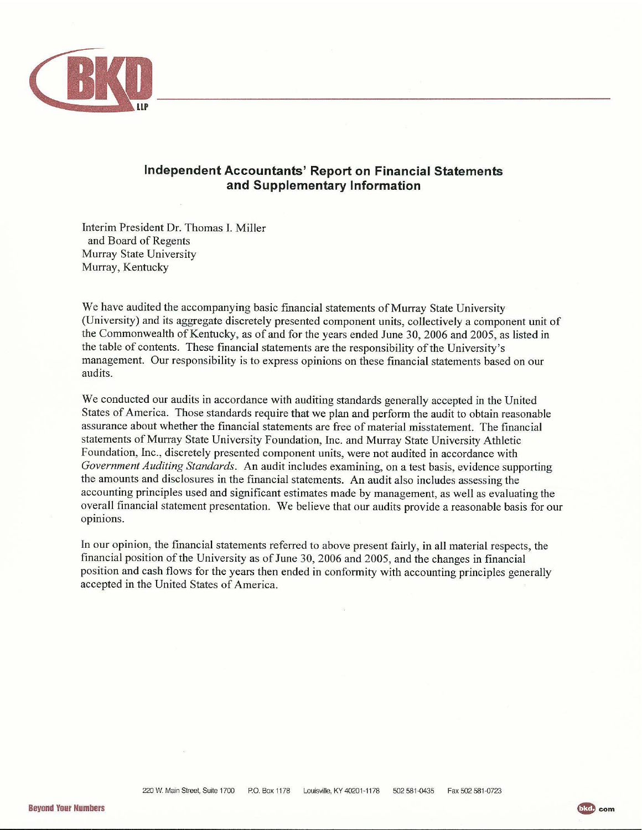

### **Independent Accountants' Report on Financial Statements** and Supplementary Information

Interim President Dr. Thomas I. Miller and Board of Regents Murray State University Murray, Kentucky

We have audited the accompanying basic financial statements of Murray State University (University) and its aggregate discretely presented component units, collectively a component unit of the Commonwealth of Kentucky, as of and for the years ended June 30, 2006 and 2005, as listed in the table of contents. These financial statements are the responsibility of the University's management. Our responsibility is to express opinions on these financial statements based on our audits.

We conducted our audits in accordance with auditing standards generally accepted in the United States of America. Those standards require that we plan and perform the audit to obtain reasonable assurance about whether the financial statements are free of material misstatement. The financial statements of Murray State University Foundation, Inc. and Murray State University Athletic Foundation, Inc., discretely presented component units, were not audited in accordance with Government Auditing Standards. An audit includes examining, on a test basis, evidence supporting the amounts and disclosures in the financial statements. An audit also includes assessing the accounting principles used and significant estimates made by management, as well as evaluating the overall financial statement presentation. We believe that our audits provide a reasonable basis for our opinions.

In our opinion, the financial statements referred to above present fairly, in all material respects, the financial position of the University as of June 30, 2006 and 2005, and the changes in financial position and cash flows for the years then ended in conformity with accounting principles generally accepted in the United States of America.

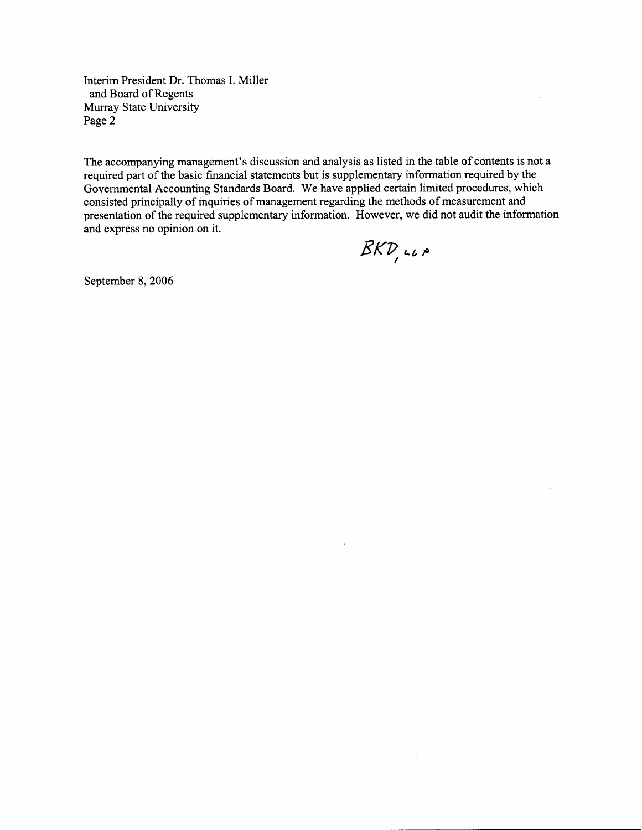Interim President Dr. Thomas I. Miller and Board of Regents Murray State University Page 2

The accompanying management's discussion and analysis as listed in the table of contents is not a required part of the basic financial statements but is supplementary information required by the Governmental Accounting Standards Board. We have applied certain limited procedures, which consisted principally of inquiries of management regarding the methods of measurement and presentation of the required supplementary information. However, we did not audit the information and express no opinion on it.

 $\bar{z}$ 

 $BKP,$ 

September 8, 2006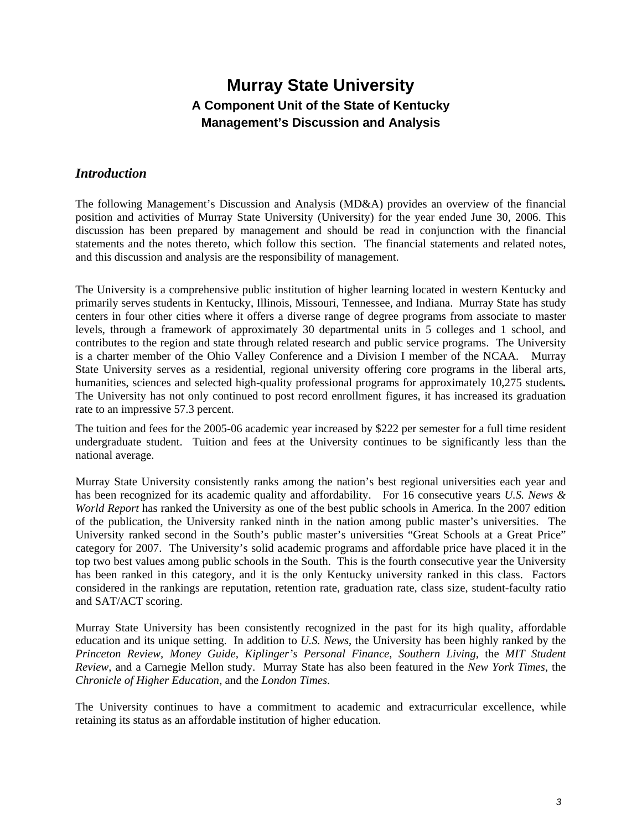### *Introduction*

The following Management's Discussion and Analysis (MD&A) provides an overview of the financial position and activities of Murray State University (University) for the year ended June 30, 2006. This discussion has been prepared by management and should be read in conjunction with the financial statements and the notes thereto, which follow this section. The financial statements and related notes, and this discussion and analysis are the responsibility of management.

The University is a comprehensive public institution of higher learning located in western Kentucky and primarily serves students in Kentucky, Illinois, Missouri, Tennessee, and Indiana. Murray State has study centers in four other cities where it offers a diverse range of degree programs from associate to master levels, through a framework of approximately 30 departmental units in 5 colleges and 1 school, and contributes to the region and state through related research and public service programs. The University is a charter member of the Ohio Valley Conference and a Division I member of the NCAA. Murray State University serves as a residential, regional university offering core programs in the liberal arts, humanities, sciences and selected high-quality professional programs for approximately 10,275 students*.*  The University has not only continued to post record enrollment figures, it has increased its graduation rate to an impressive 57.3 percent.

The tuition and fees for the 2005-06 academic year increased by \$222 per semester for a full time resident undergraduate student. Tuition and fees at the University continues to be significantly less than the national average.

Murray State University consistently ranks among the nation's best regional universities each year and has been recognized for its academic quality and affordability. For 16 consecutive years *U.S. News & World Report* has ranked the University as one of the best public schools in America. In the 2007 edition of the publication, the University ranked ninth in the nation among public master's universities. The University ranked second in the South's public master's universities "Great Schools at a Great Price" category for 2007. The University's solid academic programs and affordable price have placed it in the top two best values among public schools in the South. This is the fourth consecutive year the University has been ranked in this category, and it is the only Kentucky university ranked in this class. Factors considered in the rankings are reputation, retention rate, graduation rate, class size, student-faculty ratio and SAT/ACT scoring.

Murray State University has been consistently recognized in the past for its high quality, affordable education and its unique setting. In addition to *U.S. News*, the University has been highly ranked by the *Princeton Review, Money Guide, Kiplinger's Personal Finance, Southern Living,* the *MIT Student Review*, and a Carnegie Mellon study. Murray State has also been featured in the *New York Times*, the *Chronicle of Higher Education*, and the *London Times*.

The University continues to have a commitment to academic and extracurricular excellence, while retaining its status as an affordable institution of higher education.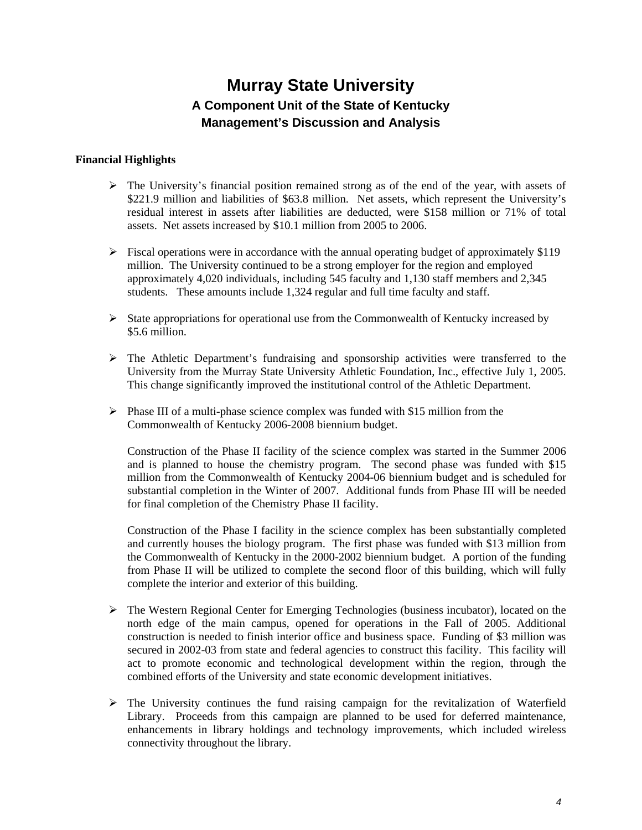### **Financial Highlights**

- $\triangleright$  The University's financial position remained strong as of the end of the year, with assets of \$221.9 million and liabilities of \$63.8 million. Net assets, which represent the University's residual interest in assets after liabilities are deducted, were \$158 million or 71% of total assets. Net assets increased by \$10.1 million from 2005 to 2006.
- $\triangleright$  Fiscal operations were in accordance with the annual operating budget of approximately \$119 million. The University continued to be a strong employer for the region and employed approximately 4,020 individuals, including 545 faculty and 1,130 staff members and 2,345 students. These amounts include 1,324 regular and full time faculty and staff.
- $\triangleright$  State appropriations for operational use from the Commonwealth of Kentucky increased by \$5.6 million.
- $\triangleright$  The Athletic Department's fundraising and sponsorship activities were transferred to the University from the Murray State University Athletic Foundation, Inc., effective July 1, 2005. This change significantly improved the institutional control of the Athletic Department.
- $\triangleright$  Phase III of a multi-phase science complex was funded with \$15 million from the Commonwealth of Kentucky 2006-2008 biennium budget.

Construction of the Phase II facility of the science complex was started in the Summer 2006 and is planned to house the chemistry program. The second phase was funded with \$15 million from the Commonwealth of Kentucky 2004-06 biennium budget and is scheduled for substantial completion in the Winter of 2007. Additional funds from Phase III will be needed for final completion of the Chemistry Phase II facility.

Construction of the Phase I facility in the science complex has been substantially completed and currently houses the biology program. The first phase was funded with \$13 million from the Commonwealth of Kentucky in the 2000-2002 biennium budget. A portion of the funding from Phase II will be utilized to complete the second floor of this building, which will fully complete the interior and exterior of this building.

- ¾ The Western Regional Center for Emerging Technologies (business incubator), located on the north edge of the main campus, opened for operations in the Fall of 2005. Additional construction is needed to finish interior office and business space. Funding of \$3 million was secured in 2002-03 from state and federal agencies to construct this facility. This facility will act to promote economic and technological development within the region, through the combined efforts of the University and state economic development initiatives.
- $\triangleright$  The University continues the fund raising campaign for the revitalization of Waterfield Library. Proceeds from this campaign are planned to be used for deferred maintenance, enhancements in library holdings and technology improvements, which included wireless connectivity throughout the library.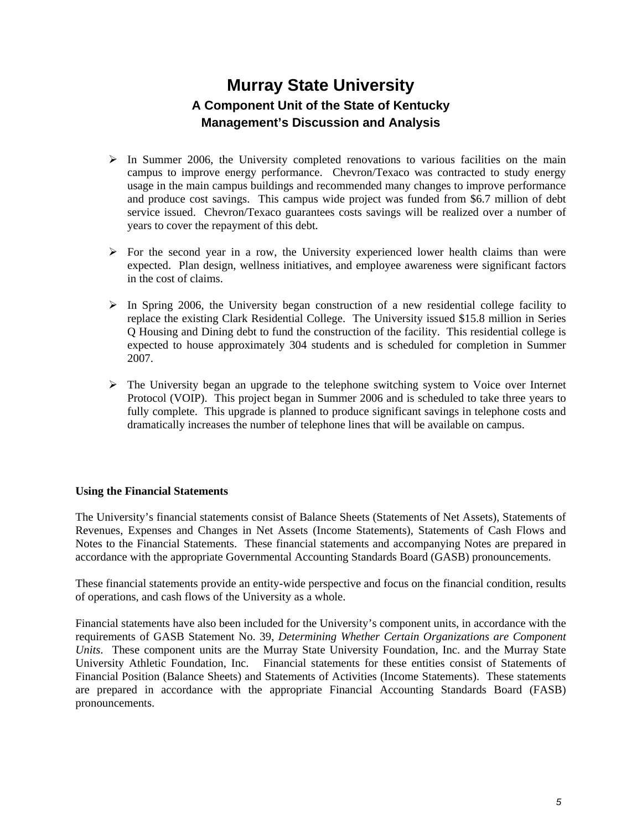- $\triangleright$  In Summer 2006, the University completed renovations to various facilities on the main campus to improve energy performance. Chevron/Texaco was contracted to study energy usage in the main campus buildings and recommended many changes to improve performance and produce cost savings. This campus wide project was funded from \$6.7 million of debt service issued. Chevron/Texaco guarantees costs savings will be realized over a number of years to cover the repayment of this debt.
- $\triangleright$  For the second year in a row, the University experienced lower health claims than were expected. Plan design, wellness initiatives, and employee awareness were significant factors in the cost of claims.
- $\triangleright$  In Spring 2006, the University began construction of a new residential college facility to replace the existing Clark Residential College. The University issued \$15.8 million in Series Q Housing and Dining debt to fund the construction of the facility. This residential college is expected to house approximately 304 students and is scheduled for completion in Summer 2007.
- $\triangleright$  The University began an upgrade to the telephone switching system to Voice over Internet Protocol (VOIP). This project began in Summer 2006 and is scheduled to take three years to fully complete. This upgrade is planned to produce significant savings in telephone costs and dramatically increases the number of telephone lines that will be available on campus.

#### **Using the Financial Statements**

The University's financial statements consist of Balance Sheets (Statements of Net Assets), Statements of Revenues, Expenses and Changes in Net Assets (Income Statements), Statements of Cash Flows and Notes to the Financial Statements. These financial statements and accompanying Notes are prepared in accordance with the appropriate Governmental Accounting Standards Board (GASB) pronouncements.

These financial statements provide an entity-wide perspective and focus on the financial condition, results of operations, and cash flows of the University as a whole.

Financial statements have also been included for the University's component units, in accordance with the requirements of GASB Statement No. 39, *Determining Whether Certain Organizations are Component Units*. These component units are the Murray State University Foundation, Inc. and the Murray State University Athletic Foundation, Inc. Financial statements for these entities consist of Statements of Financial Position (Balance Sheets) and Statements of Activities (Income Statements). These statements are prepared in accordance with the appropriate Financial Accounting Standards Board (FASB) pronouncements.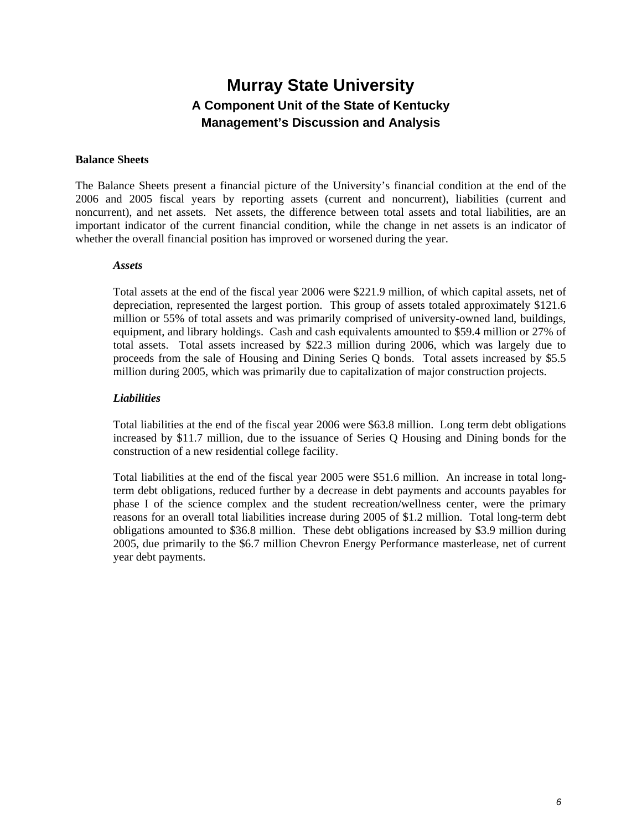#### **Balance Sheets**

The Balance Sheets present a financial picture of the University's financial condition at the end of the 2006 and 2005 fiscal years by reporting assets (current and noncurrent), liabilities (current and noncurrent), and net assets. Net assets, the difference between total assets and total liabilities, are an important indicator of the current financial condition, while the change in net assets is an indicator of whether the overall financial position has improved or worsened during the year.

#### *Assets*

Total assets at the end of the fiscal year 2006 were \$221.9 million, of which capital assets, net of depreciation, represented the largest portion. This group of assets totaled approximately \$121.6 million or 55% of total assets and was primarily comprised of university-owned land, buildings, equipment, and library holdings. Cash and cash equivalents amounted to \$59.4 million or 27% of total assets. Total assets increased by \$22.3 million during 2006, which was largely due to proceeds from the sale of Housing and Dining Series Q bonds. Total assets increased by \$5.5 million during 2005, which was primarily due to capitalization of major construction projects.

#### *Liabilities*

Total liabilities at the end of the fiscal year 2006 were \$63.8 million. Long term debt obligations increased by \$11.7 million, due to the issuance of Series Q Housing and Dining bonds for the construction of a new residential college facility.

Total liabilities at the end of the fiscal year 2005 were \$51.6 million. An increase in total longterm debt obligations, reduced further by a decrease in debt payments and accounts payables for phase I of the science complex and the student recreation/wellness center, were the primary reasons for an overall total liabilities increase during 2005 of \$1.2 million. Total long-term debt obligations amounted to \$36.8 million. These debt obligations increased by \$3.9 million during 2005, due primarily to the \$6.7 million Chevron Energy Performance masterlease, net of current year debt payments.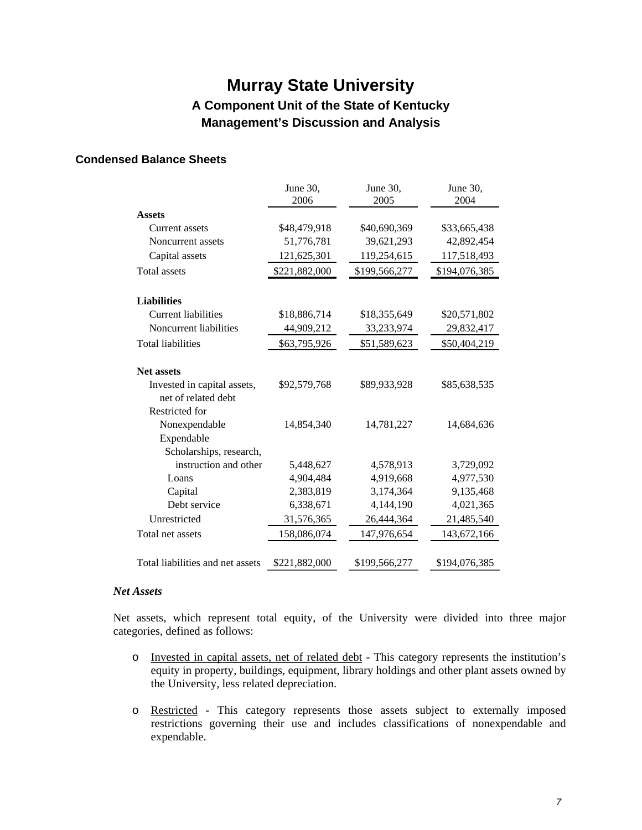### **Condensed Balance Sheets**

|                                                  | June 30,<br>2006 | June 30,<br>2005 | June 30,<br>2004 |
|--------------------------------------------------|------------------|------------------|------------------|
| <b>Assets</b>                                    |                  |                  |                  |
| Current assets                                   | \$48,479,918     | \$40,690,369     | \$33,665,438     |
| Noncurrent assets                                | 51,776,781       | 39,621,293       | 42,892,454       |
| Capital assets                                   | 121,625,301      | 119,254,615      | 117,518,493      |
| <b>Total assets</b>                              | \$221,882,000    | \$199,566,277    | \$194,076,385    |
|                                                  |                  |                  |                  |
| <b>Liabilities</b>                               |                  |                  |                  |
| <b>Current liabilities</b>                       | \$18,886,714     | \$18,355,649     | \$20,571,802     |
| Noncurrent liabilities                           | 44,909,212       | 33,233,974       | 29,832,417       |
| <b>Total liabilities</b>                         | \$63,795,926     | \$51,589,623     | \$50,404,219     |
| <b>Net assets</b><br>Invested in capital assets, | \$92,579,768     | \$89,933,928     | \$85,638,535     |
| net of related debt<br>Restricted for            |                  |                  |                  |
| Nonexpendable<br>Expendable                      | 14,854,340       | 14,781,227       | 14,684,636       |
| Scholarships, research,                          |                  |                  |                  |
| instruction and other                            | 5,448,627        | 4,578,913        | 3,729,092        |
| Loans                                            | 4,904,484        | 4,919,668        | 4,977,530        |
| Capital                                          | 2,383,819        | 3,174,364        | 9,135,468        |
| Debt service                                     | 6,338,671        | 4,144,190        | 4,021,365        |
| Unrestricted                                     | 31,576,365       | 26,444,364       | 21,485,540       |
| Total net assets                                 | 158,086,074      | 147,976,654      | 143,672,166      |
| Total liabilities and net assets                 | \$221,882,000    | \$199,566,277    | \$194,076,385    |

#### *Net Assets*

Net assets, which represent total equity, of the University were divided into three major categories, defined as follows:

- o Invested in capital assets, net of related debt This category represents the institution's equity in property, buildings, equipment, library holdings and other plant assets owned by the University, less related depreciation.
- o Restricted This category represents those assets subject to externally imposed restrictions governing their use and includes classifications of nonexpendable and expendable.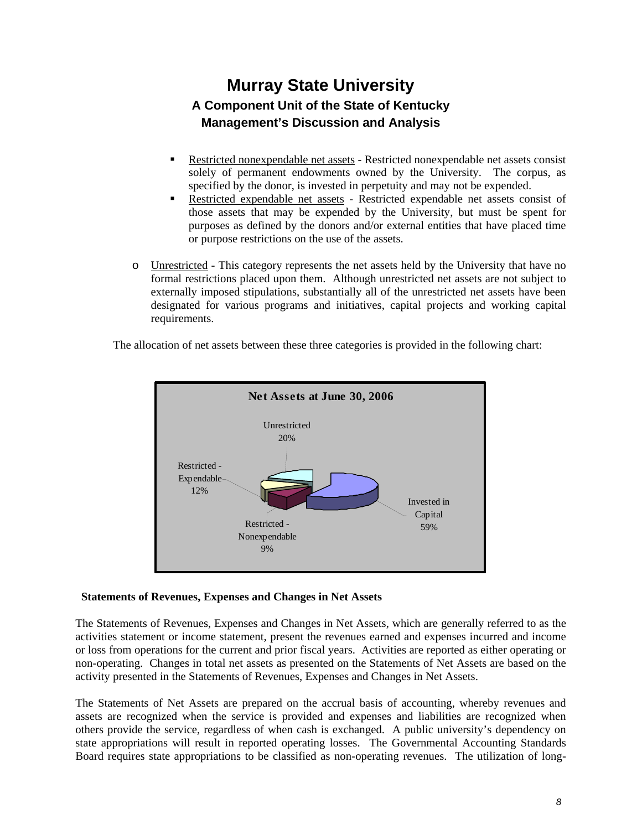- Restricted nonexpendable net assets Restricted nonexpendable net assets consist solely of permanent endowments owned by the University. The corpus, as specified by the donor, is invested in perpetuity and may not be expended.
- Restricted expendable net assets Restricted expendable net assets consist of those assets that may be expended by the University, but must be spent for purposes as defined by the donors and/or external entities that have placed time or purpose restrictions on the use of the assets.
- o Unrestricted This category represents the net assets held by the University that have no formal restrictions placed upon them. Although unrestricted net assets are not subject to externally imposed stipulations, substantially all of the unrestricted net assets have been designated for various programs and initiatives, capital projects and working capital requirements.

**Net Assets at June 30, 2006** Invested in Capital 59% Unrestricted 20% Restricted - Expendable 12% Restricted - Nonexpendable 9%

The allocation of net assets between these three categories is provided in the following chart:

### **Statements of Revenues, Expenses and Changes in Net Assets**

The Statements of Revenues, Expenses and Changes in Net Assets, which are generally referred to as the activities statement or income statement, present the revenues earned and expenses incurred and income or loss from operations for the current and prior fiscal years. Activities are reported as either operating or non-operating. Changes in total net assets as presented on the Statements of Net Assets are based on the activity presented in the Statements of Revenues, Expenses and Changes in Net Assets.

The Statements of Net Assets are prepared on the accrual basis of accounting, whereby revenues and assets are recognized when the service is provided and expenses and liabilities are recognized when others provide the service, regardless of when cash is exchanged. A public university's dependency on state appropriations will result in reported operating losses. The Governmental Accounting Standards Board requires state appropriations to be classified as non-operating revenues. The utilization of long-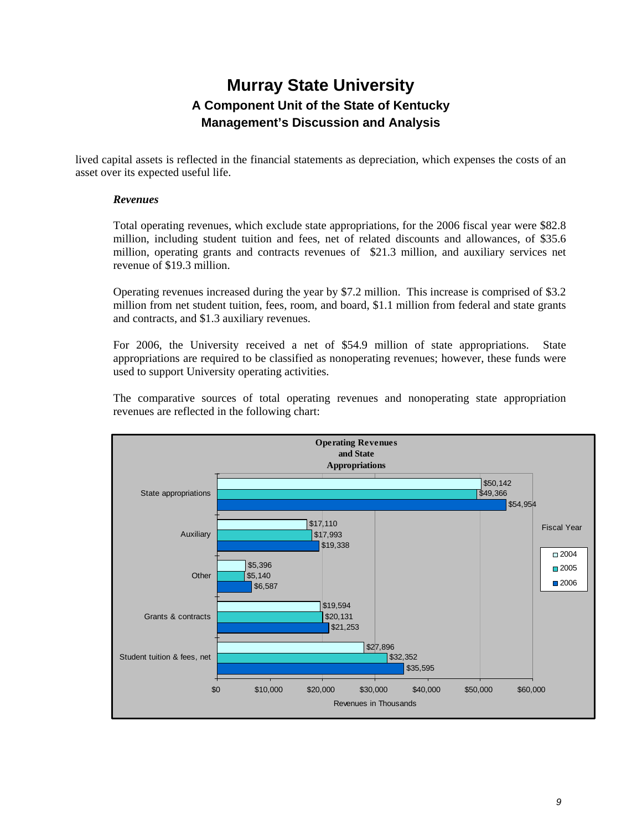lived capital assets is reflected in the financial statements as depreciation, which expenses the costs of an asset over its expected useful life.

#### *Revenues*

Total operating revenues, which exclude state appropriations, for the 2006 fiscal year were \$82.8 million, including student tuition and fees, net of related discounts and allowances, of \$35.6 million, operating grants and contracts revenues of \$21.3 million, and auxiliary services net revenue of \$19.3 million.

Operating revenues increased during the year by \$7.2 million. This increase is comprised of \$3.2 million from net student tuition, fees, room, and board, \$1.1 million from federal and state grants and contracts, and \$1.3 auxiliary revenues.

For 2006, the University received a net of \$54.9 million of state appropriations. State appropriations are required to be classified as nonoperating revenues; however, these funds were used to support University operating activities.

The comparative sources of total operating revenues and nonoperating state appropriation revenues are reflected in the following chart:

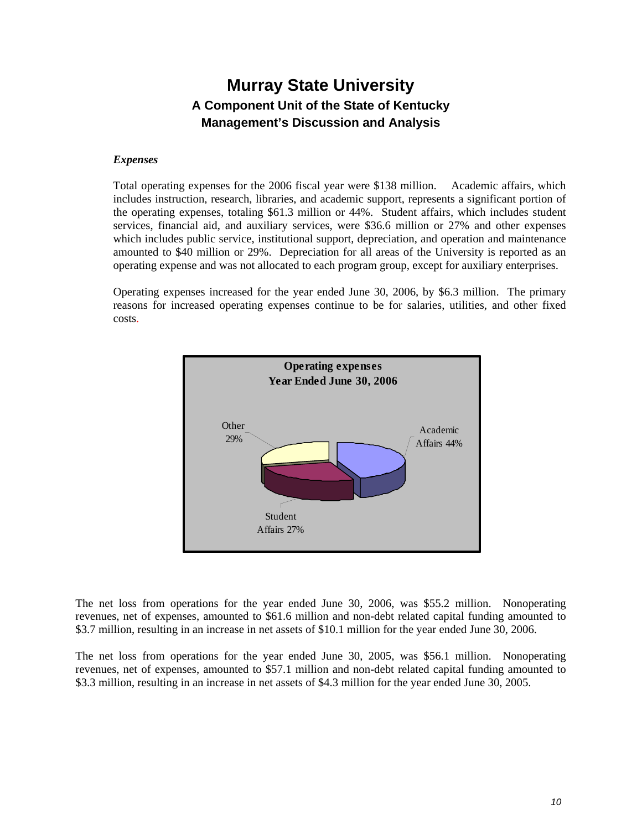#### *Expenses*

Total operating expenses for the 2006 fiscal year were \$138 million. Academic affairs, which includes instruction, research, libraries, and academic support, represents a significant portion of the operating expenses, totaling \$61.3 million or 44%. Student affairs, which includes student services, financial aid, and auxiliary services, were \$36.6 million or 27% and other expenses which includes public service, institutional support, depreciation, and operation and maintenance amounted to \$40 million or 29%. Depreciation for all areas of the University is reported as an operating expense and was not allocated to each program group, except for auxiliary enterprises.

Operating expenses increased for the year ended June 30, 2006, by \$6.3 million. The primary reasons for increased operating expenses continue to be for salaries, utilities, and other fixed costs.



The net loss from operations for the year ended June 30, 2006, was \$55.2 million. Nonoperating revenues, net of expenses, amounted to \$61.6 million and non-debt related capital funding amounted to \$3.7 million, resulting in an increase in net assets of \$10.1 million for the year ended June 30, 2006.

The net loss from operations for the year ended June 30, 2005, was \$56.1 million. Nonoperating revenues, net of expenses, amounted to \$57.1 million and non-debt related capital funding amounted to \$3.3 million, resulting in an increase in net assets of \$4.3 million for the year ended June 30, 2005.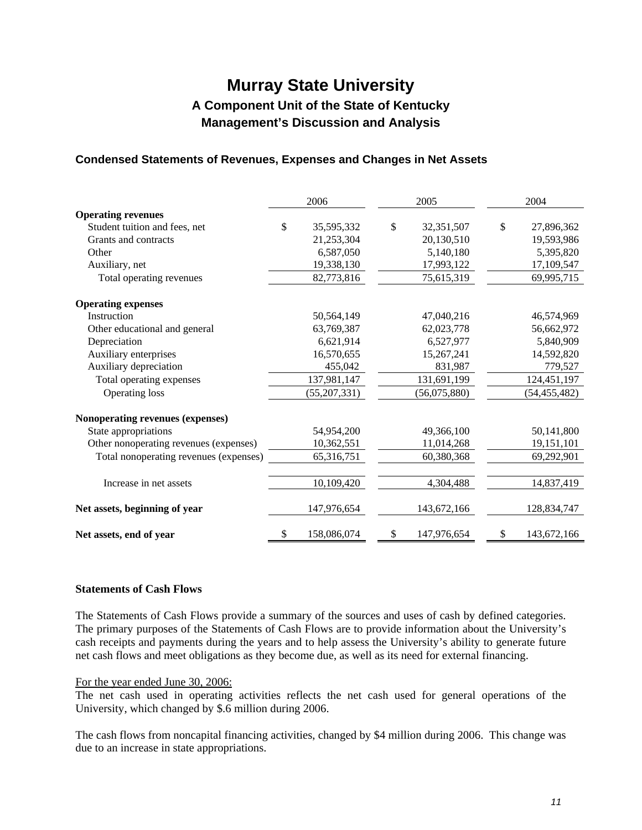### **Condensed Statements of Revenues, Expenses and Changes in Net Assets**

|                                        | 2006              | 2005         |              |    |                | 2004 |  |
|----------------------------------------|-------------------|--------------|--------------|----|----------------|------|--|
| <b>Operating revenues</b>              |                   |              |              |    |                |      |  |
| Student tuition and fees, net          | \$<br>35,595,332  | $\mathbb{S}$ | 32,351,507   | \$ | 27,896,362     |      |  |
| Grants and contracts                   | 21,253,304        |              | 20,130,510   |    | 19,593,986     |      |  |
| Other                                  | 6,587,050         |              | 5,140,180    |    | 5,395,820      |      |  |
| Auxiliary, net                         | 19,338,130        |              | 17,993,122   |    | 17,109,547     |      |  |
| Total operating revenues               | 82,773,816        |              | 75,615,319   |    | 69,995,715     |      |  |
| <b>Operating expenses</b>              |                   |              |              |    |                |      |  |
| Instruction                            | 50,564,149        |              | 47,040,216   |    | 46,574,969     |      |  |
| Other educational and general          | 63,769,387        |              | 62,023,778   |    | 56,662,972     |      |  |
| Depreciation                           | 6,621,914         |              | 6,527,977    |    | 5,840,909      |      |  |
| Auxiliary enterprises                  | 16,570,655        |              | 15,267,241   |    | 14,592,820     |      |  |
| Auxiliary depreciation                 | 455,042           |              | 831,987      |    | 779,527        |      |  |
| Total operating expenses               | 137,981,147       |              | 131,691,199  |    | 124,451,197    |      |  |
| Operating loss                         | (55,207,331)      |              | (56,075,880) |    | (54, 455, 482) |      |  |
| Nonoperating revenues (expenses)       |                   |              |              |    |                |      |  |
| State appropriations                   | 54,954,200        |              | 49,366,100   |    | 50,141,800     |      |  |
| Other nonoperating revenues (expenses) | 10,362,551        |              | 11,014,268   |    | 19,151,101     |      |  |
| Total nonoperating revenues (expenses) | 65,316,751        |              | 60,380,368   |    | 69,292,901     |      |  |
| Increase in net assets                 | 10,109,420        |              | 4,304,488    |    | 14,837,419     |      |  |
| Net assets, beginning of year          | 147,976,654       |              | 143,672,166  |    | 128,834,747    |      |  |
| Net assets, end of year                | \$<br>158,086,074 | \$           | 147,976,654  | S  | 143,672,166    |      |  |

#### **Statements of Cash Flows**

The Statements of Cash Flows provide a summary of the sources and uses of cash by defined categories. The primary purposes of the Statements of Cash Flows are to provide information about the University's cash receipts and payments during the years and to help assess the University's ability to generate future net cash flows and meet obligations as they become due, as well as its need for external financing.

#### For the year ended June 30, 2006:

The net cash used in operating activities reflects the net cash used for general operations of the University, which changed by \$.6 million during 2006.

The cash flows from noncapital financing activities, changed by \$4 million during 2006. This change was due to an increase in state appropriations.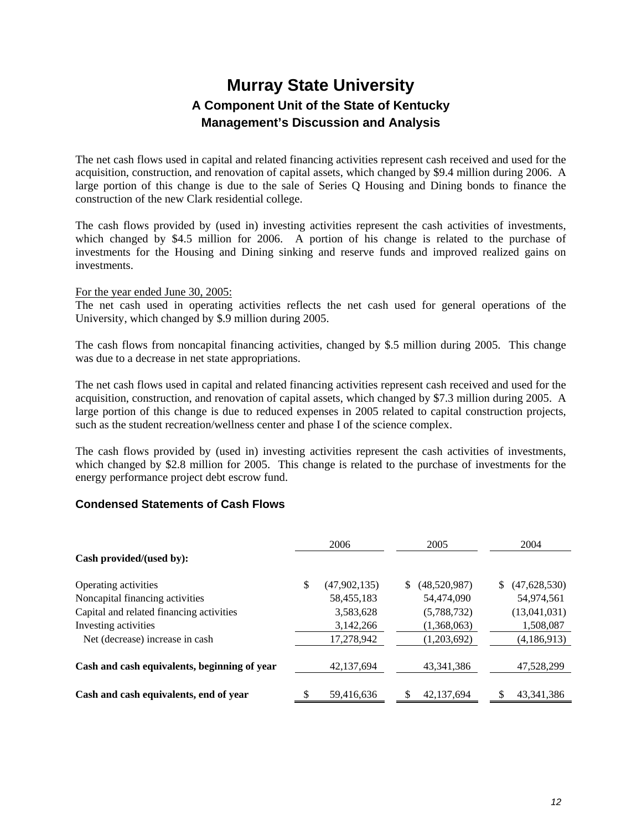The net cash flows used in capital and related financing activities represent cash received and used for the acquisition, construction, and renovation of capital assets, which changed by \$9.4 million during 2006. A large portion of this change is due to the sale of Series Q Housing and Dining bonds to finance the construction of the new Clark residential college.

The cash flows provided by (used in) investing activities represent the cash activities of investments, which changed by \$4.5 million for 2006. A portion of his change is related to the purchase of investments for the Housing and Dining sinking and reserve funds and improved realized gains on investments.

#### For the year ended June 30, 2005:

The net cash used in operating activities reflects the net cash used for general operations of the University, which changed by \$.9 million during 2005.

The cash flows from noncapital financing activities, changed by \$.5 million during 2005. This change was due to a decrease in net state appropriations.

The net cash flows used in capital and related financing activities represent cash received and used for the acquisition, construction, and renovation of capital assets, which changed by \$7.3 million during 2005. A large portion of this change is due to reduced expenses in 2005 related to capital construction projects, such as the student recreation/wellness center and phase I of the science complex.

The cash flows provided by (used in) investing activities represent the cash activities of investments, which changed by \$2.8 million for 2005. This change is related to the purchase of investments for the energy performance project debt escrow fund.

### **Condensed Statements of Cash Flows**

|                                              | 2006                 |    | 2005         | 2004          |
|----------------------------------------------|----------------------|----|--------------|---------------|
| Cash provided/(used by):                     |                      |    |              |               |
| Operating activities                         | \$<br>(47, 902, 135) | S. | (48,520,987) | (47,628,530)  |
| Noncapital financing activities              | 58,455,183           |    | 54,474,090   | 54,974,561    |
| Capital and related financing activities     | 3,583,628            |    | (5,788,732)  | (13,041,031)  |
| Investing activities                         | 3,142,266            |    | (1,368,063)  | 1,508,087     |
| Net (decrease) increase in cash              | 17,278,942           |    | (1,203,692)  | (4, 186, 913) |
| Cash and cash equivalents, beginning of year | 42,137,694           |    | 43, 341, 386 | 47,528,299    |
| Cash and cash equivalents, end of year       | 59,416,636           |    | 42,137,694   | 43, 341, 386  |
|                                              |                      |    |              |               |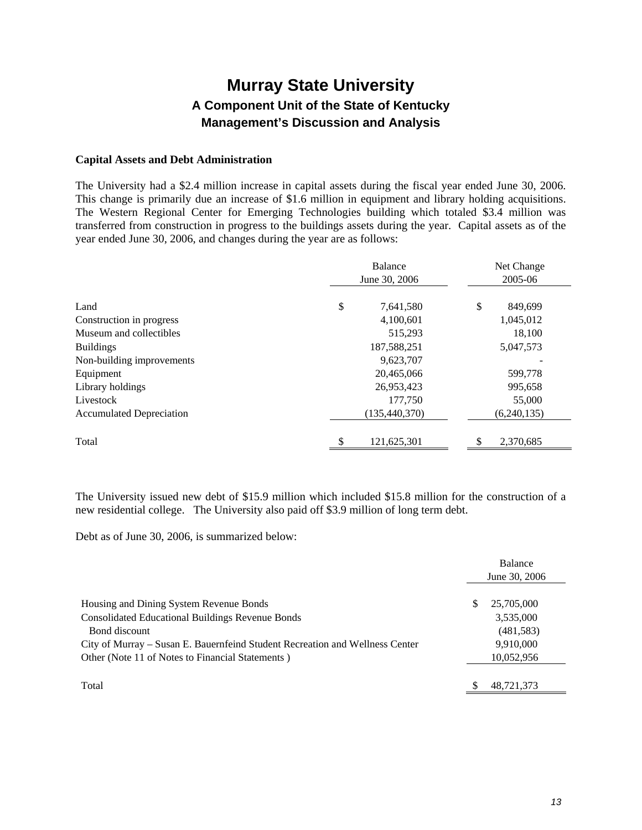#### **Capital Assets and Debt Administration**

The University had a \$2.4 million increase in capital assets during the fiscal year ended June 30, 2006. This change is primarily due an increase of \$1.6 million in equipment and library holding acquisitions. The Western Regional Center for Emerging Technologies building which totaled \$3.4 million was transferred from construction in progress to the buildings assets during the year. Capital assets as of the year ended June 30, 2006, and changes during the year are as follows:

|                                                     | Balance<br>June 30, 2006 |                          | Net Change<br>2005-06 |
|-----------------------------------------------------|--------------------------|--------------------------|-----------------------|
| Land                                                | \$                       | 7,641,580                | \$<br>849,699         |
| Construction in progress<br>Museum and collectibles |                          | 4,100,601<br>515,293     | 1,045,012<br>18,100   |
| <b>Buildings</b><br>Non-building improvements       |                          | 187,588,251<br>9,623,707 | 5,047,573             |
| Equipment                                           |                          | 20,465,066               | 599,778               |
| Library holdings<br>Livestock                       |                          | 26,953,423<br>177,750    | 995,658<br>55,000     |
| <b>Accumulated Depreciation</b>                     |                          | (135, 440, 370)          | (6,240,135)           |
| Total                                               | \$                       | 121,625,301              | \$<br>2,370,685       |

The University issued new debt of \$15.9 million which included \$15.8 million for the construction of a new residential college. The University also paid off \$3.9 million of long term debt.

Debt as of June 30, 2006, is summarized below:

|                                                                              |   | <b>Balance</b> |
|------------------------------------------------------------------------------|---|----------------|
|                                                                              |   | June 30, 2006  |
|                                                                              |   |                |
| Housing and Dining System Revenue Bonds                                      | S | 25,705,000     |
| <b>Consolidated Educational Buildings Revenue Bonds</b>                      |   | 3,535,000      |
| Bond discount                                                                |   | (481, 583)     |
| City of Murray – Susan E. Bauernfeind Student Recreation and Wellness Center |   | 9,910,000      |
| Other (Note 11 of Notes to Financial Statements)                             |   | 10,052,956     |
|                                                                              |   |                |
| Total                                                                        |   | 48,721,373     |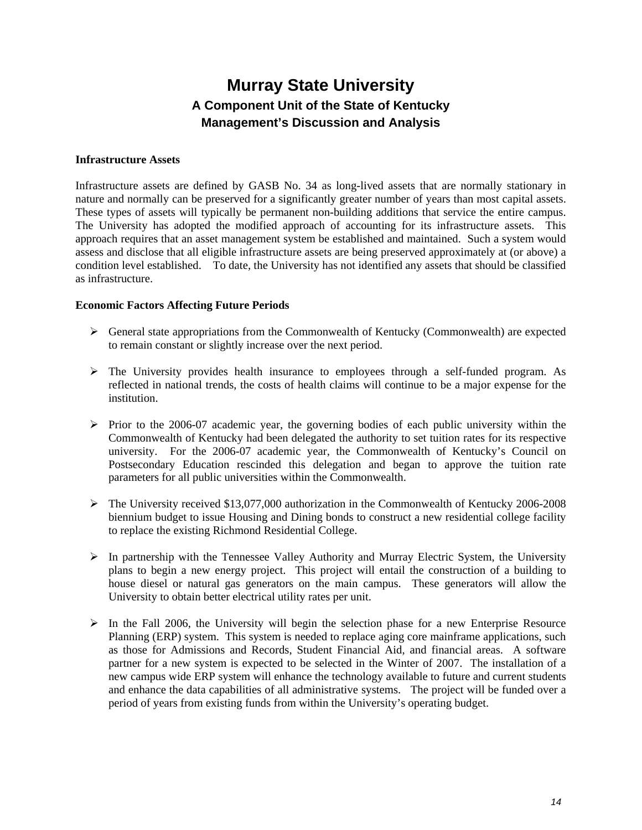#### **Infrastructure Assets**

Infrastructure assets are defined by GASB No. 34 as long-lived assets that are normally stationary in nature and normally can be preserved for a significantly greater number of years than most capital assets. These types of assets will typically be permanent non-building additions that service the entire campus. The University has adopted the modified approach of accounting for its infrastructure assets. This approach requires that an asset management system be established and maintained. Such a system would assess and disclose that all eligible infrastructure assets are being preserved approximately at (or above) a condition level established. To date, the University has not identified any assets that should be classified as infrastructure.

#### **Economic Factors Affecting Future Periods**

- $\triangleright$  General state appropriations from the Commonwealth of Kentucky (Commonwealth) are expected to remain constant or slightly increase over the next period.
- $\triangleright$  The University provides health insurance to employees through a self-funded program. As reflected in national trends, the costs of health claims will continue to be a major expense for the institution.
- $\triangleright$  Prior to the 2006-07 academic year, the governing bodies of each public university within the Commonwealth of Kentucky had been delegated the authority to set tuition rates for its respective university. For the 2006-07 academic year, the Commonwealth of Kentucky's Council on Postsecondary Education rescinded this delegation and began to approve the tuition rate parameters for all public universities within the Commonwealth.
- $\triangleright$  The University received \$13,077,000 authorization in the Commonwealth of Kentucky 2006-2008 biennium budget to issue Housing and Dining bonds to construct a new residential college facility to replace the existing Richmond Residential College.
- ¾ In partnership with the Tennessee Valley Authority and Murray Electric System, the University plans to begin a new energy project. This project will entail the construction of a building to house diesel or natural gas generators on the main campus. These generators will allow the University to obtain better electrical utility rates per unit.
- $\triangleright$  In the Fall 2006, the University will begin the selection phase for a new Enterprise Resource Planning (ERP) system. This system is needed to replace aging core mainframe applications, such as those for Admissions and Records, Student Financial Aid, and financial areas. A software partner for a new system is expected to be selected in the Winter of 2007. The installation of a new campus wide ERP system will enhance the technology available to future and current students and enhance the data capabilities of all administrative systems. The project will be funded over a period of years from existing funds from within the University's operating budget.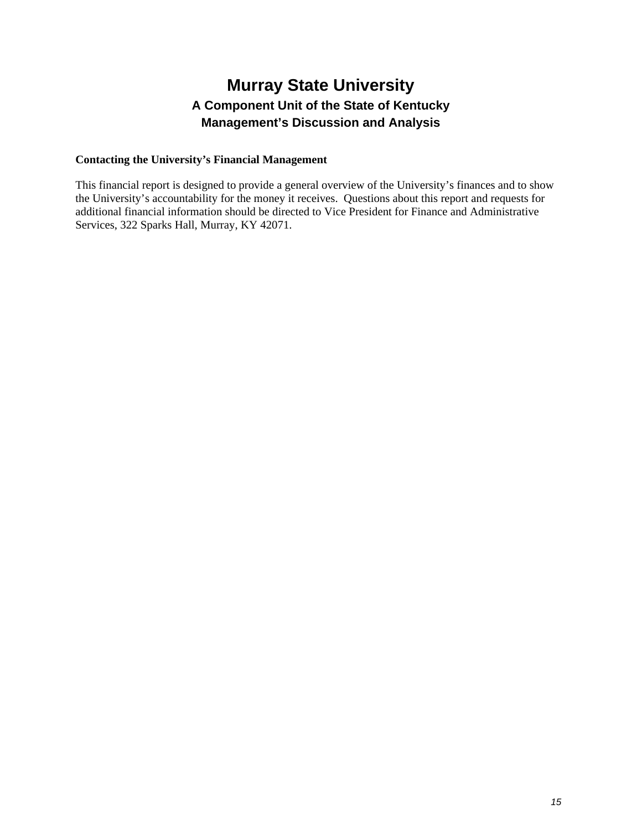#### **Contacting the University's Financial Management**

This financial report is designed to provide a general overview of the University's finances and to show the University's accountability for the money it receives. Questions about this report and requests for additional financial information should be directed to Vice President for Finance and Administrative Services, 322 Sparks Hall, Murray, KY 42071.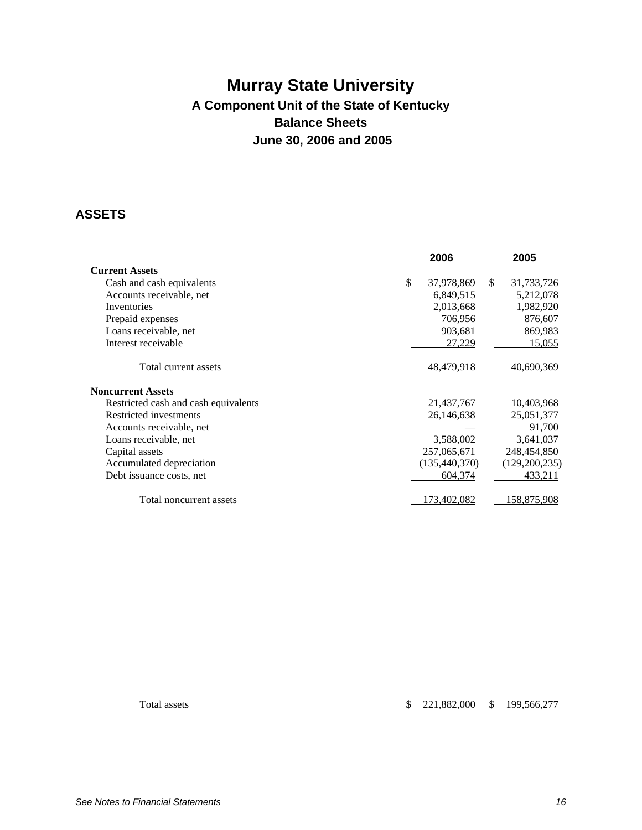# **Murray State University A Component Unit of the State of Kentucky Balance Sheets June 30, 2006 and 2005**

### **ASSETS**

|                                      | 2006              |     | 2005          |
|--------------------------------------|-------------------|-----|---------------|
| <b>Current Assets</b>                |                   |     |               |
| Cash and cash equivalents            | \$<br>37,978,869  | \$. | 31,733,726    |
| Accounts receivable, net             | 6,849,515         |     | 5,212,078     |
| Inventories                          | 2,013,668         |     | 1,982,920     |
| Prepaid expenses                     | 706,956           |     | 876,607       |
| Loans receivable, net                | 903,681           |     | 869,983       |
| Interest receivable                  | 27,229            |     | 15,055        |
| Total current assets                 | <u>48,479,918</u> |     | 40,690,369    |
| <b>Noncurrent Assets</b>             |                   |     |               |
| Restricted cash and cash equivalents | 21,437,767        |     | 10,403,968    |
| Restricted investments               | 26,146,638        |     | 25,051,377    |
| Accounts receivable, net             |                   |     | 91,700        |
| Loans receivable, net                | 3,588,002         |     | 3,641,037     |
| Capital assets                       | 257,065,671       |     | 248,454,850   |
| Accumulated depreciation             | (135, 440, 370)   |     | (129,200,235) |
| Debt issuance costs, net             | 604,374           |     | 433,211       |
| Total noncurrent assets              | 173,402,082       |     | 158,875,908   |

Total assets  $$ 221,882,000 $ 199,566,277$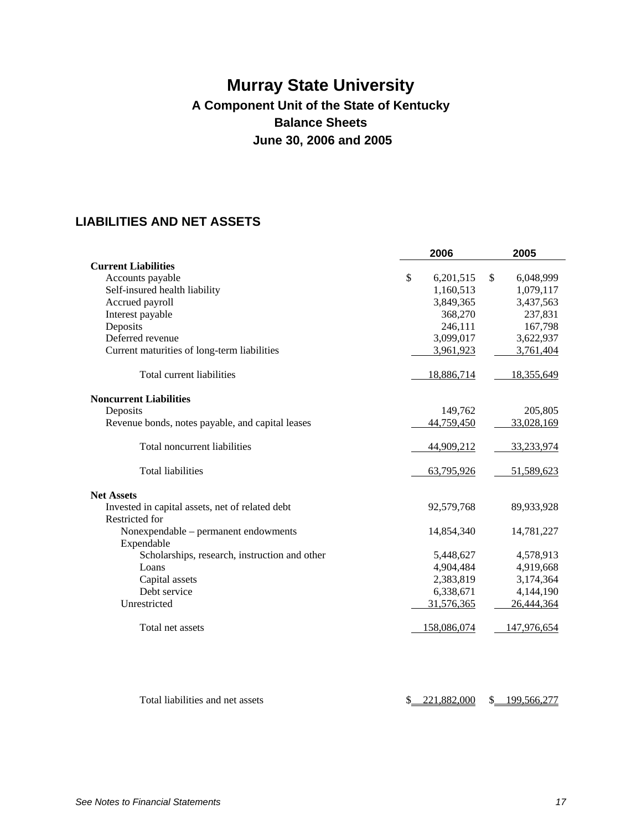# **Murray State University A Component Unit of the State of Kentucky Balance Sheets June 30, 2006 and 2005**

# **LIABILITIES AND NET ASSETS**

| <b>Current Liabilities</b><br>\$<br>Accounts payable<br>Self-insured health liability<br>Accrued payroll<br>Interest payable<br>Deposits<br>Deferred revenue<br>Current maturities of long-term liabilities<br>Total current liabilities<br><b>Noncurrent Liabilities</b><br>Deposits<br>Revenue bonds, notes payable, and capital leases<br>Total noncurrent liabilities<br><b>Total liabilities</b> | 6,201,515<br>1,160,513<br>3,849,365<br>368,270<br>246,111<br>3,099,017<br>3,961,923<br>18,886,714<br>149,762<br>44,759,450<br>44,909,212 | \$<br>6,048,999<br>1,079,117<br>3,437,563<br>237,831<br>167,798<br>3,622,937<br>3,761,404<br>18,355,649<br>205,805<br>33,028,169 |
|-------------------------------------------------------------------------------------------------------------------------------------------------------------------------------------------------------------------------------------------------------------------------------------------------------------------------------------------------------------------------------------------------------|------------------------------------------------------------------------------------------------------------------------------------------|----------------------------------------------------------------------------------------------------------------------------------|
|                                                                                                                                                                                                                                                                                                                                                                                                       |                                                                                                                                          |                                                                                                                                  |
|                                                                                                                                                                                                                                                                                                                                                                                                       |                                                                                                                                          |                                                                                                                                  |
|                                                                                                                                                                                                                                                                                                                                                                                                       |                                                                                                                                          |                                                                                                                                  |
|                                                                                                                                                                                                                                                                                                                                                                                                       |                                                                                                                                          |                                                                                                                                  |
|                                                                                                                                                                                                                                                                                                                                                                                                       |                                                                                                                                          |                                                                                                                                  |
|                                                                                                                                                                                                                                                                                                                                                                                                       |                                                                                                                                          |                                                                                                                                  |
|                                                                                                                                                                                                                                                                                                                                                                                                       |                                                                                                                                          |                                                                                                                                  |
|                                                                                                                                                                                                                                                                                                                                                                                                       |                                                                                                                                          |                                                                                                                                  |
|                                                                                                                                                                                                                                                                                                                                                                                                       |                                                                                                                                          |                                                                                                                                  |
|                                                                                                                                                                                                                                                                                                                                                                                                       |                                                                                                                                          |                                                                                                                                  |
|                                                                                                                                                                                                                                                                                                                                                                                                       |                                                                                                                                          |                                                                                                                                  |
|                                                                                                                                                                                                                                                                                                                                                                                                       |                                                                                                                                          |                                                                                                                                  |
|                                                                                                                                                                                                                                                                                                                                                                                                       |                                                                                                                                          | 33,233,974                                                                                                                       |
|                                                                                                                                                                                                                                                                                                                                                                                                       | 63,795,926                                                                                                                               | 51,589,623                                                                                                                       |
| <b>Net Assets</b>                                                                                                                                                                                                                                                                                                                                                                                     |                                                                                                                                          |                                                                                                                                  |
| Invested in capital assets, net of related debt<br>Restricted for                                                                                                                                                                                                                                                                                                                                     | 92,579,768                                                                                                                               | 89,933,928                                                                                                                       |
| Nonexpendable - permanent endowments<br>Expendable                                                                                                                                                                                                                                                                                                                                                    | 14,854,340                                                                                                                               | 14,781,227                                                                                                                       |
| Scholarships, research, instruction and other                                                                                                                                                                                                                                                                                                                                                         | 5,448,627                                                                                                                                | 4,578,913                                                                                                                        |
| Loans                                                                                                                                                                                                                                                                                                                                                                                                 | 4,904,484                                                                                                                                | 4,919,668                                                                                                                        |
| Capital assets                                                                                                                                                                                                                                                                                                                                                                                        | 2,383,819                                                                                                                                | 3,174,364                                                                                                                        |
| Debt service                                                                                                                                                                                                                                                                                                                                                                                          | 6,338,671                                                                                                                                | 4,144,190                                                                                                                        |
| Unrestricted                                                                                                                                                                                                                                                                                                                                                                                          | 31,576,365                                                                                                                               | 26,444,364                                                                                                                       |
| Total net assets                                                                                                                                                                                                                                                                                                                                                                                      | 158,086,074                                                                                                                              | 147,976,654                                                                                                                      |

Total liabilities and net assets  $$ 221,882,000 $ 199,566,277$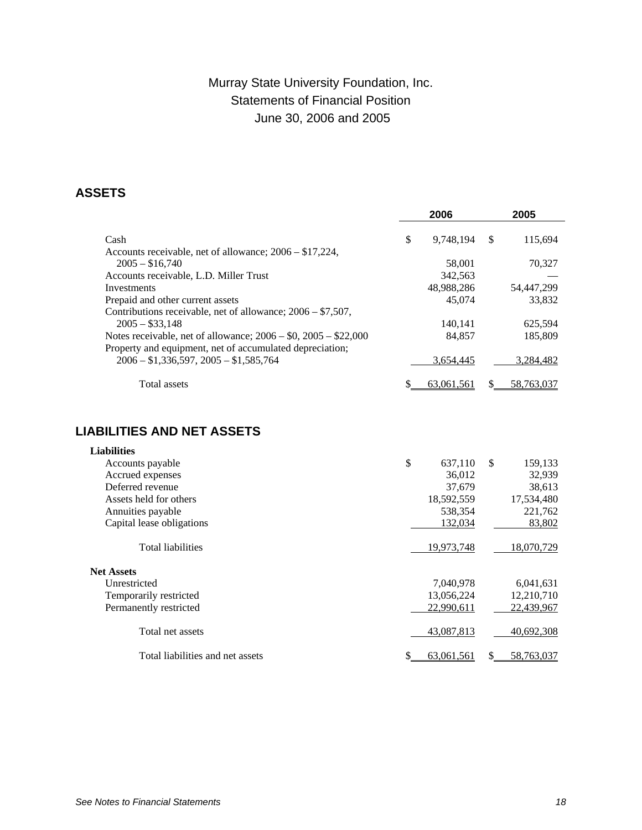# Murray State University Foundation, Inc. Statements of Financial Position June 30, 2006 and 2005

### **ASSETS**

|                                                               | 2006            |   | 2005       |
|---------------------------------------------------------------|-----------------|---|------------|
| Cash                                                          | \$<br>9,748,194 | S | 115,694    |
| Accounts receivable, net of allowance; $2006 - $17,224$ ,     |                 |   |            |
| $2005 - $16,740$                                              | 58,001          |   | 70,327     |
| Accounts receivable, L.D. Miller Trust                        | 342,563         |   |            |
| Investments                                                   | 48,988,286      |   | 54,447,299 |
| Prepaid and other current assets                              | 45,074          |   | 33,832     |
| Contributions receivable, net of allowance; $2006 - $7,507$ , |                 |   |            |
| $2005 - $33.148$                                              | 140.141         |   | 625.594    |
| Notes receivable, net of allowance; $2006 - 0.2005 - 22,000$  | 84.857          |   | 185,809    |
| Property and equipment, net of accumulated depreciation;      |                 |   |            |
| $2006 - $1,336,597, 2005 - $1,585,764$                        | 3.654.445       |   | 3,284,482  |
| Total assets                                                  | 63.061.561      |   | 58,763,037 |

# **LIABILITIES AND NET ASSETS**

| <b>Liabilities</b>               |               |              |            |
|----------------------------------|---------------|--------------|------------|
| Accounts payable                 | \$<br>637,110 | $\mathbb{S}$ | 159,133    |
| Accrued expenses                 | 36,012        |              | 32,939     |
| Deferred revenue                 | 37,679        |              | 38,613     |
| Assets held for others           | 18,592,559    |              | 17,534,480 |
| Annuities payable                | 538,354       |              | 221,762    |
| Capital lease obligations        | 132,034       |              | 83,802     |
| <b>Total liabilities</b>         | 19,973,748    |              | 18,070,729 |
| <b>Net Assets</b>                |               |              |            |
| Unrestricted                     | 7,040,978     |              | 6,041,631  |
| Temporarily restricted           | 13,056,224    |              | 12,210,710 |
| Permanently restricted           | 22,990,611    |              | 22,439,967 |
| Total net assets                 | 43,087,813    |              | 40,692,308 |
| Total liabilities and net assets | 63,061,561    | S            | 58,763,037 |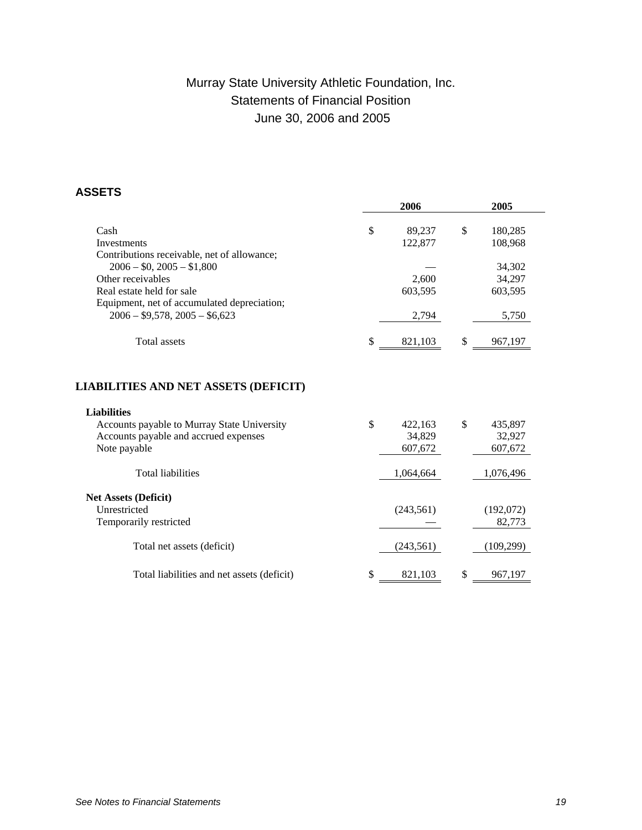# Murray State University Athletic Foundation, Inc. Statements of Financial Position June 30, 2006 and 2005

### **ASSETS**

|                                                                                                                                                                           | 2006                               | 2005                               |
|---------------------------------------------------------------------------------------------------------------------------------------------------------------------------|------------------------------------|------------------------------------|
| Cash                                                                                                                                                                      | \$<br>89,237                       | \$<br>180,285                      |
| Investments                                                                                                                                                               | 122,877                            | 108,968                            |
| Contributions receivable, net of allowance;                                                                                                                               |                                    |                                    |
| $2006 - $0, 2005 - $1,800$                                                                                                                                                |                                    | 34,302                             |
| Other receivables                                                                                                                                                         | 2,600                              | 34,297                             |
| Real estate held for sale                                                                                                                                                 | 603,595                            | 603,595                            |
| Equipment, net of accumulated depreciation;                                                                                                                               |                                    |                                    |
| $2006 - $9,578, 2005 - $6,623$                                                                                                                                            | 2,794                              | 5,750                              |
| <b>Total assets</b>                                                                                                                                                       | \$<br>821,103                      | \$<br>967,197                      |
| <b>LIABILITIES AND NET ASSETS (DEFICIT)</b><br><b>Liabilities</b><br>Accounts payable to Murray State University<br>Accounts payable and accrued expenses<br>Note payable | \$<br>422,163<br>34.829<br>607,672 | \$<br>435,897<br>32,927<br>607,672 |
| <b>Total liabilities</b>                                                                                                                                                  | 1,064,664                          | 1,076,496                          |
| <b>Net Assets (Deficit)</b>                                                                                                                                               |                                    |                                    |
| Unrestricted                                                                                                                                                              | (243, 561)                         | (192,072)                          |
| Temporarily restricted                                                                                                                                                    |                                    | 82,773                             |
| Total net assets (deficit)                                                                                                                                                | (243, 561)                         | (109, 299)                         |
| Total liabilities and net assets (deficit)                                                                                                                                | \$<br>821.103                      | \$<br>967,197                      |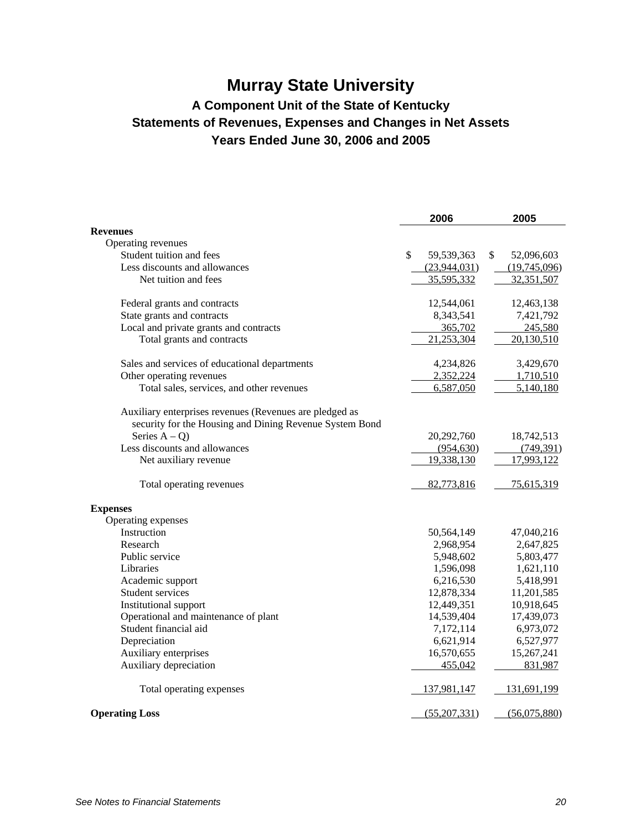# **Murray State University**

# **A Component Unit of the State of Kentucky Statements of Revenues, Expenses and Changes in Net Assets Years Ended June 30, 2006 and 2005**

|                                                         | 2006             | 2005             |
|---------------------------------------------------------|------------------|------------------|
| <b>Revenues</b>                                         |                  |                  |
| Operating revenues                                      |                  |                  |
| Student tuition and fees                                | \$<br>59,539,363 | \$<br>52,096,603 |
| Less discounts and allowances                           | (23,944,031)     | (19,745,096)     |
| Net tuition and fees                                    | 35,595,332       | 32,351,507       |
| Federal grants and contracts                            | 12,544,061       | 12,463,138       |
| State grants and contracts                              | 8,343,541        | 7,421,792        |
| Local and private grants and contracts                  | 365,702          | 245,580          |
| Total grants and contracts                              | 21,253,304       | 20,130,510       |
| Sales and services of educational departments           | 4,234,826        | 3,429,670        |
| Other operating revenues                                | 2,352,224        | 1,710,510        |
| Total sales, services, and other revenues               | 6,587,050        | 5,140,180        |
| Auxiliary enterprises revenues (Revenues are pledged as |                  |                  |
| security for the Housing and Dining Revenue System Bond |                  |                  |
| Series $A - Q$ )                                        | 20,292,760       | 18,742,513       |
| Less discounts and allowances                           | (954, 630)       | (749,391)        |
| Net auxiliary revenue                                   | 19,338,130       | 17,993,122       |
| Total operating revenues                                | 82,773,816       | 75,615,319       |
| <b>Expenses</b>                                         |                  |                  |
| Operating expenses                                      |                  |                  |
| Instruction                                             | 50,564,149       | 47,040,216       |
| Research                                                | 2,968,954        | 2,647,825        |
| Public service                                          | 5,948,602        | 5,803,477        |
| Libraries                                               | 1,596,098        | 1,621,110        |
| Academic support                                        | 6,216,530        | 5,418,991        |
| Student services                                        | 12,878,334       | 11,201,585       |
| Institutional support                                   | 12,449,351       | 10,918,645       |
| Operational and maintenance of plant                    | 14,539,404       | 17,439,073       |
| Student financial aid                                   | 7,172,114        | 6,973,072        |
| Depreciation                                            | 6,621,914        | 6,527,977        |
| Auxiliary enterprises                                   | 16,570,655       | 15,267,241       |
| Auxiliary depreciation                                  | 455,042          | 831,987          |
| Total operating expenses                                | 137,981,147      | 131,691,199      |
| <b>Operating Loss</b>                                   | (55,207,331)     | (56,075,880)     |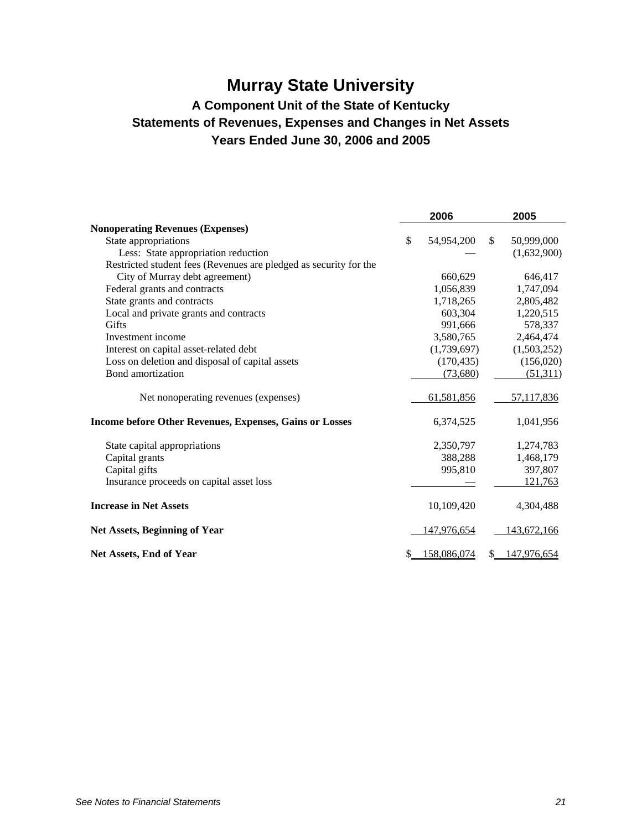# **Murray State University**

# **A Component Unit of the State of Kentucky Statements of Revenues, Expenses and Changes in Net Assets Years Ended June 30, 2006 and 2005**

|                                                                   | 2006              |               | 2005        |
|-------------------------------------------------------------------|-------------------|---------------|-------------|
| <b>Nonoperating Revenues (Expenses)</b>                           |                   |               |             |
| State appropriations                                              | \$<br>54,954,200  | <sup>\$</sup> | 50,999,000  |
| Less: State appropriation reduction                               |                   |               | (1,632,900) |
| Restricted student fees (Revenues are pledged as security for the |                   |               |             |
| City of Murray debt agreement)                                    | 660,629           |               | 646,417     |
| Federal grants and contracts                                      | 1,056,839         |               | 1,747,094   |
| State grants and contracts                                        | 1,718,265         |               | 2,805,482   |
| Local and private grants and contracts                            | 603,304           |               | 1,220,515   |
| <b>Gifts</b>                                                      | 991,666           |               | 578,337     |
| Investment income                                                 | 3,580,765         |               | 2,464,474   |
| Interest on capital asset-related debt                            | (1,739,697)       |               | (1,503,252) |
| Loss on deletion and disposal of capital assets                   | (170, 435)        |               | (156,020)   |
| Bond amortization                                                 | (73,680)          |               | (51,311)    |
| Net nonoperating revenues (expenses)                              | 61,581,856        |               | 57,117,836  |
| <b>Income before Other Revenues, Expenses, Gains or Losses</b>    | 6,374,525         |               | 1,041,956   |
| State capital appropriations                                      | 2,350,797         |               | 1,274,783   |
| Capital grants                                                    | 388,288           |               | 1,468,179   |
| Capital gifts                                                     | 995,810           |               | 397,807     |
| Insurance proceeds on capital asset loss                          |                   |               | 121,763     |
| <b>Increase in Net Assets</b>                                     | 10,109,420        |               | 4,304,488   |
| <b>Net Assets, Beginning of Year</b>                              | 147,976,654       |               | 143,672,166 |
| Net Assets, End of Year                                           | \$<br>158,086,074 | \$.           | 147,976,654 |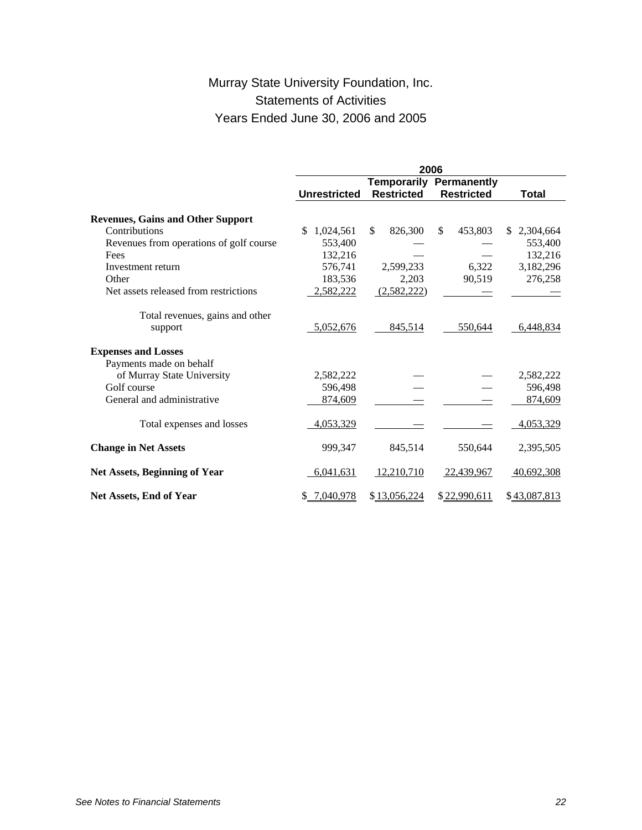# Murray State University Foundation, Inc. Statements of Activities Years Ended June 30, 2006 and 2005

|                                                       | 2006                |                   |                                |                |  |
|-------------------------------------------------------|---------------------|-------------------|--------------------------------|----------------|--|
|                                                       |                     |                   | <b>Temporarily Permanently</b> |                |  |
|                                                       | <b>Unrestricted</b> | <b>Restricted</b> | <b>Restricted</b>              | <b>Total</b>   |  |
| <b>Revenues, Gains and Other Support</b>              |                     |                   |                                |                |  |
| Contributions                                         | S<br>1,024,561      | \$<br>826,300     | \$<br>453,803                  | 2,304,664<br>S |  |
| Revenues from operations of golf course               | 553,400             |                   |                                | 553,400        |  |
| Fees                                                  | 132,216             |                   |                                | 132,216        |  |
| Investment return                                     | 576,741             | 2,599,233         | 6.322                          | 3,182,296      |  |
| Other                                                 | 183,536             | 2,203             | 90,519                         | 276,258        |  |
| Net assets released from restrictions                 | 2,582,222           | (2,582,222)       |                                |                |  |
|                                                       |                     |                   |                                |                |  |
| Total revenues, gains and other                       |                     |                   |                                |                |  |
| support                                               | 5,052,676           | 845,514           | 550,644                        | 6,448,834      |  |
| <b>Expenses and Losses</b><br>Payments made on behalf |                     |                   |                                |                |  |
| of Murray State University                            | 2,582,222           |                   |                                | 2,582,222      |  |
| Golf course                                           | 596,498             |                   |                                | 596,498        |  |
| General and administrative                            | 874,609             |                   |                                | 874,609        |  |
|                                                       |                     |                   |                                |                |  |
| Total expenses and losses                             | 4,053,329           |                   |                                | 4,053,329      |  |
| <b>Change in Net Assets</b>                           | 999,347             | 845,514           | 550,644                        | 2,395,505      |  |
| <b>Net Assets, Beginning of Year</b>                  | 6,041,631           | 12,210,710        | 22,439,967                     | 40,692,308     |  |
| <b>Net Assets, End of Year</b>                        | 7,040,978           | \$13,056,224      | \$22,990,611                   | \$43,087,813   |  |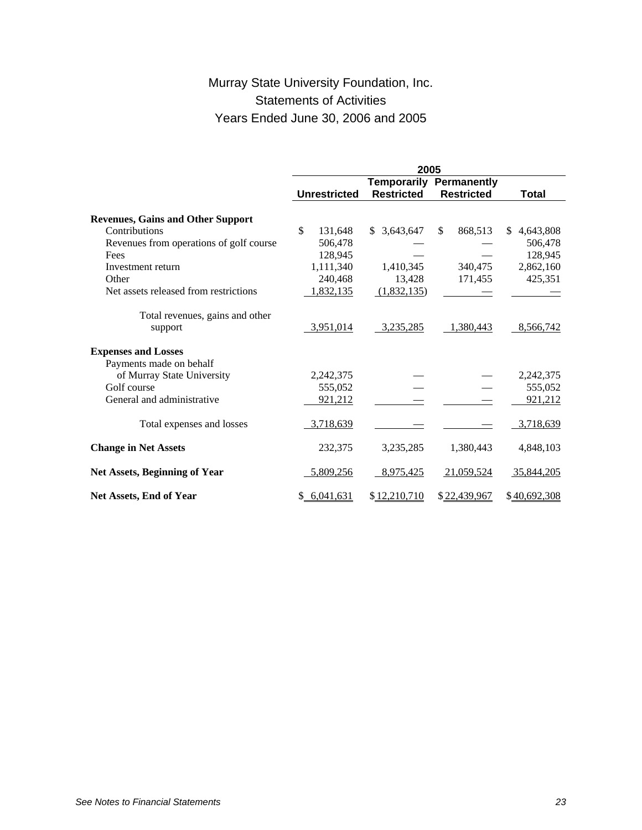# Murray State University Foundation, Inc. Statements of Activities Years Ended June 30, 2006 and 2005

|                                          | 2005                |                    |                   |                   |  |
|------------------------------------------|---------------------|--------------------|-------------------|-------------------|--|
|                                          |                     | <b>Temporarily</b> | Permanently       |                   |  |
|                                          | <b>Unrestricted</b> | <b>Restricted</b>  | <b>Restricted</b> | <b>Total</b>      |  |
| <b>Revenues, Gains and Other Support</b> |                     |                    |                   |                   |  |
| Contributions                            | \$<br>131,648       | \$3,643,647        | 868,513<br>\$     | 4,643,808<br>\$.  |  |
|                                          |                     |                    |                   |                   |  |
| Revenues from operations of golf course  | 506,478             |                    |                   | 506,478           |  |
| Fees                                     | 128,945             |                    |                   | 128,945           |  |
| Investment return                        | 1,111,340           | 1,410,345          | 340,475           | 2,862,160         |  |
| Other                                    | 240,468             | 13,428             | 171,455           | 425,351           |  |
| Net assets released from restrictions    | 1,832,135           | (1,832,135)        |                   |                   |  |
| Total revenues, gains and other          |                     |                    |                   |                   |  |
| support                                  | 3,951,014           | 3,235,285          | 1,380,443         | 8,566,742         |  |
| <b>Expenses and Losses</b>               |                     |                    |                   |                   |  |
| Payments made on behalf                  |                     |                    |                   |                   |  |
| of Murray State University               | 2,242,375           |                    |                   | 2,242,375         |  |
| Golf course                              | 555,052             |                    |                   | 555,052           |  |
| General and administrative               | 921,212             |                    |                   | 921,212           |  |
|                                          |                     |                    |                   |                   |  |
| Total expenses and losses                | 3,718,639           |                    |                   | 3,718,639         |  |
| <b>Change in Net Assets</b>              | 232,375             | 3,235,285          | 1,380,443         | 4,848,103         |  |
| <b>Net Assets, Beginning of Year</b>     | 5,809,256           | 8,975,425          | 21,059,524        | <u>35,844,205</u> |  |
| Net Assets, End of Year                  | 6,041,631           | \$12,210,710       | \$22,439,967      | \$40,692,308      |  |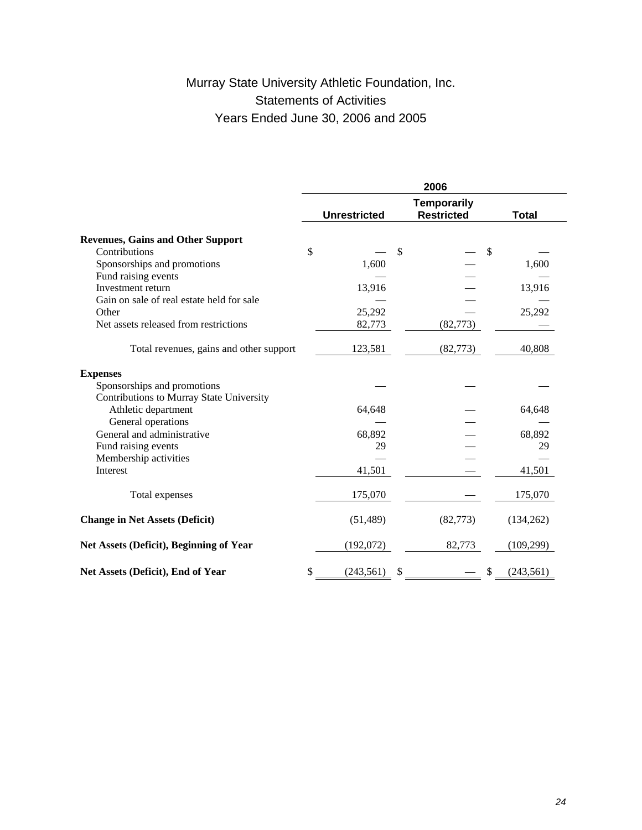# Murray State University Athletic Foundation, Inc. Statements of Activities Years Ended June 30, 2006 and 2005

|                                           | 2006 |                     |    |                                         |                           |              |
|-------------------------------------------|------|---------------------|----|-----------------------------------------|---------------------------|--------------|
|                                           |      | <b>Unrestricted</b> |    | <b>Temporarily</b><br><b>Restricted</b> |                           | <b>Total</b> |
| <b>Revenues, Gains and Other Support</b>  |      |                     |    |                                         |                           |              |
| Contributions                             | \$   |                     | \$ |                                         | $\boldsymbol{\mathsf{S}}$ |              |
| Sponsorships and promotions               |      | 1,600               |    |                                         |                           | 1,600        |
| Fund raising events                       |      |                     |    |                                         |                           |              |
| Investment return                         |      | 13,916              |    |                                         |                           | 13,916       |
| Gain on sale of real estate held for sale |      |                     |    |                                         |                           |              |
| Other                                     |      | 25,292              |    |                                         |                           | 25,292       |
| Net assets released from restrictions     |      | 82,773              |    | (82,773)                                |                           |              |
| Total revenues, gains and other support   |      | 123,581             |    | (82, 773)                               |                           | 40,808       |
| <b>Expenses</b>                           |      |                     |    |                                         |                           |              |
| Sponsorships and promotions               |      |                     |    |                                         |                           |              |
| Contributions to Murray State University  |      |                     |    |                                         |                           |              |
| Athletic department                       |      | 64,648              |    |                                         |                           | 64,648       |
| General operations                        |      |                     |    |                                         |                           |              |
| General and administrative                |      | 68,892              |    |                                         |                           | 68,892       |
| Fund raising events                       |      | 29                  |    |                                         |                           | 29           |
| Membership activities                     |      |                     |    |                                         |                           |              |
| Interest                                  |      | 41,501              |    |                                         |                           | 41,501       |
| Total expenses                            |      | 175,070             |    |                                         |                           | 175,070      |
| <b>Change in Net Assets (Deficit)</b>     |      | (51, 489)           |    | (82, 773)                               |                           | (134, 262)   |
| Net Assets (Deficit), Beginning of Year   |      | (192,072)           |    | 82,773                                  |                           | (109, 299)   |
| Net Assets (Deficit), End of Year         | \$   | (243, 561)          | \$ |                                         | \$                        | (243, 561)   |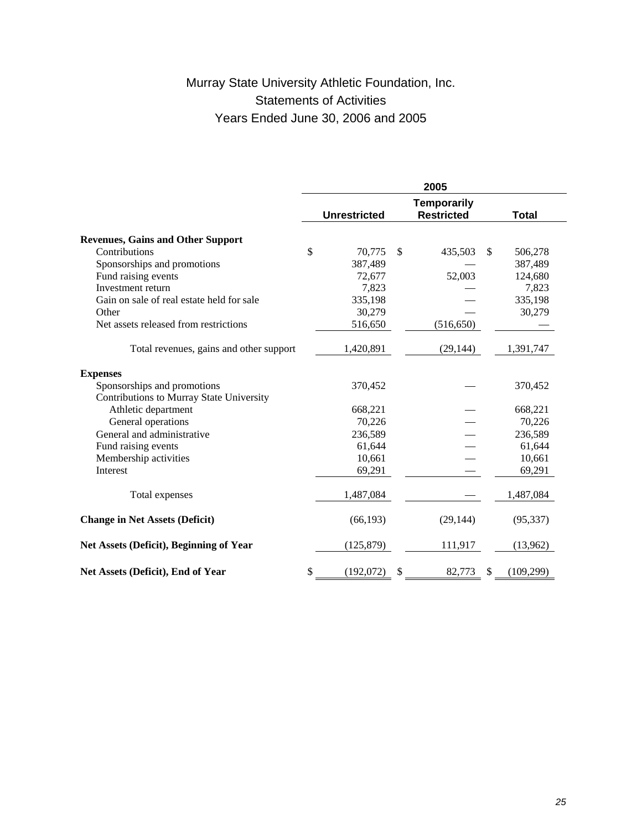# Murray State University Athletic Foundation, Inc. Statements of Activities Years Ended June 30, 2006 and 2005

|                                           | 2005 |                     |    |                                         |     |              |  |
|-------------------------------------------|------|---------------------|----|-----------------------------------------|-----|--------------|--|
|                                           |      | <b>Unrestricted</b> |    | <b>Temporarily</b><br><b>Restricted</b> |     | <b>Total</b> |  |
|                                           |      |                     |    |                                         |     |              |  |
| <b>Revenues, Gains and Other Support</b>  |      |                     |    |                                         |     |              |  |
| Contributions                             | \$   | 70,775              | \$ | 435,503                                 | \$. | 506,278      |  |
| Sponsorships and promotions               |      | 387,489             |    |                                         |     | 387,489      |  |
| Fund raising events                       |      | 72,677              |    | 52,003                                  |     | 124,680      |  |
| Investment return                         |      | 7,823               |    |                                         |     | 7,823        |  |
| Gain on sale of real estate held for sale |      | 335,198             |    |                                         |     | 335,198      |  |
| Other                                     |      | 30,279              |    |                                         |     | 30,279       |  |
| Net assets released from restrictions     |      | 516,650             |    | (516, 650)                              |     |              |  |
| Total revenues, gains and other support   |      | 1,420,891           |    | (29, 144)                               |     | 1,391,747    |  |
| <b>Expenses</b>                           |      |                     |    |                                         |     |              |  |
| Sponsorships and promotions               |      | 370,452             |    |                                         |     | 370,452      |  |
| Contributions to Murray State University  |      |                     |    |                                         |     |              |  |
| Athletic department                       |      | 668,221             |    |                                         |     | 668,221      |  |
| General operations                        |      | 70,226              |    |                                         |     | 70,226       |  |
| General and administrative                |      | 236,589             |    |                                         |     | 236,589      |  |
| Fund raising events                       |      | 61,644              |    |                                         |     | 61,644       |  |
| Membership activities                     |      | 10,661              |    |                                         |     | 10,661       |  |
| Interest                                  |      | 69,291              |    |                                         |     | 69,291       |  |
| Total expenses                            |      | 1,487,084           |    |                                         |     | 1,487,084    |  |
| <b>Change in Net Assets (Deficit)</b>     |      | (66, 193)           |    | (29, 144)                               |     | (95, 337)    |  |
| Net Assets (Deficit), Beginning of Year   |      | (125, 879)          |    | 111,917                                 |     | (13,962)     |  |
| Net Assets (Deficit), End of Year         | \$   | (192,072)           | \$ | 82,773                                  | \$  | (109, 299)   |  |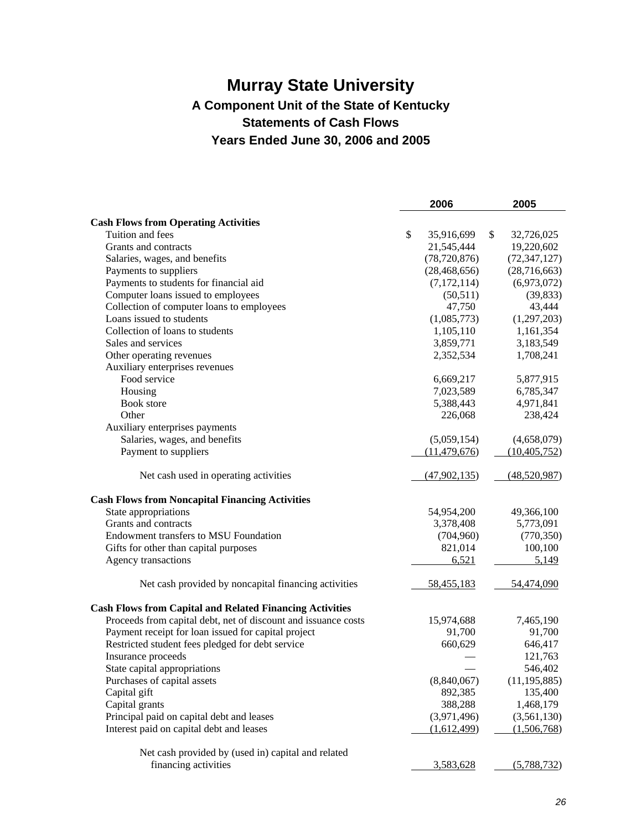# **Murray State University A Component Unit of the State of Kentucky Statements of Cash Flows Years Ended June 30, 2006 and 2005**

|                                                                 | 2006             | 2005             |
|-----------------------------------------------------------------|------------------|------------------|
| <b>Cash Flows from Operating Activities</b>                     |                  |                  |
| Tuition and fees                                                | \$<br>35,916,699 | \$<br>32,726,025 |
| Grants and contracts                                            | 21,545,444       | 19,220,602       |
| Salaries, wages, and benefits                                   | (78, 720, 876)   | (72, 347, 127)   |
| Payments to suppliers                                           | (28, 468, 656)   | (28,716,663)     |
| Payments to students for financial aid                          | (7, 172, 114)    | (6,973,072)      |
| Computer loans issued to employees                              | (50, 511)        | (39, 833)        |
| Collection of computer loans to employees                       | 47,750           | 43,444           |
| Loans issued to students                                        | (1,085,773)      | (1,297,203)      |
| Collection of loans to students                                 | 1,105,110        | 1,161,354        |
| Sales and services                                              | 3,859,771        | 3,183,549        |
| Other operating revenues                                        | 2,352,534        | 1,708,241        |
| Auxiliary enterprises revenues                                  |                  |                  |
| Food service                                                    | 6,669,217        | 5,877,915        |
| Housing                                                         | 7,023,589        | 6,785,347        |
| Book store                                                      |                  |                  |
|                                                                 | 5,388,443        | 4,971,841        |
| Other                                                           | 226,068          | 238,424          |
| Auxiliary enterprises payments                                  |                  |                  |
| Salaries, wages, and benefits                                   | (5,059,154)      | (4,658,079)      |
| Payment to suppliers                                            | (11, 479, 676)   | (10, 405, 752)   |
| Net cash used in operating activities                           | (47,902,135)     | (48,520,987)     |
| <b>Cash Flows from Noncapital Financing Activities</b>          |                  |                  |
| State appropriations                                            | 54,954,200       | 49,366,100       |
| Grants and contracts                                            | 3,378,408        | 5,773,091        |
| Endowment transfers to MSU Foundation                           | (704,960)        | (770, 350)       |
| Gifts for other than capital purposes                           | 821,014          | 100,100          |
| Agency transactions                                             | 6,521            | 5,149            |
| Net cash provided by noncapital financing activities            | 58,455,183       | 54,474,090       |
| <b>Cash Flows from Capital and Related Financing Activities</b> |                  |                  |
| Proceeds from capital debt, net of discount and issuance costs  | 15,974,688       | 7,465,190        |
| Payment receipt for loan issued for capital project             | 91,700           | 91,700           |
| Restricted student fees pledged for debt service                | 660,629          | 646,417          |
| Insurance proceeds                                              |                  | 121,763          |
| State capital appropriations                                    |                  | 546,402          |
| Purchases of capital assets                                     | (8,840,067)      | (11, 195, 885)   |
| Capital gift                                                    | 892,385          | 135,400          |
| Capital grants                                                  | 388,288          | 1,468,179        |
| Principal paid on capital debt and leases                       | (3,971,496)      | (3,561,130)      |
| Interest paid on capital debt and leases                        | (1,612,499)      | (1,506,768)      |
|                                                                 |                  |                  |
| Net cash provided by (used in) capital and related              |                  |                  |
| financing activities                                            | 3,583,628        | (5,788,732)      |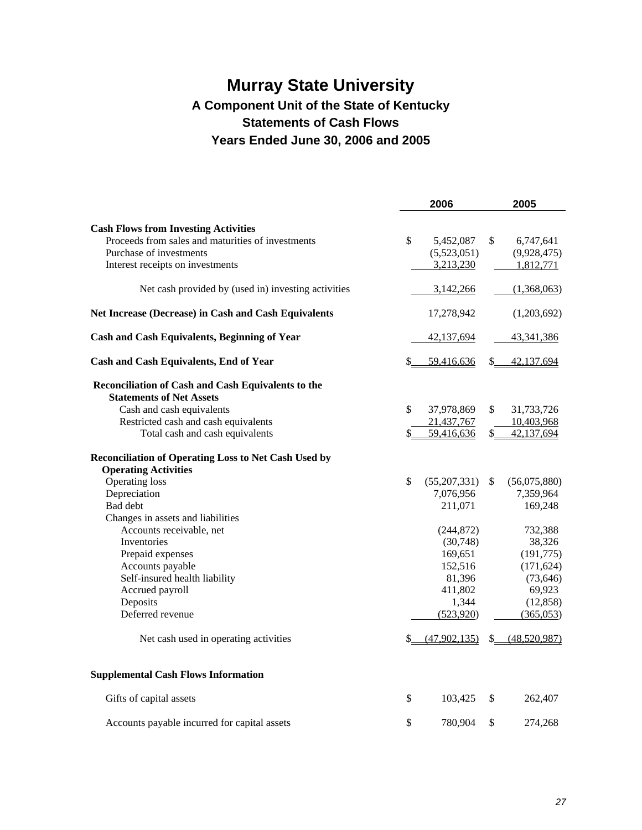# **Murray State University A Component Unit of the State of Kentucky Statements of Cash Flows Years Ended June 30, 2006 and 2005**

|                                                                   |               | 2006                     |               | 2005                     |
|-------------------------------------------------------------------|---------------|--------------------------|---------------|--------------------------|
| <b>Cash Flows from Investing Activities</b>                       |               |                          |               |                          |
| Proceeds from sales and maturities of investments                 | \$            | 5,452,087                | \$            | 6,747,641                |
| Purchase of investments                                           |               | (5,523,051)              |               | (9,928,475)              |
| Interest receipts on investments                                  |               | 3,213,230                |               | 1,812,771                |
| Net cash provided by (used in) investing activities               |               | 3,142,266                |               | (1,368,063)              |
| Net Increase (Decrease) in Cash and Cash Equivalents              |               | 17,278,942               |               | (1,203,692)              |
| <b>Cash and Cash Equivalents, Beginning of Year</b>               |               | 42,137,694               |               | 43,341,386               |
| <b>Cash and Cash Equivalents, End of Year</b>                     | \$            | 59,416,636               | \$            | 42,137,694               |
| Reconciliation of Cash and Cash Equivalents to the                |               |                          |               |                          |
| <b>Statements of Net Assets</b>                                   |               |                          |               |                          |
| Cash and cash equivalents<br>Restricted cash and cash equivalents | \$            | 37,978,869               | \$            | 31,733,726               |
| Total cash and cash equivalents                                   | \$            | 21,437,767<br>59,416,636 | \$            | 10,403,968<br>42,137,694 |
|                                                                   |               |                          |               |                          |
| <b>Reconciliation of Operating Loss to Net Cash Used by</b>       |               |                          |               |                          |
| <b>Operating Activities</b><br>Operating loss                     | $\mathcal{S}$ | (55,207,331)             | <sup>\$</sup> | (56,075,880)             |
| Depreciation                                                      |               | 7,076,956                |               | 7,359,964                |
| Bad debt                                                          |               | 211,071                  |               | 169,248                  |
| Changes in assets and liabilities                                 |               |                          |               |                          |
| Accounts receivable, net                                          |               | (244, 872)               |               | 732,388                  |
| Inventories                                                       |               | (30,748)                 |               | 38,326                   |
| Prepaid expenses                                                  |               | 169,651                  |               | (191,775)                |
| Accounts payable                                                  |               | 152,516                  |               | (171, 624)               |
| Self-insured health liability                                     |               | 81,396                   |               | (73, 646)                |
| Accrued payroll                                                   |               | 411,802                  |               | 69,923                   |
| Deposits                                                          |               | 1,344                    |               | (12, 858)                |
| Deferred revenue                                                  |               | (523, 920)               |               | (365,053)                |
| Net cash used in operating activities                             | \$            | (47,902,135)             |               | $$$ $(48,520,987)$       |
| <b>Supplemental Cash Flows Information</b>                        |               |                          |               |                          |
| Gifts of capital assets                                           | \$            | 103,425                  | \$            | 262,407                  |
| Accounts payable incurred for capital assets                      | \$            | 780,904                  | \$            | 274,268                  |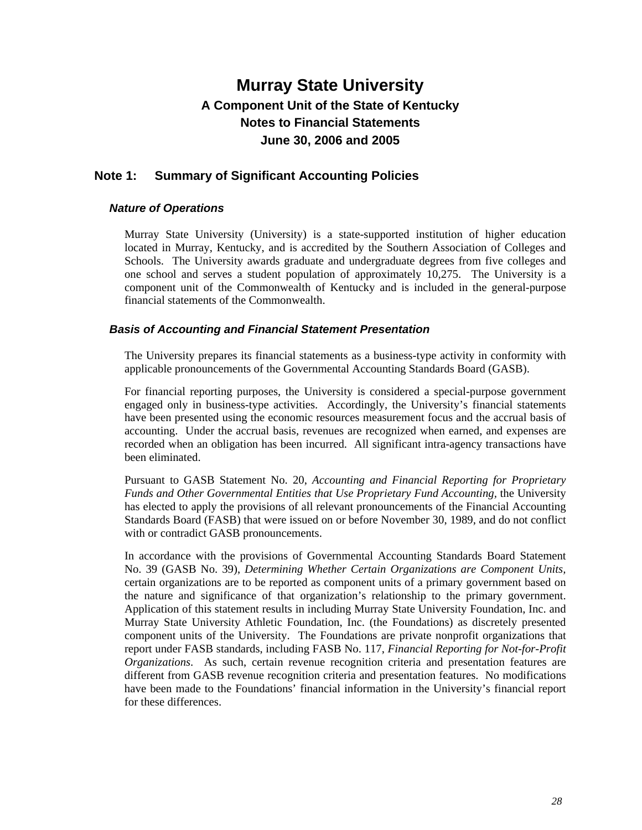### **Note 1: Summary of Significant Accounting Policies**

### *Nature of Operations*

Murray State University (University) is a state-supported institution of higher education located in Murray, Kentucky, and is accredited by the Southern Association of Colleges and Schools. The University awards graduate and undergraduate degrees from five colleges and one school and serves a student population of approximately 10,275. The University is a component unit of the Commonwealth of Kentucky and is included in the general-purpose financial statements of the Commonwealth.

### *Basis of Accounting and Financial Statement Presentation*

The University prepares its financial statements as a business-type activity in conformity with applicable pronouncements of the Governmental Accounting Standards Board (GASB).

For financial reporting purposes, the University is considered a special-purpose government engaged only in business-type activities. Accordingly, the University's financial statements have been presented using the economic resources measurement focus and the accrual basis of accounting. Under the accrual basis, revenues are recognized when earned, and expenses are recorded when an obligation has been incurred. All significant intra-agency transactions have been eliminated.

Pursuant to GASB Statement No. 20, *Accounting and Financial Reporting for Proprietary Funds and Other Governmental Entities that Use Proprietary Fund Accounting,* the University has elected to apply the provisions of all relevant pronouncements of the Financial Accounting Standards Board (FASB) that were issued on or before November 30, 1989, and do not conflict with or contradict GASB pronouncements.

In accordance with the provisions of Governmental Accounting Standards Board Statement No. 39 (GASB No. 39), *Determining Whether Certain Organizations are Component Units,* certain organizations are to be reported as component units of a primary government based on the nature and significance of that organization's relationship to the primary government. Application of this statement results in including Murray State University Foundation, Inc. and Murray State University Athletic Foundation, Inc. (the Foundations) as discretely presented component units of the University. The Foundations are private nonprofit organizations that report under FASB standards, including FASB No. 117, *Financial Reporting for Not-for-Profit Organizations*. As such, certain revenue recognition criteria and presentation features are different from GASB revenue recognition criteria and presentation features. No modifications have been made to the Foundations' financial information in the University's financial report for these differences.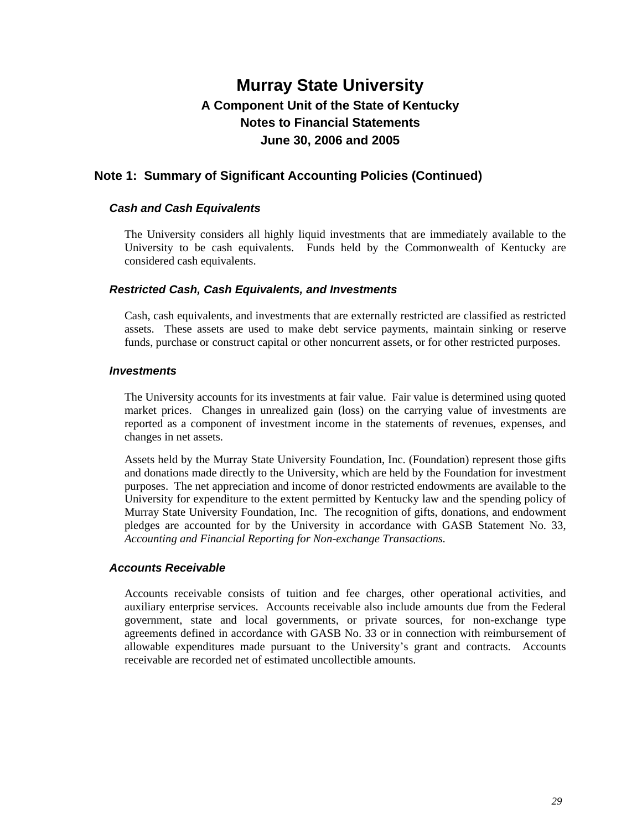### **Note 1: Summary of Significant Accounting Policies (Continued)**

### *Cash and Cash Equivalents*

The University considers all highly liquid investments that are immediately available to the University to be cash equivalents. Funds held by the Commonwealth of Kentucky are considered cash equivalents.

### *Restricted Cash, Cash Equivalents, and Investments*

Cash, cash equivalents, and investments that are externally restricted are classified as restricted assets. These assets are used to make debt service payments, maintain sinking or reserve funds, purchase or construct capital or other noncurrent assets, or for other restricted purposes.

### *Investments*

The University accounts for its investments at fair value. Fair value is determined using quoted market prices. Changes in unrealized gain (loss) on the carrying value of investments are reported as a component of investment income in the statements of revenues, expenses, and changes in net assets.

Assets held by the Murray State University Foundation, Inc. (Foundation) represent those gifts and donations made directly to the University, which are held by the Foundation for investment purposes. The net appreciation and income of donor restricted endowments are available to the University for expenditure to the extent permitted by Kentucky law and the spending policy of Murray State University Foundation, Inc. The recognition of gifts, donations, and endowment pledges are accounted for by the University in accordance with GASB Statement No. 33, *Accounting and Financial Reporting for Non-exchange Transactions.*

### *Accounts Receivable*

Accounts receivable consists of tuition and fee charges, other operational activities, and auxiliary enterprise services. Accounts receivable also include amounts due from the Federal government, state and local governments, or private sources, for non-exchange type agreements defined in accordance with GASB No. 33 or in connection with reimbursement of allowable expenditures made pursuant to the University's grant and contracts. Accounts receivable are recorded net of estimated uncollectible amounts.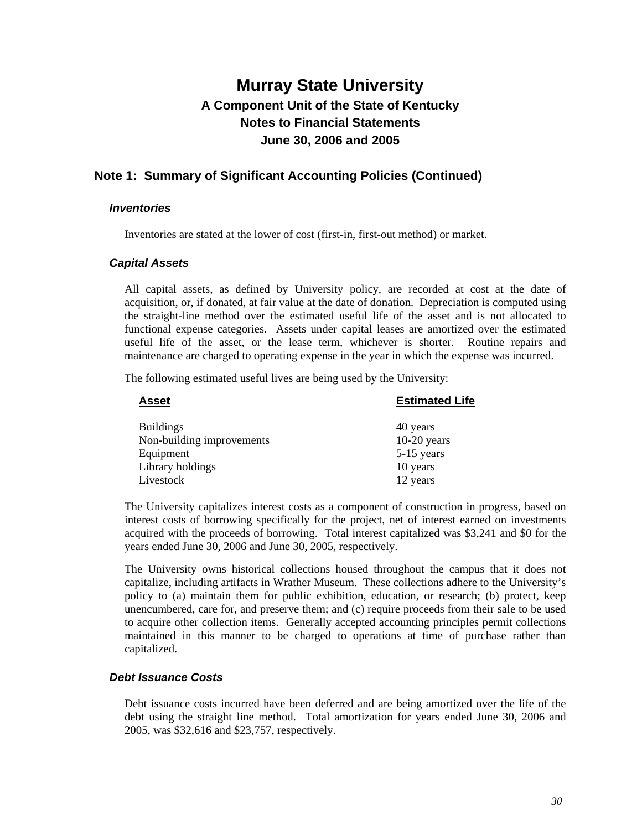### **Note 1: Summary of Significant Accounting Policies (Continued)**

#### *Inventories*

Inventories are stated at the lower of cost (first-in, first-out method) or market.

### *Capital Assets*

All capital assets, as defined by University policy, are recorded at cost at the date of acquisition, or, if donated, at fair value at the date of donation. Depreciation is computed using the straight-line method over the estimated useful life of the asset and is not allocated to functional expense categories. Assets under capital leases are amortized over the estimated useful life of the asset, or the lease term, whichever is shorter. Routine repairs and maintenance are charged to operating expense in the year in which the expense was incurred.

The following estimated useful lives are being used by the University:

| <b>Asset</b>              | <b>Estimated Life</b> |
|---------------------------|-----------------------|
| <b>Buildings</b>          | 40 years              |
| Non-building improvements | $10-20$ years         |
| Equipment                 | 5-15 years            |
| Library holdings          | 10 years              |
| Livestock                 | 12 years              |

The University capitalizes interest costs as a component of construction in progress, based on interest costs of borrowing specifically for the project, net of interest earned on investments acquired with the proceeds of borrowing. Total interest capitalized was \$3,241 and \$0 for the years ended June 30, 2006 and June 30, 2005, respectively.

The University owns historical collections housed throughout the campus that it does not capitalize, including artifacts in Wrather Museum. These collections adhere to the University's policy to (a) maintain them for public exhibition, education, or research; (b) protect, keep unencumbered, care for, and preserve them; and (c) require proceeds from their sale to be used to acquire other collection items. Generally accepted accounting principles permit collections maintained in this manner to be charged to operations at time of purchase rather than capitalized.

### *Debt Issuance Costs*

Debt issuance costs incurred have been deferred and are being amortized over the life of the debt using the straight line method. Total amortization for years ended June 30, 2006 and 2005, was \$32,616 and \$23,757, respectively.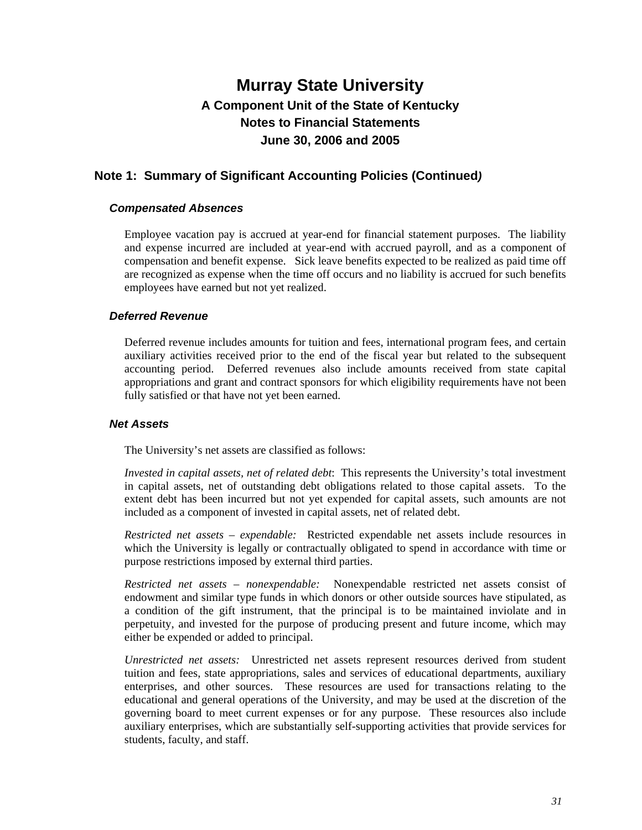## **Note 1: Summary of Significant Accounting Policies (Continued***)*

### *Compensated Absences*

Employee vacation pay is accrued at year-end for financial statement purposes. The liability and expense incurred are included at year-end with accrued payroll, and as a component of compensation and benefit expense. Sick leave benefits expected to be realized as paid time off are recognized as expense when the time off occurs and no liability is accrued for such benefits employees have earned but not yet realized.

### *Deferred Revenue*

Deferred revenue includes amounts for tuition and fees, international program fees, and certain auxiliary activities received prior to the end of the fiscal year but related to the subsequent accounting period. Deferred revenues also include amounts received from state capital appropriations and grant and contract sponsors for which eligibility requirements have not been fully satisfied or that have not yet been earned.

#### *Net Assets*

The University's net assets are classified as follows:

*Invested in capital assets, net of related debt*: This represents the University's total investment in capital assets, net of outstanding debt obligations related to those capital assets. To the extent debt has been incurred but not yet expended for capital assets, such amounts are not included as a component of invested in capital assets, net of related debt.

*Restricted net assets – expendable:* Restricted expendable net assets include resources in which the University is legally or contractually obligated to spend in accordance with time or purpose restrictions imposed by external third parties.

*Restricted net assets – nonexpendable:* Nonexpendable restricted net assets consist of endowment and similar type funds in which donors or other outside sources have stipulated, as a condition of the gift instrument, that the principal is to be maintained inviolate and in perpetuity, and invested for the purpose of producing present and future income, which may either be expended or added to principal.

*Unrestricted net assets:* Unrestricted net assets represent resources derived from student tuition and fees, state appropriations, sales and services of educational departments, auxiliary enterprises, and other sources. These resources are used for transactions relating to the educational and general operations of the University, and may be used at the discretion of the governing board to meet current expenses or for any purpose. These resources also include auxiliary enterprises, which are substantially self-supporting activities that provide services for students, faculty, and staff.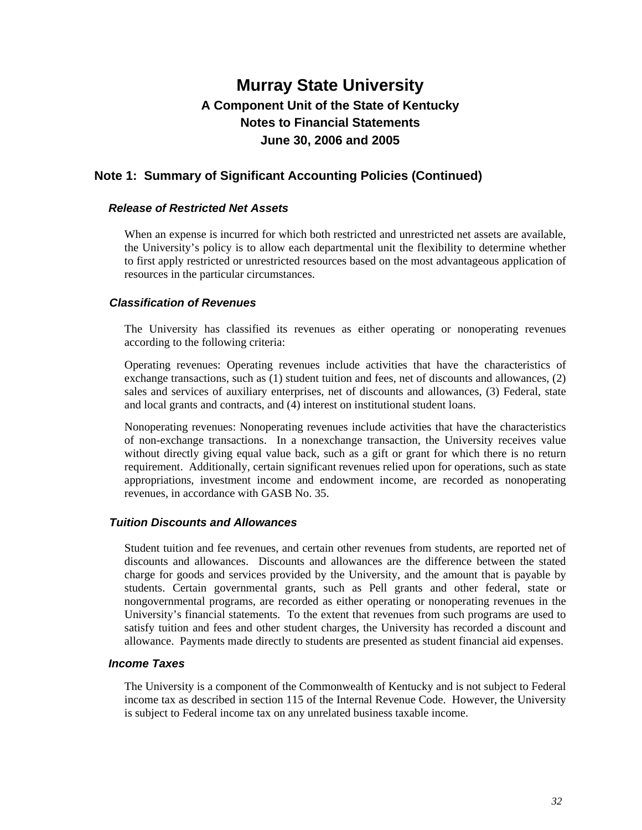### **Note 1: Summary of Significant Accounting Policies (Continued)**

### *Release of Restricted Net Assets*

When an expense is incurred for which both restricted and unrestricted net assets are available, the University's policy is to allow each departmental unit the flexibility to determine whether to first apply restricted or unrestricted resources based on the most advantageous application of resources in the particular circumstances.

### *Classification of Revenues*

The University has classified its revenues as either operating or nonoperating revenues according to the following criteria:

Operating revenues: Operating revenues include activities that have the characteristics of exchange transactions, such as (1) student tuition and fees, net of discounts and allowances, (2) sales and services of auxiliary enterprises, net of discounts and allowances, (3) Federal, state and local grants and contracts, and (4) interest on institutional student loans.

Nonoperating revenues: Nonoperating revenues include activities that have the characteristics of non-exchange transactions. In a nonexchange transaction, the University receives value without directly giving equal value back, such as a gift or grant for which there is no return requirement. Additionally, certain significant revenues relied upon for operations, such as state appropriations, investment income and endowment income, are recorded as nonoperating revenues, in accordance with GASB No. 35.

#### *Tuition Discounts and Allowances*

Student tuition and fee revenues, and certain other revenues from students, are reported net of discounts and allowances. Discounts and allowances are the difference between the stated charge for goods and services provided by the University, and the amount that is payable by students. Certain governmental grants, such as Pell grants and other federal, state or nongovernmental programs, are recorded as either operating or nonoperating revenues in the University's financial statements. To the extent that revenues from such programs are used to satisfy tuition and fees and other student charges, the University has recorded a discount and allowance. Payments made directly to students are presented as student financial aid expenses.

#### *Income Taxes*

The University is a component of the Commonwealth of Kentucky and is not subject to Federal income tax as described in section 115 of the Internal Revenue Code. However, the University is subject to Federal income tax on any unrelated business taxable income.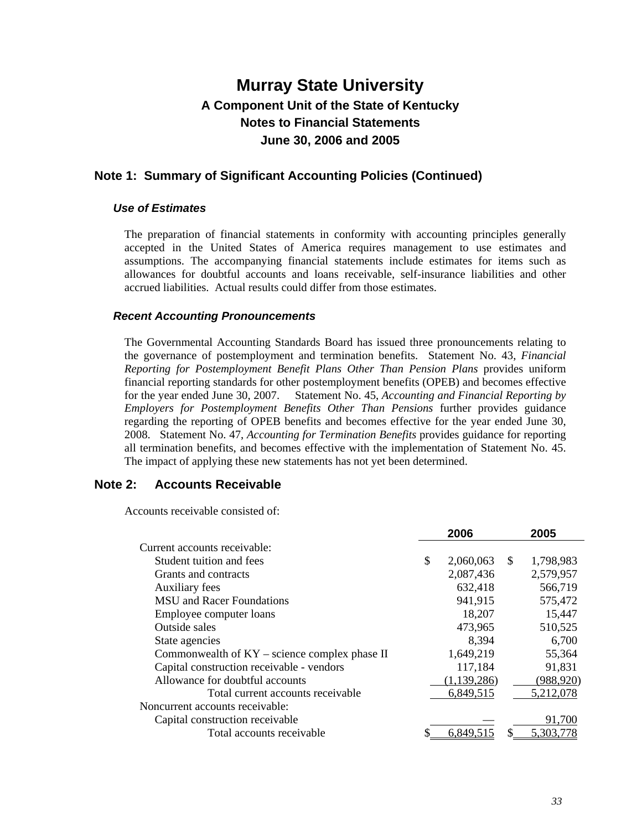### **Note 1: Summary of Significant Accounting Policies (Continued)**

#### *Use of Estimates*

The preparation of financial statements in conformity with accounting principles generally accepted in the United States of America requires management to use estimates and assumptions. The accompanying financial statements include estimates for items such as allowances for doubtful accounts and loans receivable, self-insurance liabilities and other accrued liabilities. Actual results could differ from those estimates.

### *Recent Accounting Pronouncements*

The Governmental Accounting Standards Board has issued three pronouncements relating to the governance of postemployment and termination benefits. Statement No. 43, *Financial Reporting for Postemployment Benefit Plans Other Than Pension Plans* provides uniform financial reporting standards for other postemployment benefits (OPEB) and becomes effective for the year ended June 30, 2007. Statement No. 45, *Accounting and Financial Reporting by Employers for Postemployment Benefits Other Than Pensions* further provides guidance regarding the reporting of OPEB benefits and becomes effective for the year ended June 30, 2008. Statement No. 47, *Accounting for Termination Benefits* provides guidance for reporting all termination benefits, and becomes effective with the implementation of Statement No. 45. The impact of applying these new statements has not yet been determined.

### **Note 2: Accounts Receivable**

Accounts receivable consisted of:

|                                                 | 2006            |              | 2005       |
|-------------------------------------------------|-----------------|--------------|------------|
| Current accounts receivable:                    |                 |              |            |
| Student tuition and fees                        | \$<br>2,060,063 | <sup>S</sup> | 1,798,983  |
| Grants and contracts                            | 2,087,436       |              | 2,579,957  |
| <b>Auxiliary fees</b>                           | 632,418         |              | 566,719    |
| <b>MSU</b> and Racer Foundations                | 941,915         |              | 575,472    |
| Employee computer loans                         | 18,207          |              | 15,447     |
| Outside sales                                   | 473,965         |              | 510,525    |
| State agencies                                  | 8,394           |              | 6,700      |
| Commonwealth of $KY$ – science complex phase II | 1,649,219       |              | 55,364     |
| Capital construction receivable - vendors       | 117,184         |              | 91,831     |
| Allowance for doubtful accounts                 | (1, 139, 286)   |              | (988, 920) |
| Total current accounts receivable               | 6,849,515       |              | 5,212,078  |
| Noncurrent accounts receivable:                 |                 |              |            |
| Capital construction receivable                 |                 |              | 91,700     |
| Total accounts receivable                       | 6,849,515       |              | 5,303,778  |
|                                                 |                 |              |            |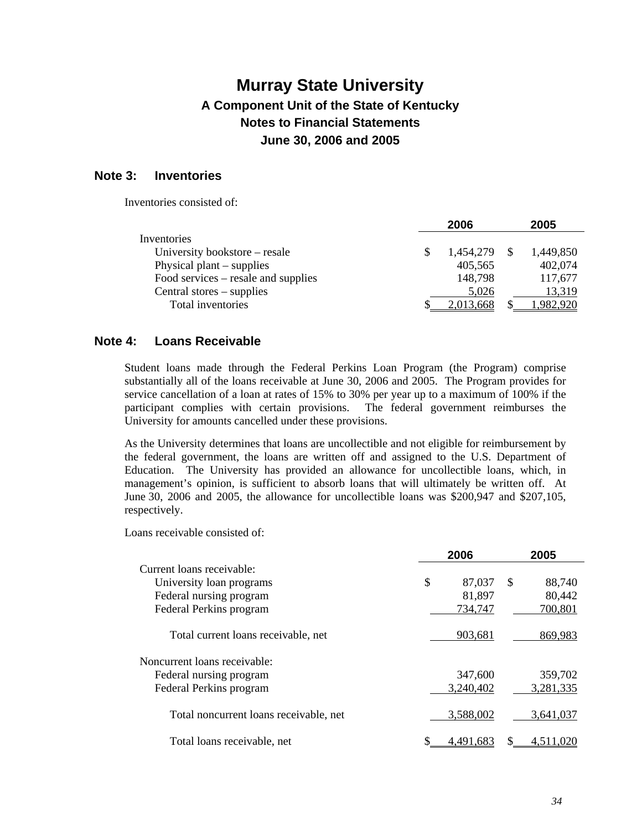### **Note 3: Inventories**

Inventories consisted of:

|                                     | 2006      | 2005      |
|-------------------------------------|-----------|-----------|
| Inventories                         |           |           |
| University bookstore – resale       | 1,454,279 | 1,449,850 |
| Physical plant $-$ supplies         | 405,565   | 402,074   |
| Food services – resale and supplies | 148,798   | 117,677   |
| Central stores – supplies           | 5,026     | 13,319    |
| Total inventories                   | 2,013,668 | 1,982,920 |

### **Note 4: Loans Receivable**

Student loans made through the Federal Perkins Loan Program (the Program) comprise substantially all of the loans receivable at June 30, 2006 and 2005. The Program provides for service cancellation of a loan at rates of 15% to 30% per year up to a maximum of 100% if the participant complies with certain provisions. The federal government reimburses the University for amounts cancelled under these provisions.

As the University determines that loans are uncollectible and not eligible for reimbursement by the federal government, the loans are written off and assigned to the U.S. Department of Education. The University has provided an allowance for uncollectible loans, which, in management's opinion, is sufficient to absorb loans that will ultimately be written off. At June 30, 2006 and 2005, the allowance for uncollectible loans was \$200,947 and \$207,105, respectively.

Loans receivable consisted of:

|                                        | 2006         | 2005         |
|----------------------------------------|--------------|--------------|
| Current loans receivable:              |              |              |
| University loan programs               | \$<br>87,037 | 88,740<br>-S |
| Federal nursing program                | 81,897       | 80,442       |
| Federal Perkins program                | 734,747      | 700,801      |
| Total current loans receivable, net    | 903,681      | 869,983      |
| Noncurrent loans receivable:           |              |              |
| Federal nursing program                | 347,600      | 359,702      |
| Federal Perkins program                | 3,240,402    | 3,281,335    |
| Total noncurrent loans receivable, net | 3,588,002    | 3,641,037    |
| Total loans receivable, net            | 4.491.683    | 4.511.020    |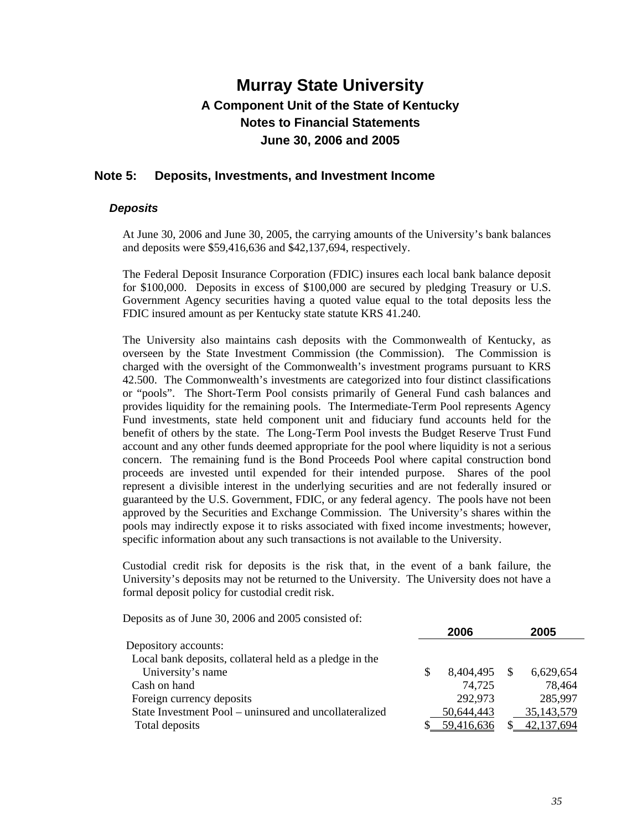### **Note 5: Deposits, Investments, and Investment Income**

#### *Deposits*

At June 30, 2006 and June 30, 2005, the carrying amounts of the University's bank balances and deposits were \$59,416,636 and \$42,137,694, respectively.

The Federal Deposit Insurance Corporation (FDIC) insures each local bank balance deposit for \$100,000. Deposits in excess of \$100,000 are secured by pledging Treasury or U.S. Government Agency securities having a quoted value equal to the total deposits less the FDIC insured amount as per Kentucky state statute KRS 41.240.

The University also maintains cash deposits with the Commonwealth of Kentucky, as overseen by the State Investment Commission (the Commission). The Commission is charged with the oversight of the Commonwealth's investment programs pursuant to KRS 42.500. The Commonwealth's investments are categorized into four distinct classifications or "pools". The Short-Term Pool consists primarily of General Fund cash balances and provides liquidity for the remaining pools. The Intermediate-Term Pool represents Agency Fund investments, state held component unit and fiduciary fund accounts held for the benefit of others by the state. The Long-Term Pool invests the Budget Reserve Trust Fund account and any other funds deemed appropriate for the pool where liquidity is not a serious concern. The remaining fund is the Bond Proceeds Pool where capital construction bond proceeds are invested until expended for their intended purpose. Shares of the pool represent a divisible interest in the underlying securities and are not federally insured or guaranteed by the U.S. Government, FDIC, or any federal agency. The pools have not been approved by the Securities and Exchange Commission. The University's shares within the pools may indirectly expose it to risks associated with fixed income investments; however, specific information about any such transactions is not available to the University.

Custodial credit risk for deposits is the risk that, in the event of a bank failure, the University's deposits may not be returned to the University. The University does not have a formal deposit policy for custodial credit risk.

Deposits as of June 30, 2006 and 2005 consisted of:

|                                                         | 2006       | 2005       |
|---------------------------------------------------------|------------|------------|
| Depository accounts:                                    |            |            |
| Local bank deposits, collateral held as a pledge in the |            |            |
| University's name                                       | 8,404,495  | 6,629,654  |
| Cash on hand                                            | 74,725     | 78,464     |
| Foreign currency deposits                               | 292,973    | 285,997    |
| State Investment Pool – uninsured and uncollateralized  | 50,644,443 | 35,143,579 |
| Total deposits                                          | 59,416,636 | 42,137,694 |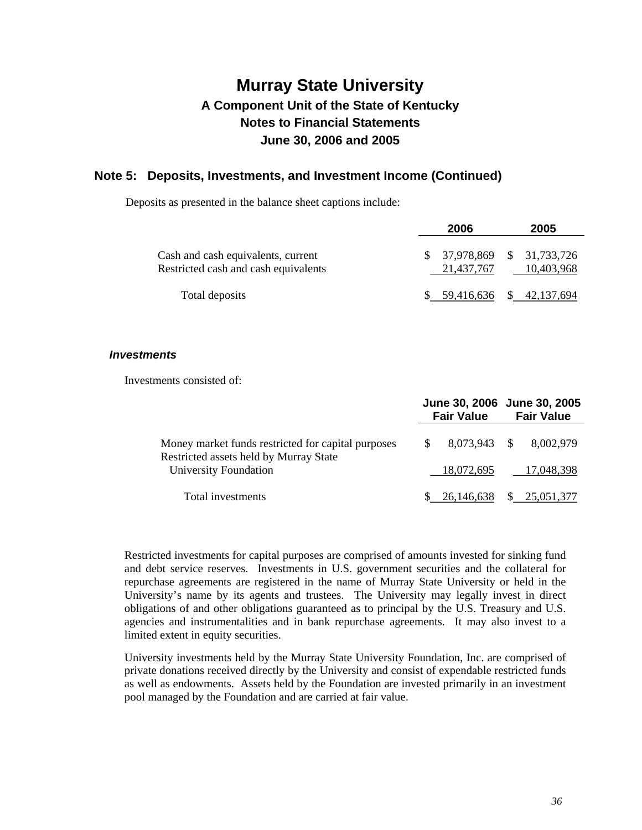### **Note 5: Deposits, Investments, and Investment Income (Continued)**

Deposits as presented in the balance sheet captions include:

|                                                                            | 2006          | 2005                                   |
|----------------------------------------------------------------------------|---------------|----------------------------------------|
| Cash and cash equivalents, current<br>Restricted cash and cash equivalents | 21.437.767    | 37,978,869 \$ 31,733,726<br>10.403.968 |
| Total deposits                                                             | \$ 59.416.636 | \$42,137,694                           |

#### *Investments*

Investments consisted of:

|                                                                                              |  | <b>Fair Value</b>        | June 30, 2006 June 30, 2005<br><b>Fair Value</b> |            |  |
|----------------------------------------------------------------------------------------------|--|--------------------------|--------------------------------------------------|------------|--|
| Money market funds restricted for capital purposes<br>Restricted assets held by Murray State |  | 8.073.943 \$             |                                                  | 8.002.979  |  |
| University Foundation                                                                        |  | 18,072,695               |                                                  | 17,048,398 |  |
| Total investments                                                                            |  | 26,146,638 \$ 25,051,377 |                                                  |            |  |

Restricted investments for capital purposes are comprised of amounts invested for sinking fund and debt service reserves. Investments in U.S. government securities and the collateral for repurchase agreements are registered in the name of Murray State University or held in the University's name by its agents and trustees. The University may legally invest in direct obligations of and other obligations guaranteed as to principal by the U.S. Treasury and U.S. agencies and instrumentalities and in bank repurchase agreements. It may also invest to a limited extent in equity securities.

University investments held by the Murray State University Foundation, Inc. are comprised of private donations received directly by the University and consist of expendable restricted funds as well as endowments. Assets held by the Foundation are invested primarily in an investment pool managed by the Foundation and are carried at fair value.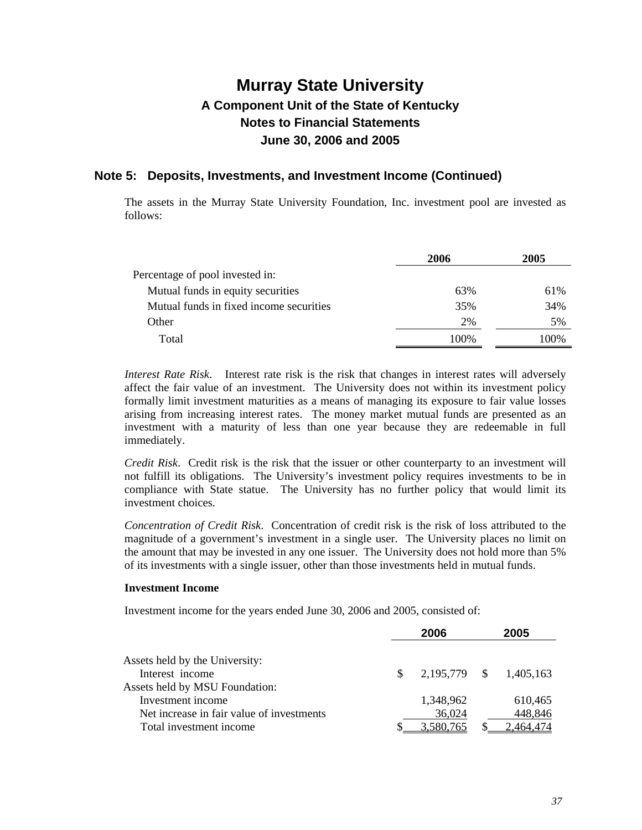### **Note 5: Deposits, Investments, and Investment Income (Continued)**

The assets in the Murray State University Foundation, Inc. investment pool are invested as follows:

|                                         | 2006 | 2005 |
|-----------------------------------------|------|------|
| Percentage of pool invested in:         |      |      |
| Mutual funds in equity securities       | 63%  | 61%  |
| Mutual funds in fixed income securities | 35%  | 34%  |
| Other                                   | 2%   | 5%   |
| Total                                   | 100% | 100% |

*Interest Rate Risk*. Interest rate risk is the risk that changes in interest rates will adversely affect the fair value of an investment. The University does not within its investment policy formally limit investment maturities as a means of managing its exposure to fair value losses arising from increasing interest rates. The money market mutual funds are presented as an investment with a maturity of less than one year because they are redeemable in full immediately.

*Credit Risk*. Credit risk is the risk that the issuer or other counterparty to an investment will not fulfill its obligations. The University's investment policy requires investments to be in compliance with State statue. The University has no further policy that would limit its investment choices.

*Concentration of Credit Risk*. Concentration of credit risk is the risk of loss attributed to the magnitude of a government's investment in a single user. The University places no limit on the amount that may be invested in any one issuer. The University does not hold more than 5% of its investments with a single issuer, other than those investments held in mutual funds.

#### **Investment Income**

Investment income for the years ended June 30, 2006 and 2005, consisted of:

|                                           |     | 2006         | 2005      |
|-------------------------------------------|-----|--------------|-----------|
| Assets held by the University:            |     |              |           |
| Interest income                           | \$. | 2,195,779 \$ | 1,405,163 |
| Assets held by MSU Foundation:            |     |              |           |
| Investment income                         |     | 1,348,962    | 610,465   |
| Net increase in fair value of investments |     | 36,024       | 448,846   |
| Total investment income                   |     | 3,580,765    | 2.464.474 |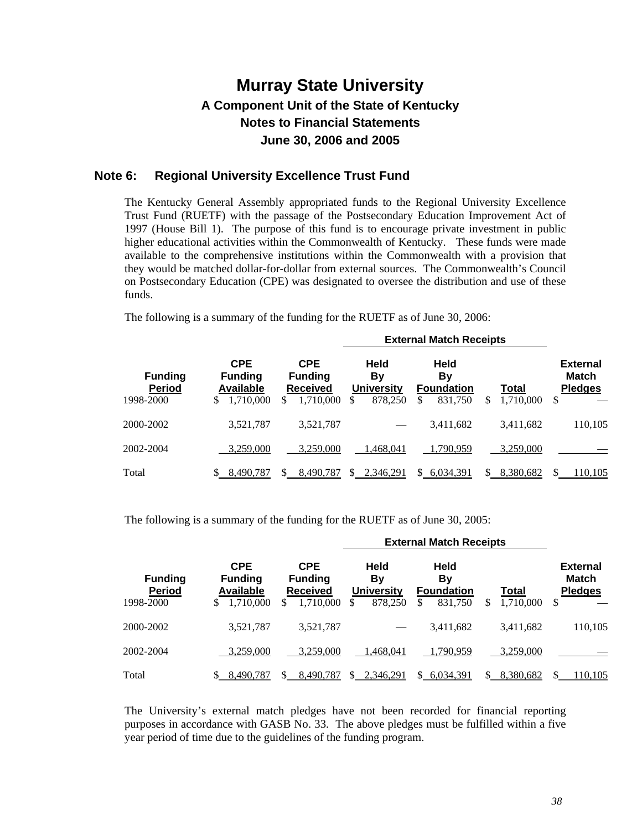### **Note 6: Regional University Excellence Trust Fund**

The Kentucky General Assembly appropriated funds to the Regional University Excellence Trust Fund (RUETF) with the passage of the Postsecondary Education Improvement Act of 1997 (House Bill 1). The purpose of this fund is to encourage private investment in public higher educational activities within the Commonwealth of Kentucky. These funds were made available to the comprehensive institutions within the Commonwealth with a provision that they would be matched dollar-for-dollar from external sources. The Commonwealth's Council on Postsecondary Education (CPE) was designated to oversee the distribution and use of these funds.

The following is a summary of the funding for the RUETF as of June 30, 2006:

|                                              |                                                                     |                                                                   |                                                         | <b>External Match Receipts</b>                   |                          |                                                 |
|----------------------------------------------|---------------------------------------------------------------------|-------------------------------------------------------------------|---------------------------------------------------------|--------------------------------------------------|--------------------------|-------------------------------------------------|
| <b>Funding</b><br><b>Period</b><br>1998-2000 | <b>CPE</b><br><b>Funding</b><br><b>Available</b><br>1,710,000<br>\$ | <b>CPE</b><br><b>Funding</b><br><b>Received</b><br>1,710,000<br>S | <b>Held</b><br>By<br><b>University</b><br>878,250<br>\$ | Held<br>By<br><b>Foundation</b><br>831,750<br>\$ | Total<br>1,710,000<br>\$ | <b>External</b><br>Match<br><b>Pledges</b><br>S |
|                                              |                                                                     |                                                                   |                                                         |                                                  |                          |                                                 |
| 2000-2002                                    | 3,521,787                                                           | 3,521,787                                                         |                                                         | 3,411,682                                        | 3,411,682                | 110,105                                         |
| 2002-2004                                    | 3,259,000                                                           | 3.259,000                                                         | 1.468.041                                               | 1,790,959                                        | 3,259,000                |                                                 |
| Total                                        | 8,490,787<br>S.                                                     | 8.490.787                                                         | 2,346,291                                               | 6,034,391<br>$\mathcal{S}$                       | 8,380,682<br>S.          | 110,105                                         |

The following is a summary of the funding for the RUETF as of June 30, 2005:

|                                              | <b>External Match Receipts</b>                                      |                                                                     |                                                         |                                                         |                          |                                                  |  |
|----------------------------------------------|---------------------------------------------------------------------|---------------------------------------------------------------------|---------------------------------------------------------|---------------------------------------------------------|--------------------------|--------------------------------------------------|--|
| <b>Funding</b><br><b>Period</b><br>1998-2000 | <b>CPE</b><br><b>Funding</b><br><b>Available</b><br>1,710,000<br>\$ | <b>CPE</b><br><b>Funding</b><br><b>Received</b><br>1,710,000<br>\$. | <b>Held</b><br>Bv<br><b>University</b><br>878,250<br>\$ | Held<br><b>By</b><br><b>Foundation</b><br>831,750<br>\$ | Total<br>\$<br>1,710,000 | <b>External</b><br>Match<br><b>Pledges</b><br>\$ |  |
| 2000-2002                                    | 3,521,787                                                           | 3,521,787                                                           |                                                         | 3,411,682                                               | 3,411,682                | 110,105                                          |  |
| 2002-2004                                    | 3,259,000                                                           | 3,259,000                                                           | 1,468,041                                               | 1.790.959                                               | 3.259,000                |                                                  |  |
| Total                                        | 8.490.787                                                           | 8.490.787                                                           | 2,346,291<br>$\mathbf{S}$                               | 6,034,391<br>S.                                         | 8,380,682<br>SS.         | 110,105                                          |  |

The University's external match pledges have not been recorded for financial reporting purposes in accordance with GASB No. 33. The above pledges must be fulfilled within a five year period of time due to the guidelines of the funding program.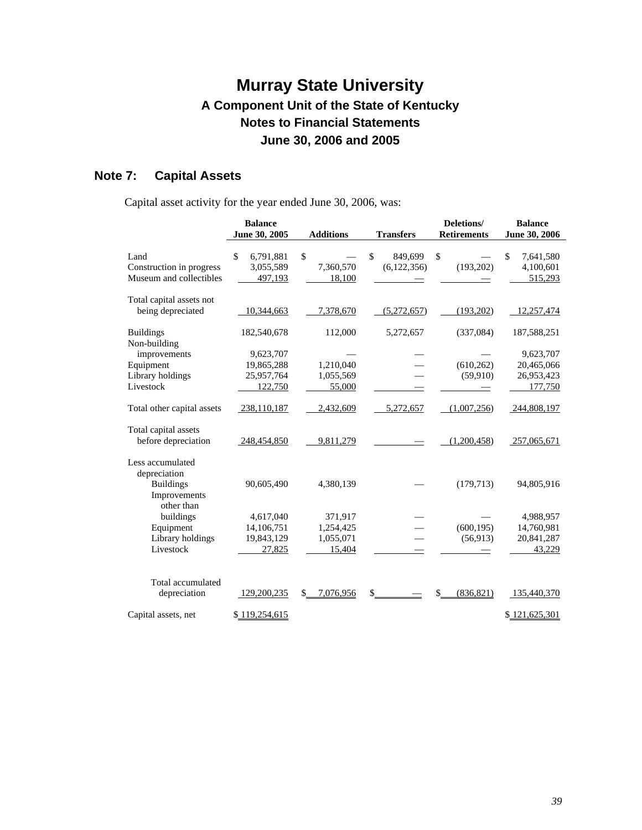# **Note 7: Capital Assets**

Capital asset activity for the year ended June 30, 2006, was:

|                            | <b>Balance</b>  |                  |                               | Deletions/         | <b>Balance</b>  |
|----------------------------|-----------------|------------------|-------------------------------|--------------------|-----------------|
|                            | June 30, 2005   | <b>Additions</b> | <b>Transfers</b>              | <b>Retirements</b> | June 30, 2006   |
|                            |                 |                  |                               |                    |                 |
| Land                       | \$<br>6,791,881 | \$               | $\mathbf{\hat{S}}$<br>849,699 | \$                 | \$<br>7,641,580 |
| Construction in progress   | 3,055,589       | 7,360,570        | (6,122,356)                   | (193, 202)         | 4,100,601       |
| Museum and collectibles    | 497,193         | 18,100           |                               |                    | 515,293         |
| Total capital assets not   |                 |                  |                               |                    |                 |
| being depreciated          | 10,344,663      | 7,378,670        | (5,272,657)                   | (193,202)          | 12,257,474      |
| <b>Buildings</b>           | 182,540,678     | 112,000          | 5,272,657                     | (337,084)          | 187,588,251     |
| Non-building               |                 |                  |                               |                    |                 |
| improvements               | 9,623,707       |                  |                               |                    | 9,623,707       |
| Equipment                  | 19,865,288      | 1,210,040        |                               | (610, 262)         | 20,465,066      |
| Library holdings           | 25,957,764      | 1,055,569        |                               | (59, 910)          | 26,953,423      |
| Livestock                  | 122,750         | 55,000           |                               |                    | 177,750         |
| Total other capital assets | 238,110,187     | 2,432,609        | 5,272,657                     | (1,007,256)        | 244,808,197     |
| Total capital assets       |                 |                  |                               |                    |                 |
| before depreciation        | 248,454,850     | 9,811,279        |                               | (1,200,458)        | 257,065,671     |
| Less accumulated           |                 |                  |                               |                    |                 |
| depreciation               |                 |                  |                               |                    |                 |
| <b>Buildings</b>           | 90,605,490      | 4,380,139        |                               | (179, 713)         | 94,805,916      |
| Improvements<br>other than |                 |                  |                               |                    |                 |
| buildings                  | 4,617,040       | 371,917          |                               |                    | 4,988,957       |
| Equipment                  | 14,106,751      | 1,254,425        |                               | (600, 195)         | 14,760,981      |
| Library holdings           | 19,843,129      | 1,055,071        |                               | (56, 913)          | 20,841,287      |
| Livestock                  | 27,825          | 15,404           |                               |                    | 43,229          |
|                            |                 |                  |                               |                    |                 |
| Total accumulated          |                 |                  |                               |                    |                 |
| depreciation               | 129,200,235     | 7,076,956<br>\$  | \$                            | \$<br>(836, 821)   | 135,440,370     |
| Capital assets, net        | \$119,254,615   |                  |                               |                    | \$121,625,301   |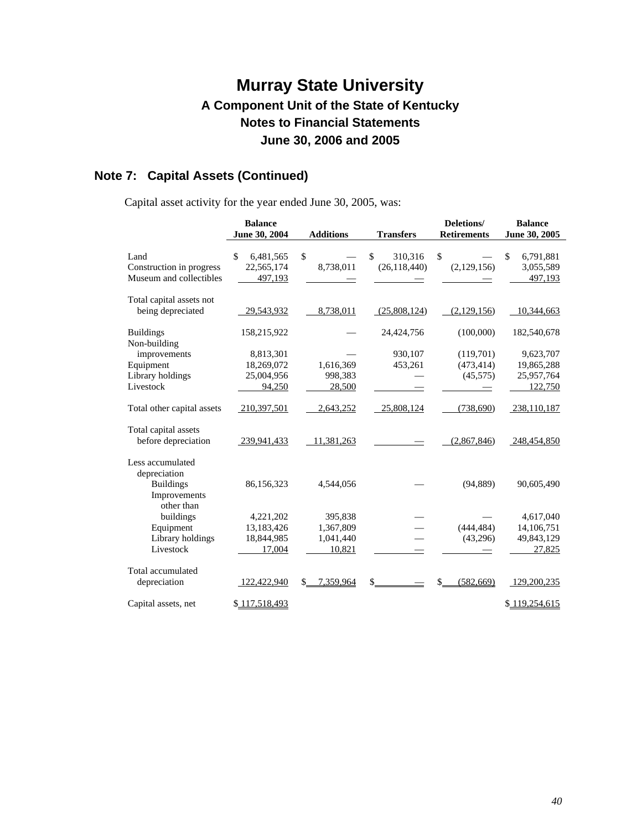# **Note 7: Capital Assets (Continued)**

Capital asset activity for the year ended June 30, 2005, was:

|                            | <b>Balance</b>  |                  |                  | Deletions/         | <b>Balance</b>  |
|----------------------------|-----------------|------------------|------------------|--------------------|-----------------|
|                            | June 30, 2004   | <b>Additions</b> | <b>Transfers</b> | <b>Retirements</b> | June 30, 2005   |
|                            |                 |                  |                  |                    |                 |
| Land                       | \$<br>6,481,565 | \$               | \$<br>310,316    | \$                 | \$<br>6,791,881 |
| Construction in progress   | 22,565,174      | 8,738,011        | (26, 118, 440)   | (2,129,156)        | 3,055,589       |
| Museum and collectibles    | 497,193         |                  |                  |                    | 497,193         |
| Total capital assets not   |                 |                  |                  |                    |                 |
| being depreciated          | 29,543,932      | 8,738,011        | (25,808,124)     | (2,129,156)        | 10,344,663      |
|                            |                 |                  |                  |                    |                 |
| <b>Buildings</b>           | 158,215,922     |                  | 24,424,756       | (100,000)          | 182,540,678     |
| Non-building               |                 |                  |                  |                    |                 |
| improvements               | 8,813,301       |                  | 930,107          | (119,701)          | 9,623,707       |
| Equipment                  | 18,269,072      | 1,616,369        | 453,261          | (473, 414)         | 19,865,288      |
| Library holdings           | 25,004,956      | 998,383          |                  | (45, 575)          | 25,957,764      |
| Livestock                  | 94,250          | 28,500           |                  |                    | 122,750         |
| Total other capital assets | 210,397,501     | 2,643,252        | 25,808,124       | (738,690)          | 238,110,187     |
| Total capital assets       |                 |                  |                  |                    |                 |
| before depreciation        | 239,941,433     | 11,381,263       |                  | (2,867,846)        | 248,454,850     |
| Less accumulated           |                 |                  |                  |                    |                 |
| depreciation               |                 |                  |                  |                    |                 |
| <b>Buildings</b>           | 86,156,323      | 4,544,056        |                  | (94, 889)          | 90,605,490      |
| Improvements               |                 |                  |                  |                    |                 |
| other than                 |                 |                  |                  |                    |                 |
| buildings                  | 4,221,202       | 395,838          |                  |                    | 4,617,040       |
| Equipment                  | 13,183,426      | 1,367,809        |                  | (444, 484)         | 14,106,751      |
| Library holdings           | 18,844,985      | 1,041,440        |                  | (43,296)           | 49,843,129      |
| Livestock                  | 17,004          | 10,821           |                  |                    | 27,825          |
| Total accumulated          |                 |                  |                  |                    |                 |
| depreciation               | 122,422,940     | 7,359,964<br>\$  | \$               | \$<br>(582, 669)   | 129,200,235     |
|                            |                 |                  |                  |                    |                 |
| Capital assets, net        | \$117,518,493   |                  |                  |                    | \$119,254,615   |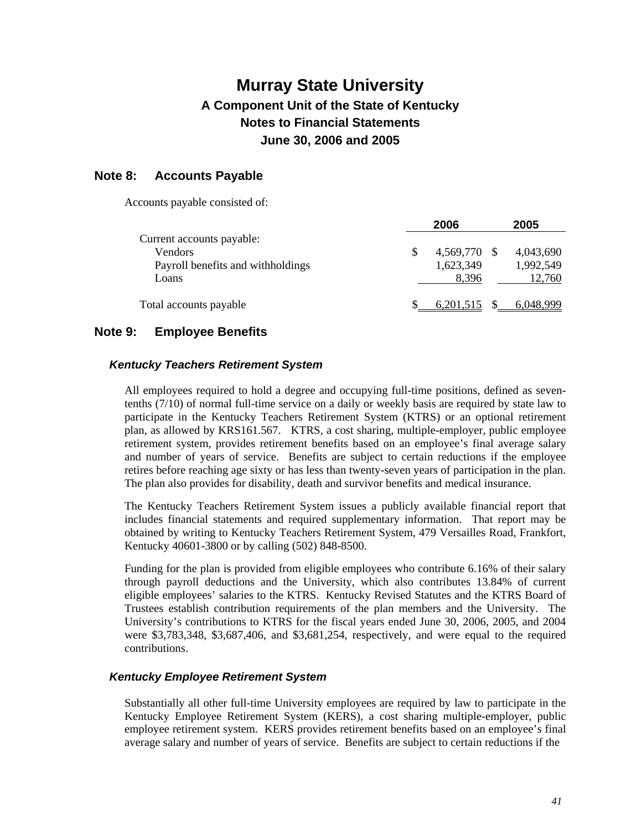### **Note 8: Accounts Payable**

Accounts payable consisted of:

|                                   | 2006         | 2005      |
|-----------------------------------|--------------|-----------|
| Current accounts payable:         |              |           |
| Vendors                           | 4,569,770 \$ | 4,043,690 |
| Payroll benefits and withholdings | 1,623,349    | 1,992,549 |
| Loans                             | 8,396        | 12,760    |
| Total accounts payable            | 6,201,515    | 6.048.999 |

### **Note 9: Employee Benefits**

#### *Kentucky Teachers Retirement System*

All employees required to hold a degree and occupying full-time positions, defined as seventenths (7/10) of normal full-time service on a daily or weekly basis are required by state law to participate in the Kentucky Teachers Retirement System (KTRS) or an optional retirement plan, as allowed by KRS161.567. KTRS, a cost sharing, multiple-employer, public employee retirement system, provides retirement benefits based on an employee's final average salary and number of years of service. Benefits are subject to certain reductions if the employee retires before reaching age sixty or has less than twenty-seven years of participation in the plan. The plan also provides for disability, death and survivor benefits and medical insurance.

The Kentucky Teachers Retirement System issues a publicly available financial report that includes financial statements and required supplementary information. That report may be obtained by writing to Kentucky Teachers Retirement System, 479 Versailles Road, Frankfort, Kentucky 40601-3800 or by calling (502) 848-8500.

Funding for the plan is provided from eligible employees who contribute 6.16% of their salary through payroll deductions and the University, which also contributes 13.84% of current eligible employees' salaries to the KTRS. Kentucky Revised Statutes and the KTRS Board of Trustees establish contribution requirements of the plan members and the University. The University's contributions to KTRS for the fiscal years ended June 30, 2006, 2005, and 2004 were \$3,783,348, \$3,687,406, and \$3,681,254, respectively, and were equal to the required contributions.

#### *Kentucky Employee Retirement System*

Substantially all other full-time University employees are required by law to participate in the Kentucky Employee Retirement System (KERS), a cost sharing multiple-employer, public employee retirement system. KERS provides retirement benefits based on an employee's final average salary and number of years of service. Benefits are subject to certain reductions if the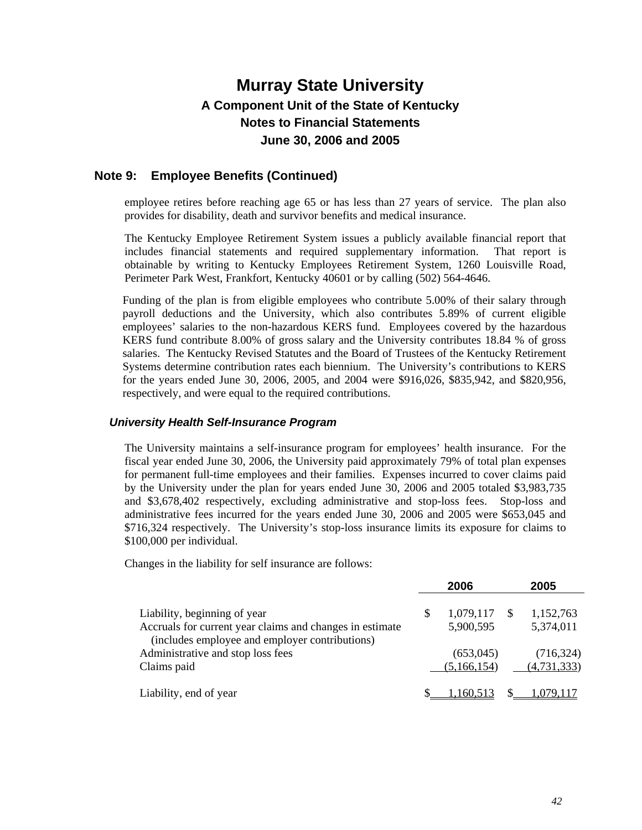### **Note 9: Employee Benefits (Continued)**

employee retires before reaching age 65 or has less than 27 years of service. The plan also provides for disability, death and survivor benefits and medical insurance.

The Kentucky Employee Retirement System issues a publicly available financial report that includes financial statements and required supplementary information. That report is obtainable by writing to Kentucky Employees Retirement System, 1260 Louisville Road, Perimeter Park West, Frankfort, Kentucky 40601 or by calling (502) 564-4646.

Funding of the plan is from eligible employees who contribute 5.00% of their salary through payroll deductions and the University, which also contributes 5.89% of current eligible employees' salaries to the non-hazardous KERS fund. Employees covered by the hazardous KERS fund contribute 8.00% of gross salary and the University contributes 18.84 % of gross salaries. The Kentucky Revised Statutes and the Board of Trustees of the Kentucky Retirement Systems determine contribution rates each biennium. The University's contributions to KERS for the years ended June 30, 2006, 2005, and 2004 were \$916,026, \$835,942, and \$820,956, respectively, and were equal to the required contributions.

### *University Health Self-Insurance Program*

The University maintains a self-insurance program for employees' health insurance. For the fiscal year ended June 30, 2006, the University paid approximately 79% of total plan expenses for permanent full-time employees and their families. Expenses incurred to cover claims paid by the University under the plan for years ended June 30, 2006 and 2005 totaled \$3,983,735 and \$3,678,402 respectively, excluding administrative and stop-loss fees. Stop-loss and administrative fees incurred for the years ended June 30, 2006 and 2005 were \$653,045 and \$716,324 respectively. The University's stop-loss insurance limits its exposure for claims to \$100,000 per individual.

Changes in the liability for self insurance are follows:

|                                                                                                            |   | 2006          | 2005          |
|------------------------------------------------------------------------------------------------------------|---|---------------|---------------|
| Liability, beginning of year                                                                               | S | 1,079,117     | 1,152,763     |
| Accruals for current year claims and changes in estimate<br>(includes employee and employer contributions) |   | 5,900,595     | 5,374,011     |
| Administrative and stop loss fees                                                                          |   | (653,045)     | (716, 324)    |
| Claims paid                                                                                                |   | (5, 166, 154) | (4, 731, 333) |
| Liability, end of year                                                                                     |   | .160.513      |               |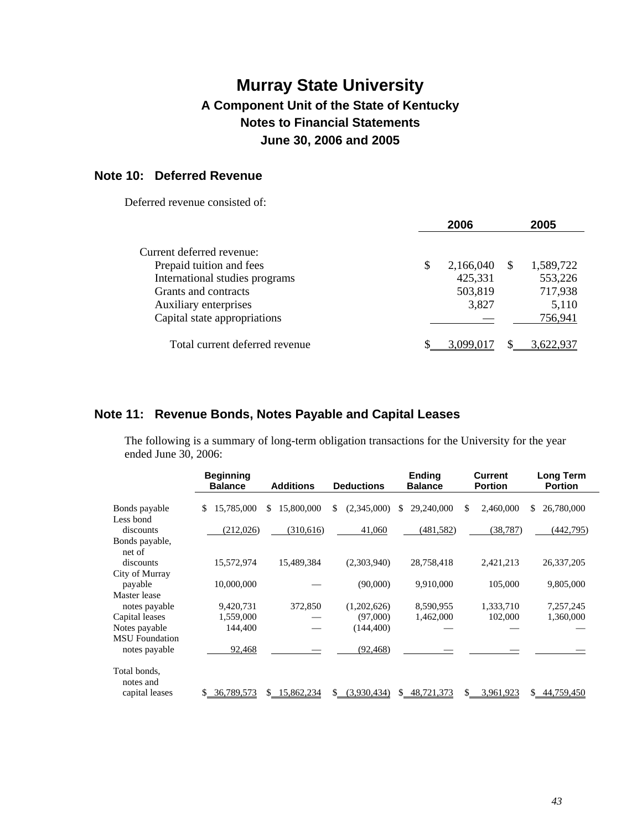### **Note 10: Deferred Revenue**

Deferred revenue consisted of:

|                                |   | 2006      |    | 2005      |
|--------------------------------|---|-----------|----|-----------|
| Current deferred revenue:      |   |           |    |           |
| Prepaid tuition and fees       | S | 2,166,040 | -S | 1,589,722 |
| International studies programs |   | 425,331   |    | 553,226   |
| Grants and contracts           |   | 503,819   |    | 717,938   |
| Auxiliary enterprises          |   | 3,827     |    | 5,110     |
| Capital state appropriations   |   |           |    | 756,941   |
| Total current deferred revenue |   | 3.099.017 |    | 3,622,937 |

### **Note 11: Revenue Bonds, Notes Payable and Capital Leases**

The following is a summary of long-term obligation transactions for the University for the year ended June 30, 2006:

|                                        | <b>Beginning</b><br><b>Balance</b> | <b>Additions</b>  | <b>Deductions</b> | <b>Ending</b><br><b>Balance</b> | <b>Current</b><br><b>Portion</b> | <b>Long Term</b><br><b>Portion</b> |
|----------------------------------------|------------------------------------|-------------------|-------------------|---------------------------------|----------------------------------|------------------------------------|
| Bonds payable                          | 15,785,000<br>S                    | 15,800,000<br>S   | (2,345,000)<br>\$ | 29,240,000<br>S                 | 2,460,000<br>\$.                 | 26,780,000<br>S.                   |
| Less bond<br>discounts                 | (212,026)                          | (310,616)         | 41,060            | (481, 582)                      | (38, 787)                        | (442,795)                          |
| Bonds payable,<br>net of               |                                    |                   |                   |                                 |                                  |                                    |
| discounts                              | 15,572,974                         | 15,489,384        | (2,303,940)       | 28,758,418                      | 2,421,213                        | 26, 337, 205                       |
| City of Murray<br>payable              | 10,000,000                         |                   | (90,000)          | 9,910,000                       | 105,000                          | 9,805,000                          |
| Master lease<br>notes payable          | 9,420,731                          | 372,850           | (1,202,626)       | 8,590,955                       | 1,333,710                        | 7,257,245                          |
| Capital leases                         | 1,559,000                          |                   | (97,000)          | 1,462,000                       | 102,000                          | 1,360,000                          |
| Notes payable<br><b>MSU</b> Foundation | 144,400                            |                   | (144, 400)        |                                 |                                  |                                    |
| notes payable                          | 92,468                             |                   | (92, 468)         |                                 |                                  |                                    |
| Total bonds,<br>notes and              |                                    |                   |                   |                                 |                                  |                                    |
| capital leases                         | 36,789,573<br>\$                   | 15,862,234<br>\$. | (3,930,434)<br>\$ | 48,721,373<br>\$.               | 3,961,923<br>\$.                 | 44,759,450<br>S.                   |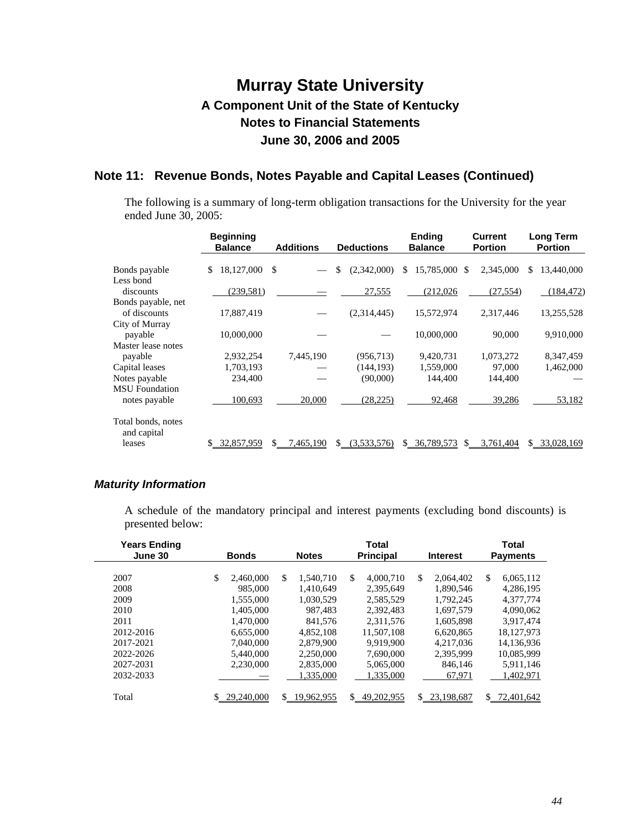## **Note 11: Revenue Bonds, Notes Payable and Capital Leases (Continued)**

The following is a summary of long-term obligation transactions for the University for the year ended June 30, 2005:

|                                   | <b>Beginning</b><br><b>Balance</b> | <b>Additions</b> | <b>Deductions</b> | <b>Ending</b><br><b>Balance</b> | <b>Current</b><br><b>Portion</b> | Long Term<br><b>Portion</b> |
|-----------------------------------|------------------------------------|------------------|-------------------|---------------------------------|----------------------------------|-----------------------------|
| Bonds payable                     | 18,127,000<br>\$                   | - \$             | \$<br>(2,342,000) | 15,785,000 \$<br>\$             | 2,345,000                        | 13,440,000<br>\$            |
| Less bond                         |                                    |                  |                   |                                 |                                  |                             |
| discounts                         | (239, 581)                         |                  | 27,555            | (212,026)                       | (27, 554)                        | (184, 472)                  |
| Bonds payable, net                |                                    |                  |                   |                                 |                                  |                             |
| of discounts                      | 17,887,419                         |                  | (2,314,445)       | 15,572,974                      | 2,317,446                        | 13,255,528                  |
| City of Murray                    |                                    |                  |                   |                                 |                                  |                             |
| payable                           | 10,000,000                         |                  |                   | 10,000,000                      | 90,000                           | 9,910,000                   |
| Master lease notes                |                                    |                  |                   |                                 |                                  |                             |
| payable                           | 2,932,254                          | 7,445,190        | (956, 713)        | 9,420,731                       | 1,073,272                        | 8,347,459                   |
| Capital leases                    | 1,703,193                          |                  | (144, 193)        | 1,559,000                       | 97,000                           | 1,462,000                   |
| Notes payable                     | 234,400                            |                  | (90,000)          | 144.400                         | 144,400                          |                             |
| <b>MSU</b> Foundation             |                                    |                  |                   |                                 |                                  |                             |
| notes payable                     | 100,693                            | 20,000           | (28, 225)         | 92,468                          | 39,286                           | 53,182                      |
| Total bonds, notes<br>and capital |                                    |                  |                   |                                 |                                  |                             |
| leases                            | 32,857,959                         | 7,465,190        | (3,533,576)       | 36,789,573<br>\$                | 3.761,404<br>S                   | 33,028,169<br>\$            |

### *Maturity Information*

A schedule of the mandatory principal and interest payments (excluding bond discounts) is presented below:

| <b>Years Ending</b><br>June 30 | <b>Bonds</b>     | Total<br><b>Principal</b><br><b>Notes</b><br><b>Interest</b> |                            |                  |                  |  |
|--------------------------------|------------------|--------------------------------------------------------------|----------------------------|------------------|------------------|--|
|                                |                  |                                                              |                            |                  |                  |  |
| 2007                           | \$.<br>2.460,000 | \$.<br>1.540.710                                             | <sup>\$</sup><br>4,000,710 | \$.<br>2.064.402 | \$<br>6,065,112  |  |
| 2008                           | 985,000          | 1.410.649                                                    | 2,395,649                  | 1.890.546        | 4.286.195        |  |
| 2009                           | 1.555,000        | 1.030.529                                                    | 2.585.529                  | 1.792.245        | 4.377.774        |  |
| 2010                           | 1,405,000        | 987.483                                                      | 2,392,483                  | 1.697.579        | 4,090,062        |  |
| 2011                           | 1.470.000        | 841,576                                                      | 2,311,576                  | 1,605,898        | 3.917.474        |  |
| 2012-2016                      | 6.655,000        | 4.852.108                                                    | 11.507.108                 | 6.620.865        | 18,127,973       |  |
| 2017-2021                      | 7.040.000        | 2,879,900                                                    | 9.919.900                  | 4.217.036        | 14,136,936       |  |
| 2022-2026                      | 5.440,000        | 2,250,000                                                    | 7.690,000                  | 2.395.999        | 10.085.999       |  |
| 2027-2031                      | 2.230,000        | 2,835,000                                                    | 5.065,000                  | 846,146          | 5,911,146        |  |
| 2032-2033                      |                  | 1.335,000                                                    | 1.335.000                  | 67,971           | 1.402.971        |  |
| Total                          | 29,240,000       | 19,962,955                                                   | \$<br>49.202.955           | \$<br>23.198.687 | S.<br>72,401,642 |  |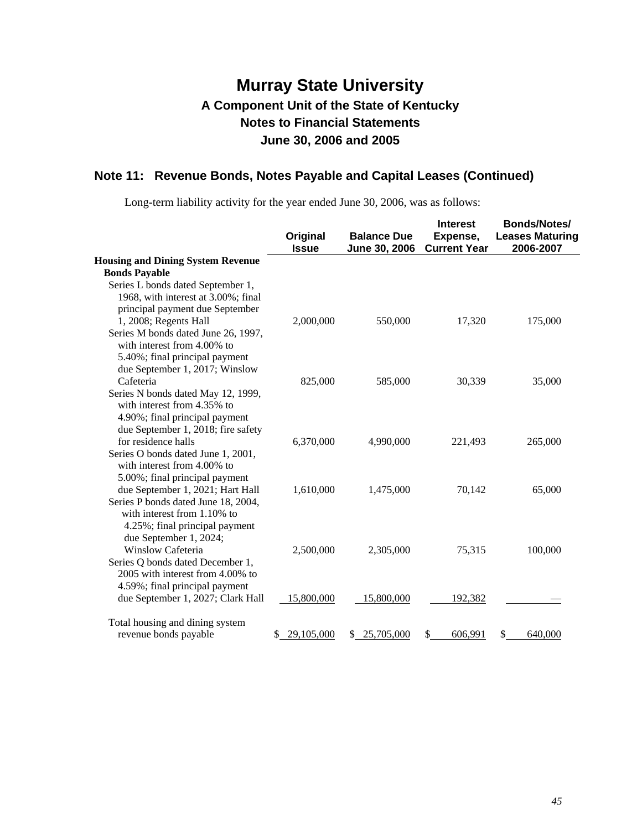# **Note 11: Revenue Bonds, Notes Payable and Capital Leases (Continued)**

Long-term liability activity for the year ended June 30, 2006, was as follows:

|                                                                                                     | Original<br><b>Issue</b> | <b>Balance Due</b><br>June 30, 2006 | <b>Interest</b><br>Expense,<br><b>Current Year</b> | <b>Bonds/Notes/</b><br><b>Leases Maturing</b><br>2006-2007 |
|-----------------------------------------------------------------------------------------------------|--------------------------|-------------------------------------|----------------------------------------------------|------------------------------------------------------------|
| <b>Housing and Dining System Revenue</b>                                                            |                          |                                     |                                                    |                                                            |
| <b>Bonds Payable</b>                                                                                |                          |                                     |                                                    |                                                            |
| Series L bonds dated September 1,                                                                   |                          |                                     |                                                    |                                                            |
| 1968, with interest at 3.00%; final                                                                 |                          |                                     |                                                    |                                                            |
| principal payment due September                                                                     |                          |                                     |                                                    |                                                            |
| 1, 2008; Regents Hall                                                                               | 2,000,000                | 550,000                             | 17,320                                             | 175,000                                                    |
| Series M bonds dated June 26, 1997,<br>with interest from 4.00% to                                  |                          |                                     |                                                    |                                                            |
| 5.40%; final principal payment                                                                      |                          |                                     |                                                    |                                                            |
| due September 1, 2017; Winslow                                                                      |                          |                                     |                                                    |                                                            |
| Cafeteria                                                                                           | 825,000                  | 585,000                             | 30,339                                             | 35,000                                                     |
| Series N bonds dated May 12, 1999,<br>with interest from 4.35% to<br>4.90%; final principal payment |                          |                                     |                                                    |                                                            |
| due September 1, 2018; fire safety                                                                  |                          |                                     |                                                    |                                                            |
| for residence halls                                                                                 | 6,370,000                | 4,990,000                           | 221,493                                            | 265,000                                                    |
| Series O bonds dated June 1, 2001,                                                                  |                          |                                     |                                                    |                                                            |
| with interest from 4.00% to                                                                         |                          |                                     |                                                    |                                                            |
| 5.00%; final principal payment                                                                      |                          |                                     |                                                    |                                                            |
| due September 1, 2021; Hart Hall                                                                    | 1,610,000                | 1,475,000                           | 70,142                                             | 65,000                                                     |
| Series P bonds dated June 18, 2004,                                                                 |                          |                                     |                                                    |                                                            |
| with interest from 1.10% to                                                                         |                          |                                     |                                                    |                                                            |
| 4.25%; final principal payment                                                                      |                          |                                     |                                                    |                                                            |
| due September 1, 2024;                                                                              |                          |                                     |                                                    |                                                            |
| Winslow Cafeteria                                                                                   | 2,500,000                | 2,305,000                           | 75,315                                             | 100,000                                                    |
| Series Q bonds dated December 1,                                                                    |                          |                                     |                                                    |                                                            |
| 2005 with interest from 4.00% to                                                                    |                          |                                     |                                                    |                                                            |
| 4.59%; final principal payment                                                                      |                          |                                     |                                                    |                                                            |
| due September 1, 2027; Clark Hall                                                                   | 15,800,000               | 15,800,000                          | 192,382                                            |                                                            |
| Total housing and dining system                                                                     |                          |                                     |                                                    |                                                            |
| revenue bonds payable                                                                               | 29,105,000<br>\$         | 25,705,000<br>\$                    | \$<br>606,991                                      | \$<br>640,000                                              |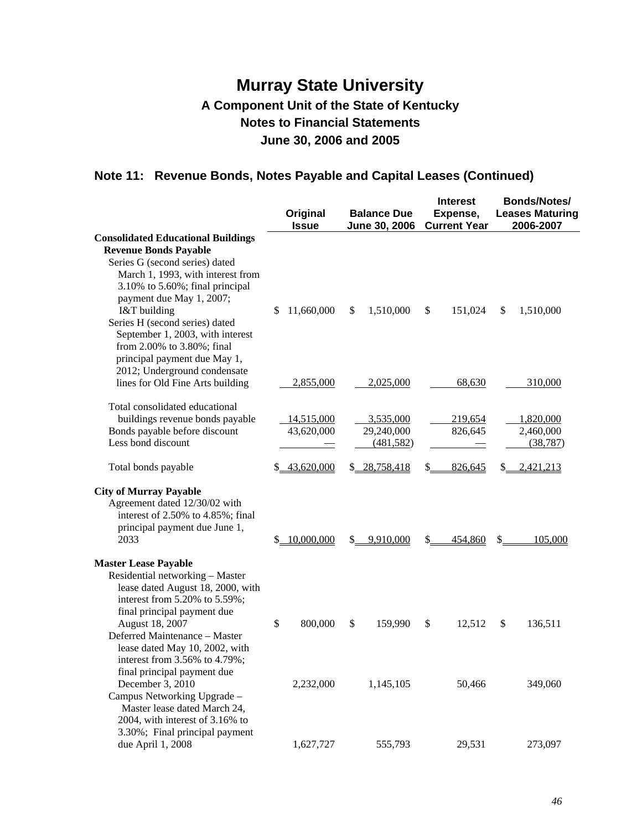# **Note 11: Revenue Bonds, Notes Payable and Capital Leases (Continued)**

|                                                                                                     | Original<br><b>Issue</b> | <b>Balance Due</b><br>June 30, 2006 | <b>Interest</b><br>Expense,<br><b>Current Year</b> | Bonds/Notes/<br><b>Leases Maturing</b><br>2006-2007 |  |  |
|-----------------------------------------------------------------------------------------------------|--------------------------|-------------------------------------|----------------------------------------------------|-----------------------------------------------------|--|--|
| <b>Consolidated Educational Buildings</b>                                                           |                          |                                     |                                                    |                                                     |  |  |
| <b>Revenue Bonds Payable</b>                                                                        |                          |                                     |                                                    |                                                     |  |  |
| Series G (second series) dated                                                                      |                          |                                     |                                                    |                                                     |  |  |
| March 1, 1993, with interest from                                                                   |                          |                                     |                                                    |                                                     |  |  |
| 3.10% to 5.60%; final principal                                                                     |                          |                                     |                                                    |                                                     |  |  |
| payment due May 1, 2007;                                                                            |                          |                                     |                                                    |                                                     |  |  |
| I&T building                                                                                        | 11,660,000<br>\$         | \$<br>1,510,000                     | \$<br>151,024                                      | \$<br>1,510,000                                     |  |  |
| Series H (second series) dated<br>September 1, 2003, with interest                                  |                          |                                     |                                                    |                                                     |  |  |
| from 2.00% to 3.80%; final                                                                          |                          |                                     |                                                    |                                                     |  |  |
| principal payment due May 1,                                                                        |                          |                                     |                                                    |                                                     |  |  |
| 2012; Underground condensate                                                                        |                          |                                     |                                                    |                                                     |  |  |
| lines for Old Fine Arts building                                                                    | 2,855,000                | 2,025,000                           | 68,630                                             | 310,000                                             |  |  |
|                                                                                                     |                          |                                     |                                                    |                                                     |  |  |
| Total consolidated educational                                                                      |                          |                                     |                                                    |                                                     |  |  |
| buildings revenue bonds payable                                                                     | 14,515,000               | 3,535,000                           | 219,654                                            | 1,820,000                                           |  |  |
| Bonds payable before discount<br>Less bond discount                                                 | 43,620,000               | 29,240,000<br>(481, 582)            | 826,645                                            | 2,460,000<br>(38, 787)                              |  |  |
|                                                                                                     |                          |                                     |                                                    |                                                     |  |  |
| Total bonds payable                                                                                 | \$43,620,000             | \$28,758,418                        | S.<br>826,645                                      | 2,421,213<br>\$                                     |  |  |
| <b>City of Murray Payable</b><br>Agreement dated 12/30/02 with<br>interest of 2.50% to 4.85%; final |                          |                                     |                                                    |                                                     |  |  |
| principal payment due June 1,<br>2033                                                               | 10,000,000<br>S.         | 9,910,000<br>S.                     | \$<br>454,860                                      | \$<br>105,000                                       |  |  |
|                                                                                                     |                          |                                     |                                                    |                                                     |  |  |
| <b>Master Lease Payable</b>                                                                         |                          |                                     |                                                    |                                                     |  |  |
| Residential networking - Master                                                                     |                          |                                     |                                                    |                                                     |  |  |
| lease dated August 18, 2000, with                                                                   |                          |                                     |                                                    |                                                     |  |  |
| interest from 5.20% to 5.59%;                                                                       |                          |                                     |                                                    |                                                     |  |  |
| final principal payment due<br>August 18, 2007                                                      | \$<br>800,000            | \$<br>159,990                       | \$<br>12,512                                       | \$<br>136,511                                       |  |  |
| Deferred Maintenance - Master                                                                       |                          |                                     |                                                    |                                                     |  |  |
| lease dated May 10, 2002, with                                                                      |                          |                                     |                                                    |                                                     |  |  |
| interest from 3.56% to 4.79%;                                                                       |                          |                                     |                                                    |                                                     |  |  |
| final principal payment due                                                                         |                          |                                     |                                                    |                                                     |  |  |
| December 3, 2010                                                                                    | 2,232,000                | 1,145,105                           | 50,466                                             | 349,060                                             |  |  |
| Campus Networking Upgrade -                                                                         |                          |                                     |                                                    |                                                     |  |  |
| Master lease dated March 24,<br>2004, with interest of 3.16% to                                     |                          |                                     |                                                    |                                                     |  |  |
| 3.30%; Final principal payment                                                                      |                          |                                     |                                                    |                                                     |  |  |
| due April 1, 2008                                                                                   | 1,627,727                | 555,793                             | 29,531                                             | 273,097                                             |  |  |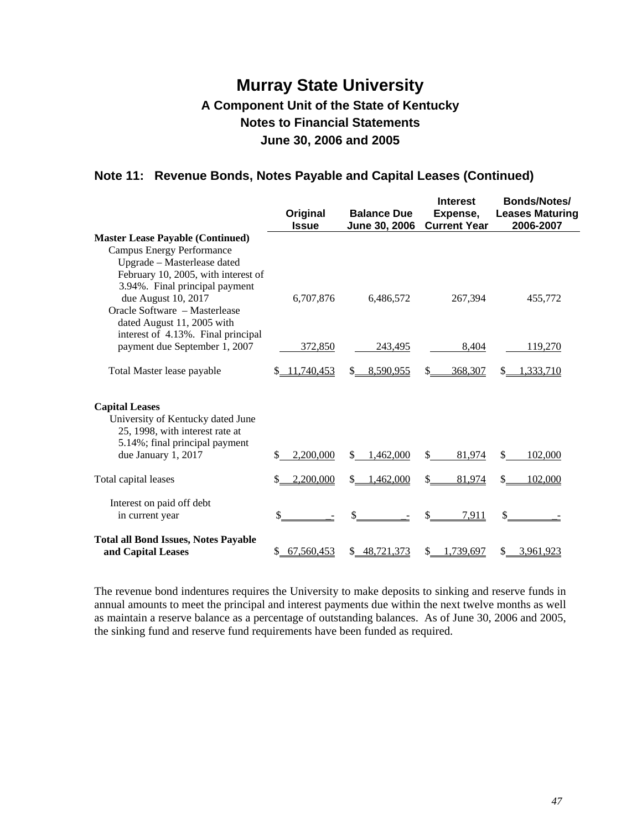## **Note 11: Revenue Bonds, Notes Payable and Capital Leases (Continued)**

|                                                                                                                                                            | Original<br><b>Issue</b> | <b>Balance Due</b><br>June 30, 2006 | <b>Interest</b><br>Expense,<br><b>Current Year</b> | Bonds/Notes/<br><b>Leases Maturing</b><br>2006-2007 |
|------------------------------------------------------------------------------------------------------------------------------------------------------------|--------------------------|-------------------------------------|----------------------------------------------------|-----------------------------------------------------|
| <b>Master Lease Payable (Continued)</b><br><b>Campus Energy Performance</b><br>Upgrade - Masterlease dated<br>February 10, 2005, with interest of          |                          |                                     |                                                    |                                                     |
| 3.94%. Final principal payment<br>due August 10, 2017<br>Oracle Software - Masterlease<br>dated August 11, 2005 with<br>interest of 4.13%. Final principal | 6,707,876                | 6,486,572                           | 267,394                                            | 455,772                                             |
| payment due September 1, 2007                                                                                                                              | 372,850                  | 243.495                             | 8,404                                              | 119,270                                             |
| Total Master lease payable                                                                                                                                 | 11,740,453               | 8,590,955                           | 368,307                                            | .333,710<br>S                                       |
| <b>Capital Leases</b><br>University of Kentucky dated June<br>25, 1998, with interest rate at<br>5.14%; final principal payment                            |                          |                                     |                                                    |                                                     |
| due January 1, 2017                                                                                                                                        | 2,200,000<br>S           | \$.<br>1.462.000                    | \$<br>81,974                                       | \$.<br>102,000                                      |
| Total capital leases                                                                                                                                       | 2,200,000                | .462,000<br>S.                      | \$<br>81,974                                       | 102,000                                             |
| Interest on paid off debt<br>in current year                                                                                                               | \$                       | \$                                  | 7.911                                              |                                                     |
| <b>Total all Bond Issues, Notes Payable</b><br>and Capital Leases                                                                                          | 67,560,453               | 48,721,373                          | 1,739,697                                          | 3,961,923                                           |

The revenue bond indentures requires the University to make deposits to sinking and reserve funds in annual amounts to meet the principal and interest payments due within the next twelve months as well as maintain a reserve balance as a percentage of outstanding balances. As of June 30, 2006 and 2005, the sinking fund and reserve fund requirements have been funded as required.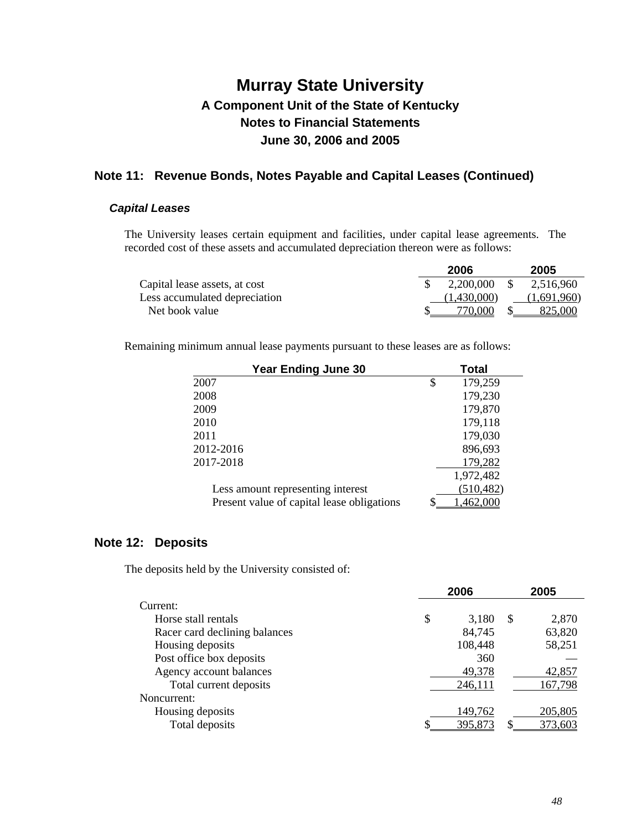### **Note 11: Revenue Bonds, Notes Payable and Capital Leases (Continued)**

### *Capital Leases*

The University leases certain equipment and facilities, under capital lease agreements. The recorded cost of these assets and accumulated depreciation thereon were as follows:

|                               | 2006        | 2005            |
|-------------------------------|-------------|-----------------|
| Capital lease assets, at cost | 2,200,000   | 2,516,960<br>-S |
| Less accumulated depreciation | (1.430,000) | (1,691,960)     |
| Net book value                | 770.000     | 825,000         |

Remaining minimum annual lease payments pursuant to these leases are as follows:

| <b>Year Ending June 30</b>                 | <b>Total</b>  |
|--------------------------------------------|---------------|
| 2007                                       | \$<br>179,259 |
| 2008                                       | 179,230       |
| 2009                                       | 179,870       |
| 2010                                       | 179,118       |
| 2011                                       | 179,030       |
| 2012-2016                                  | 896,693       |
| 2017-2018                                  | 179,282       |
|                                            | 1,972,482     |
| Less amount representing interest          | (510, 482)    |
| Present value of capital lease obligations | ,462,000      |

### **Note 12: Deposits**

The deposits held by the University consisted of:

|                               | 2006        |               | 2005    |
|-------------------------------|-------------|---------------|---------|
| Current:                      |             |               |         |
| Horse stall rentals           | \$<br>3,180 | <sup>\$</sup> | 2,870   |
| Racer card declining balances | 84,745      |               | 63,820  |
| Housing deposits              | 108,448     |               | 58,251  |
| Post office box deposits      | 360         |               |         |
| Agency account balances       | 49,378      |               | 42,857  |
| Total current deposits        | 246,111     |               | 167,798 |
| Noncurrent:                   |             |               |         |
| Housing deposits              | 149,762     |               | 205,805 |
| Total deposits                | 395,873     |               | 373,603 |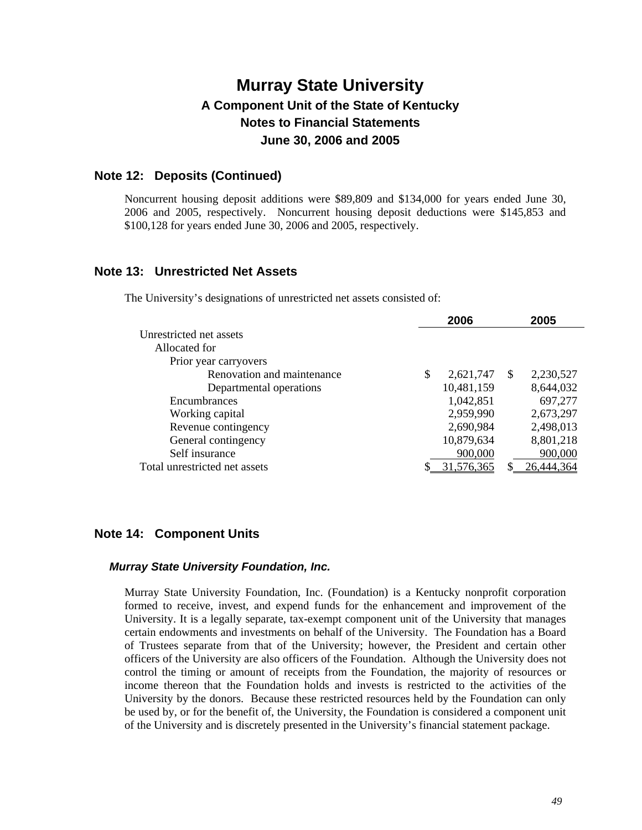### **Note 12: Deposits (Continued)**

Noncurrent housing deposit additions were \$89,809 and \$134,000 for years ended June 30, 2006 and 2005, respectively. Noncurrent housing deposit deductions were \$145,853 and \$100,128 for years ended June 30, 2006 and 2005, respectively.

### **Note 13: Unrestricted Net Assets**

The University's designations of unrestricted net assets consisted of:

|                               |   | 2006       |               | 2005       |
|-------------------------------|---|------------|---------------|------------|
| Unrestricted net assets       |   |            |               |            |
| Allocated for                 |   |            |               |            |
| Prior year carryovers         |   |            |               |            |
| Renovation and maintenance    | S | 2,621,747  | <sup>\$</sup> | 2,230,527  |
| Departmental operations       |   | 10,481,159 |               | 8,644,032  |
| Encumbrances                  |   | 1,042,851  |               | 697,277    |
| Working capital               |   | 2,959,990  |               | 2,673,297  |
| Revenue contingency           |   | 2,690,984  |               | 2,498,013  |
| General contingency           |   | 10,879,634 |               | 8,801,218  |
| Self insurance                |   | 900,000    |               | 900,000    |
| Total unrestricted net assets |   | 31,576,365 |               | 26,444,364 |
|                               |   |            |               |            |

### **Note 14: Component Units**

#### *Murray State University Foundation, Inc.*

Murray State University Foundation, Inc. (Foundation) is a Kentucky nonprofit corporation formed to receive, invest, and expend funds for the enhancement and improvement of the University. It is a legally separate, tax-exempt component unit of the University that manages certain endowments and investments on behalf of the University. The Foundation has a Board of Trustees separate from that of the University; however, the President and certain other officers of the University are also officers of the Foundation. Although the University does not control the timing or amount of receipts from the Foundation, the majority of resources or income thereon that the Foundation holds and invests is restricted to the activities of the University by the donors. Because these restricted resources held by the Foundation can only be used by, or for the benefit of, the University, the Foundation is considered a component unit of the University and is discretely presented in the University's financial statement package.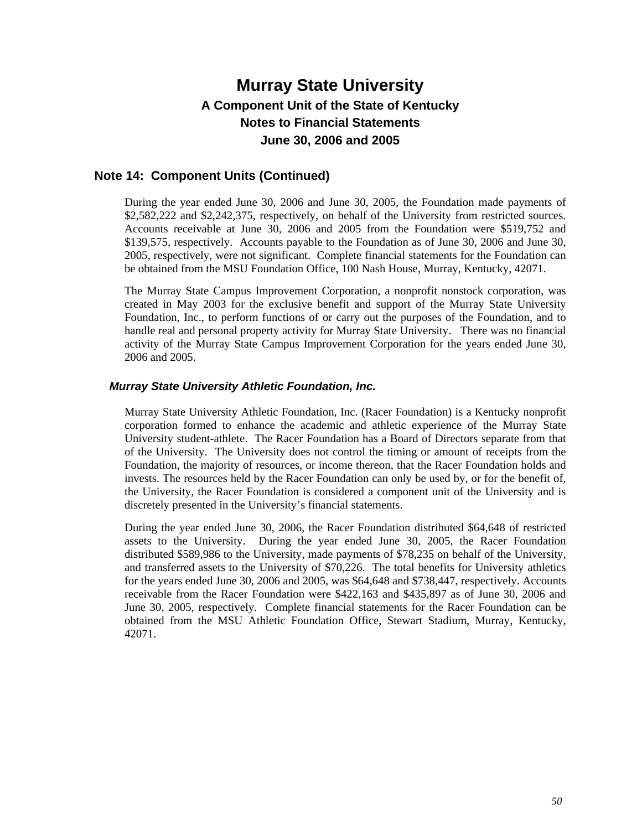### **Note 14: Component Units (Continued)**

During the year ended June 30, 2006 and June 30, 2005, the Foundation made payments of \$2,582,222 and \$2,242,375, respectively, on behalf of the University from restricted sources. Accounts receivable at June 30, 2006 and 2005 from the Foundation were \$519,752 and \$139,575, respectively. Accounts payable to the Foundation as of June 30, 2006 and June 30, 2005, respectively, were not significant. Complete financial statements for the Foundation can be obtained from the MSU Foundation Office, 100 Nash House, Murray, Kentucky, 42071.

The Murray State Campus Improvement Corporation, a nonprofit nonstock corporation, was created in May 2003 for the exclusive benefit and support of the Murray State University Foundation, Inc., to perform functions of or carry out the purposes of the Foundation, and to handle real and personal property activity for Murray State University. There was no financial activity of the Murray State Campus Improvement Corporation for the years ended June 30, 2006 and 2005.

#### *Murray State University Athletic Foundation, Inc.*

Murray State University Athletic Foundation, Inc. (Racer Foundation) is a Kentucky nonprofit corporation formed to enhance the academic and athletic experience of the Murray State University student-athlete. The Racer Foundation has a Board of Directors separate from that of the University. The University does not control the timing or amount of receipts from the Foundation, the majority of resources, or income thereon, that the Racer Foundation holds and invests. The resources held by the Racer Foundation can only be used by, or for the benefit of, the University, the Racer Foundation is considered a component unit of the University and is discretely presented in the University's financial statements.

During the year ended June 30, 2006, the Racer Foundation distributed \$64,648 of restricted assets to the University. During the year ended June 30, 2005, the Racer Foundation distributed \$589,986 to the University, made payments of \$78,235 on behalf of the University, and transferred assets to the University of \$70,226. The total benefits for University athletics for the years ended June 30, 2006 and 2005, was \$64,648 and \$738,447, respectively. Accounts receivable from the Racer Foundation were \$422,163 and \$435,897 as of June 30, 2006 and June 30, 2005, respectively. Complete financial statements for the Racer Foundation can be obtained from the MSU Athletic Foundation Office, Stewart Stadium, Murray, Kentucky, 42071.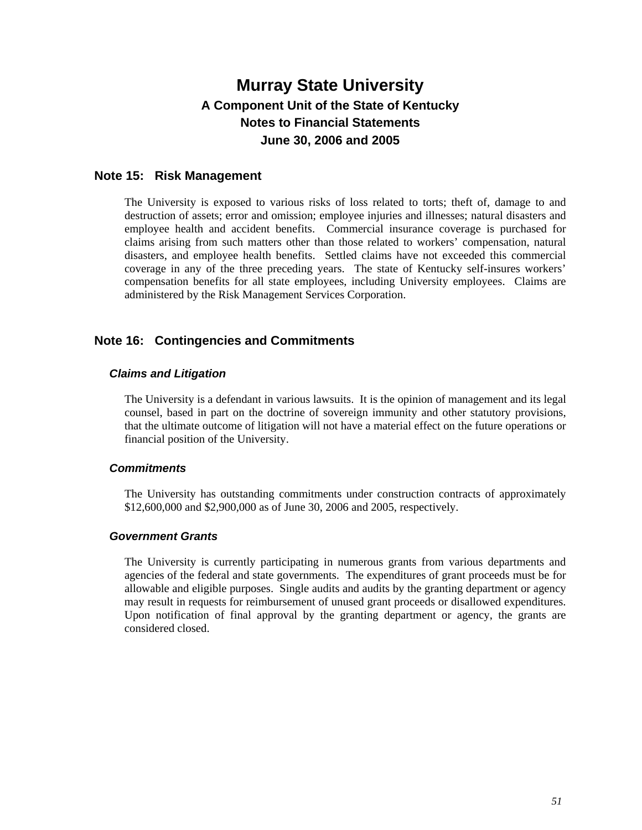### **Note 15: Risk Management**

The University is exposed to various risks of loss related to torts; theft of, damage to and destruction of assets; error and omission; employee injuries and illnesses; natural disasters and employee health and accident benefits. Commercial insurance coverage is purchased for claims arising from such matters other than those related to workers' compensation, natural disasters, and employee health benefits. Settled claims have not exceeded this commercial coverage in any of the three preceding years. The state of Kentucky self-insures workers' compensation benefits for all state employees, including University employees. Claims are administered by the Risk Management Services Corporation.

### **Note 16: Contingencies and Commitments**

### *Claims and Litigation*

The University is a defendant in various lawsuits. It is the opinion of management and its legal counsel, based in part on the doctrine of sovereign immunity and other statutory provisions, that the ultimate outcome of litigation will not have a material effect on the future operations or financial position of the University.

### *Commitments*

The University has outstanding commitments under construction contracts of approximately \$12,600,000 and \$2,900,000 as of June 30, 2006 and 2005, respectively.

#### *Government Grants*

The University is currently participating in numerous grants from various departments and agencies of the federal and state governments. The expenditures of grant proceeds must be for allowable and eligible purposes. Single audits and audits by the granting department or agency may result in requests for reimbursement of unused grant proceeds or disallowed expenditures. Upon notification of final approval by the granting department or agency, the grants are considered closed.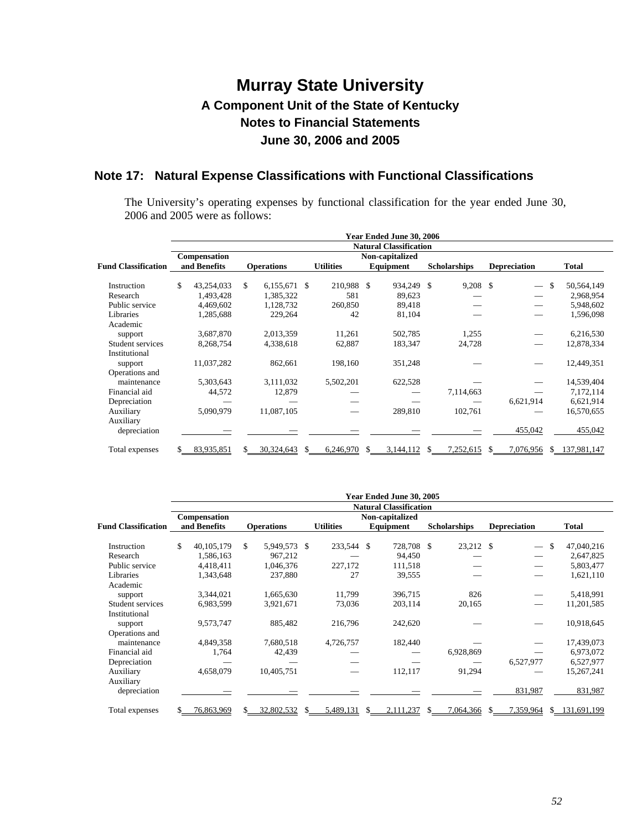### **Note 17: Natural Expense Classifications with Functional Classifications**

The University's operating expenses by functional classification for the year ended June 30, 2006 and 2005 were as follows:

|                            | Year Ended June 30, 2006 |                               |     |                   |  |                  |  |                 |  |                     |  |                          |    |             |
|----------------------------|--------------------------|-------------------------------|-----|-------------------|--|------------------|--|-----------------|--|---------------------|--|--------------------------|----|-------------|
|                            |                          | <b>Natural Classification</b> |     |                   |  |                  |  |                 |  |                     |  |                          |    |             |
|                            |                          | Compensation                  |     |                   |  |                  |  | Non-capitalized |  |                     |  |                          |    |             |
| <b>Fund Classification</b> |                          | and Benefits                  |     | <b>Operations</b> |  | <b>Utilities</b> |  | Equipment       |  | <b>Scholarships</b> |  | <b>Depreciation</b>      |    | Total       |
|                            |                          |                               |     |                   |  |                  |  |                 |  |                     |  |                          |    |             |
| Instruction                | \$                       | 43,254,033                    | \$. | $6,155,671$ \$    |  | 210,988 \$       |  | 934,249 \$      |  | $9,208$ \$          |  | $\overline{\phantom{0}}$ | \$ | 50,564,149  |
| Research                   |                          | 1,493,428                     |     | 1,385,322         |  | 581              |  | 89,623          |  |                     |  |                          |    | 2,968,954   |
| Public service             |                          | 4.469.602                     |     | 1,128,732         |  | 260,850          |  | 89,418          |  |                     |  |                          |    | 5,948,602   |
| Libraries                  |                          | 1,285,688                     |     | 229,264           |  | 42               |  | 81,104          |  |                     |  |                          |    | 1,596,098   |
| Academic                   |                          |                               |     |                   |  |                  |  |                 |  |                     |  |                          |    |             |
| support                    |                          | 3,687,870                     |     | 2,013,359         |  | 11,261           |  | 502,785         |  | 1,255               |  |                          |    | 6,216,530   |
| Student services           |                          | 8,268,754                     |     | 4,338,618         |  | 62,887           |  | 183,347         |  | 24,728              |  |                          |    | 12,878,334  |
| Institutional              |                          |                               |     |                   |  |                  |  |                 |  |                     |  |                          |    |             |
| support                    |                          | 11,037,282                    |     | 862,661           |  | 198,160          |  | 351,248         |  |                     |  |                          |    | 12,449,351  |
| Operations and             |                          |                               |     |                   |  |                  |  |                 |  |                     |  |                          |    |             |
| maintenance                |                          | 5,303,643                     |     | 3,111,032         |  | 5,502,201        |  | 622,528         |  |                     |  |                          |    | 14,539,404  |
| Financial aid              |                          | 44,572                        |     | 12,879            |  |                  |  |                 |  | 7,114,663           |  |                          |    | 7,172,114   |
| Depreciation               |                          |                               |     |                   |  |                  |  |                 |  |                     |  | 6,621,914                |    | 6,621,914   |
| Auxiliary                  |                          | 5,090,979                     |     | 11,087,105        |  |                  |  | 289,810         |  | 102,761             |  |                          |    | 16,570,655  |
| Auxiliary                  |                          |                               |     |                   |  |                  |  |                 |  |                     |  |                          |    |             |
| depreciation               |                          |                               |     |                   |  |                  |  |                 |  |                     |  | 455,042                  |    | 455,042     |
|                            |                          |                               |     |                   |  |                  |  |                 |  |                     |  |                          |    |             |
| Total expenses             |                          | 83.935.851                    |     | 30.324.643        |  | 6.246.970        |  | 3.144.112       |  | 7.252.615           |  | 7.076.956                | £. | 137.981.147 |

|                            | Year Ended June 30, 2005 |                                 |    |                   |    |                  |  |                               |     |                     |    |                          |     |              |
|----------------------------|--------------------------|---------------------------------|----|-------------------|----|------------------|--|-------------------------------|-----|---------------------|----|--------------------------|-----|--------------|
|                            |                          |                                 |    |                   |    |                  |  | <b>Natural Classification</b> |     |                     |    |                          |     |              |
|                            |                          | Non-capitalized<br>Compensation |    |                   |    |                  |  |                               |     |                     |    |                          |     |              |
| <b>Fund Classification</b> |                          | and Benefits                    |    | <b>Operations</b> |    | <b>Utilities</b> |  | Equipment                     |     | <b>Scholarships</b> |    | <b>Depreciation</b>      |     | <b>Total</b> |
| Instruction                | \$                       | 40,105,179                      | \$ | 5,949,573 \$      |    | 233,544 \$       |  | 728,708 \$                    |     | 23,212 \$           |    | $\overline{\phantom{0}}$ | \$  | 47,040,216   |
| Research                   |                          | 1,586,163                       |    | 967,212           |    |                  |  | 94,450                        |     |                     |    |                          |     | 2,647,825    |
| Public service             |                          | 4,418,411                       |    | 1,046,376         |    | 227,172          |  | 111,518                       |     |                     |    |                          |     | 5,803,477    |
| Libraries                  |                          | 1,343,648                       |    | 237,880           |    | 27               |  | 39,555                        |     |                     |    |                          |     | 1,621,110    |
| Academic                   |                          |                                 |    |                   |    |                  |  |                               |     |                     |    |                          |     |              |
| support                    |                          | 3,344,021                       |    | 1,665,630         |    | 11.799           |  | 396,715                       |     | 826                 |    |                          |     | 5,418,991    |
| Student services           |                          | 6,983,599                       |    | 3,921,671         |    | 73,036           |  | 203,114                       |     | 20,165              |    |                          |     | 11,201,585   |
| Institutional              |                          |                                 |    |                   |    |                  |  |                               |     |                     |    |                          |     |              |
| support                    |                          | 9,573,747                       |    | 885,482           |    | 216,796          |  | 242,620                       |     |                     |    |                          |     | 10,918,645   |
| Operations and             |                          |                                 |    |                   |    |                  |  |                               |     |                     |    |                          |     |              |
| maintenance                |                          | 4,849,358                       |    | 7,680,518         |    | 4,726,757        |  | 182,440                       |     |                     |    |                          |     | 17,439,073   |
| Financial aid              |                          | 1,764                           |    | 42,439            |    |                  |  |                               |     | 6,928,869           |    |                          |     | 6,973,072    |
| Depreciation               |                          |                                 |    |                   |    |                  |  |                               |     |                     |    | 6,527,977                |     | 6,527,977    |
| Auxiliary                  |                          | 4,658,079                       |    | 10,405,751        |    |                  |  | 112,117                       |     | 91,294              |    |                          |     | 15,267,241   |
| Auxiliary                  |                          |                                 |    |                   |    |                  |  |                               |     |                     |    |                          |     |              |
| depreciation               |                          |                                 |    |                   |    |                  |  |                               |     |                     |    | 831,987                  |     | 831,987      |
| Total expenses             |                          | 76,863,969                      |    | 32,802,532        | S. | 5,489,131        |  | 2,111,237                     | \$. | 7,064,366           | S. | 7,359,964                | \$. | 131,691,199  |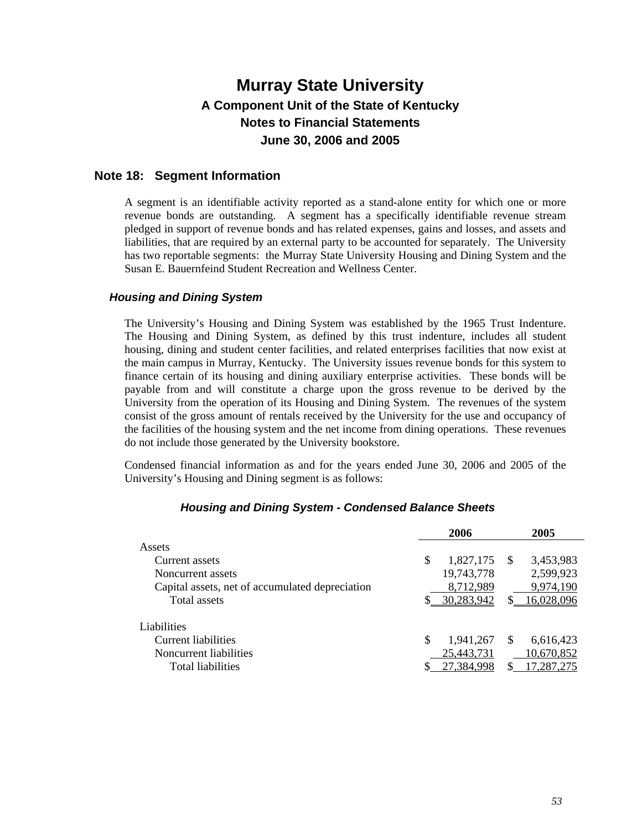### **Note 18: Segment Information**

A segment is an identifiable activity reported as a stand-alone entity for which one or more revenue bonds are outstanding. A segment has a specifically identifiable revenue stream pledged in support of revenue bonds and has related expenses, gains and losses, and assets and liabilities, that are required by an external party to be accounted for separately. The University has two reportable segments: the Murray State University Housing and Dining System and the Susan E. Bauernfeind Student Recreation and Wellness Center.

### *Housing and Dining System*

The University's Housing and Dining System was established by the 1965 Trust Indenture. The Housing and Dining System, as defined by this trust indenture, includes all student housing, dining and student center facilities, and related enterprises facilities that now exist at the main campus in Murray, Kentucky. The University issues revenue bonds for this system to finance certain of its housing and dining auxiliary enterprise activities. These bonds will be payable from and will constitute a charge upon the gross revenue to be derived by the University from the operation of its Housing and Dining System. The revenues of the system consist of the gross amount of rentals received by the University for the use and occupancy of the facilities of the housing system and the net income from dining operations. These revenues do not include those generated by the University bookstore.

Condensed financial information as and for the years ended June 30, 2006 and 2005 of the University's Housing and Dining segment is as follows:

|                                                 |   | 2006       |               | 2005       |
|-------------------------------------------------|---|------------|---------------|------------|
| Assets                                          |   |            |               |            |
| Current assets                                  | S | 1,827,175  | <sup>\$</sup> | 3,453,983  |
| Noncurrent assets                               |   | 19,743,778 |               | 2,599,923  |
| Capital assets, net of accumulated depreciation |   | 8,712,989  |               | 9,974,190  |
| Total assets                                    |   | 30,283,942 |               | 16,028,096 |
| Liabilities                                     |   |            |               |            |
| Current liabilities                             | S | 1,941,267  | <b>S</b>      | 6,616,423  |
| Noncurrent liabilities                          |   | 25,443,731 |               | 10,670,852 |
| Total liabilities                               |   | 27,384,998 |               | 17,287,275 |

#### *Housing and Dining System - Condensed Balance Sheets*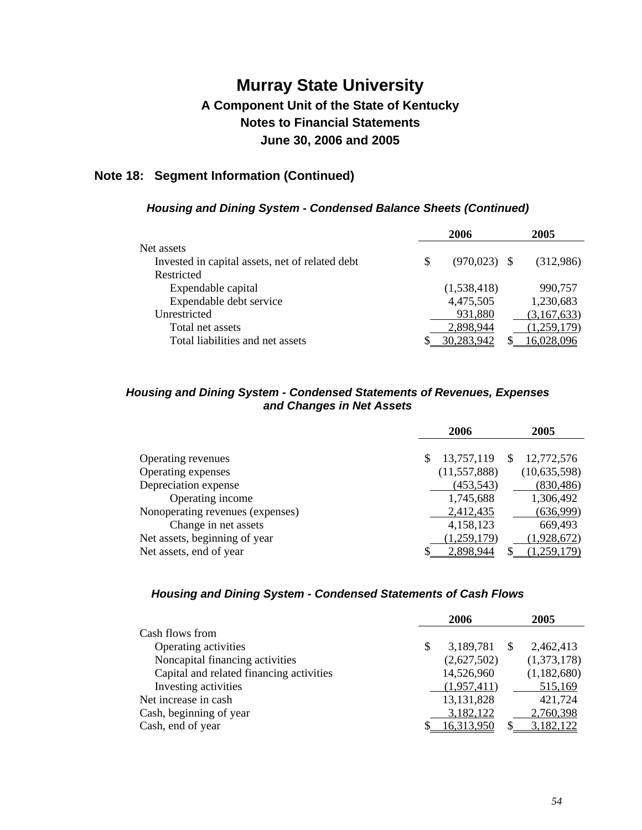## **Note 18: Segment Information (Continued)**

### *Housing and Dining System - Condensed Balance Sheets (Continued)*

| 2006            | 2005        |
|-----------------|-------------|
|                 |             |
| $(970, 023)$ \$ | (312,986)   |
|                 |             |
| (1,538,418)     | 990,757     |
| 4,475,505       | 1,230,683   |
| 931,880         | (3,167,633) |
| 2,898,944       | (1,259,179) |
| 30 283 942      |             |
|                 |             |

### *Housing and Dining System - Condensed Statements of Revenues, Expenses and Changes in Net Assets*

|                                  | 2006 |                | 2005 |                |
|----------------------------------|------|----------------|------|----------------|
|                                  |      |                |      |                |
| Operating revenues               | S    | 13,757,119     | -S   | 12,772,576     |
| Operating expenses               |      | (11, 557, 888) |      | (10, 635, 598) |
| Depreciation expense             |      | (453, 543)     |      | (830, 486)     |
| Operating income                 |      | 1,745,688      |      | 1,306,492      |
| Nonoperating revenues (expenses) |      | 2,412,435      |      | (636,999)      |
| Change in net assets             |      | 4,158,123      |      | 669,493        |
| Net assets, beginning of year    |      | (1,259,179)    |      | (1,928,672)    |
| Net assets, end of year          |      | 2.898.944      |      | $-259.179$     |

### *Housing and Dining System - Condensed Statements of Cash Flows*

|                                          | 2006            |    | 2005        |
|------------------------------------------|-----------------|----|-------------|
| Cash flows from                          |                 |    |             |
| Operating activities                     | \$<br>3,189,781 | -S | 2,462,413   |
| Noncapital financing activities          | (2,627,502)     |    | (1,373,178) |
| Capital and related financing activities | 14,526,960      |    | (1,182,680) |
| Investing activities                     | (1,957,411)     |    | 515,169     |
| Net increase in cash                     | 13, 131, 828    |    | 421,724     |
| Cash, beginning of year                  | 3,182,122       |    | 2,760,398   |
| Cash, end of year                        | 16,313,950      |    | 3,182,122   |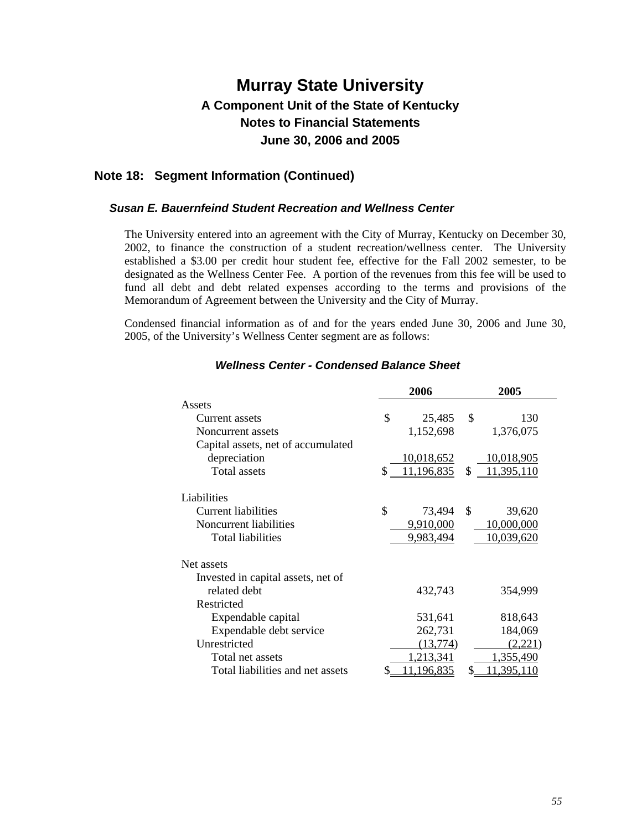### **Note 18: Segment Information (Continued)**

#### *Susan E. Bauernfeind Student Recreation and Wellness Center*

The University entered into an agreement with the City of Murray, Kentucky on December 30, 2002, to finance the construction of a student recreation/wellness center. The University established a \$3.00 per credit hour student fee, effective for the Fall 2002 semester, to be designated as the Wellness Center Fee. A portion of the revenues from this fee will be used to fund all debt and debt related expenses according to the terms and provisions of the Memorandum of Agreement between the University and the City of Murray.

Condensed financial information as of and for the years ended June 30, 2006 and June 30, 2005, of the University's Wellness Center segment are as follows:

|                                    | 2006                   | 2005             |  |  |
|------------------------------------|------------------------|------------------|--|--|
| Assets                             |                        |                  |  |  |
| Current assets                     | \$<br>25,485           | \$<br>130        |  |  |
| Noncurrent assets                  | 1,152,698              | 1,376,075        |  |  |
| Capital assets, net of accumulated |                        |                  |  |  |
| depreciation                       | 10,018,652             | 10,018,905       |  |  |
| <b>Total assets</b>                | 11,196,835<br>\$       | \$<br>11,395,110 |  |  |
| Liabilities                        |                        |                  |  |  |
| Current liabilities                | \$<br>73,494           | \$<br>39,620     |  |  |
| Noncurrent liabilities             | 9,910,000              | 10,000,000       |  |  |
| Total liabilities                  | 9,983,494              | 10,039,620       |  |  |
| Net assets                         |                        |                  |  |  |
| Invested in capital assets, net of |                        |                  |  |  |
| related debt                       | 432,743                | 354,999          |  |  |
| Restricted                         |                        |                  |  |  |
| Expendable capital                 | 531,641                | 818,643          |  |  |
| Expendable debt service            | 262,731                | 184,069          |  |  |
| Unrestricted                       | (13, 774)              | (2.221)          |  |  |
| Total net assets                   | 1,213,341              | 1,355,490        |  |  |
| Total liabilities and net assets   | <u>11,196,835</u><br>2 | 11,395,110<br>\$ |  |  |

### *Wellness Center - Condensed Balance Sheet*